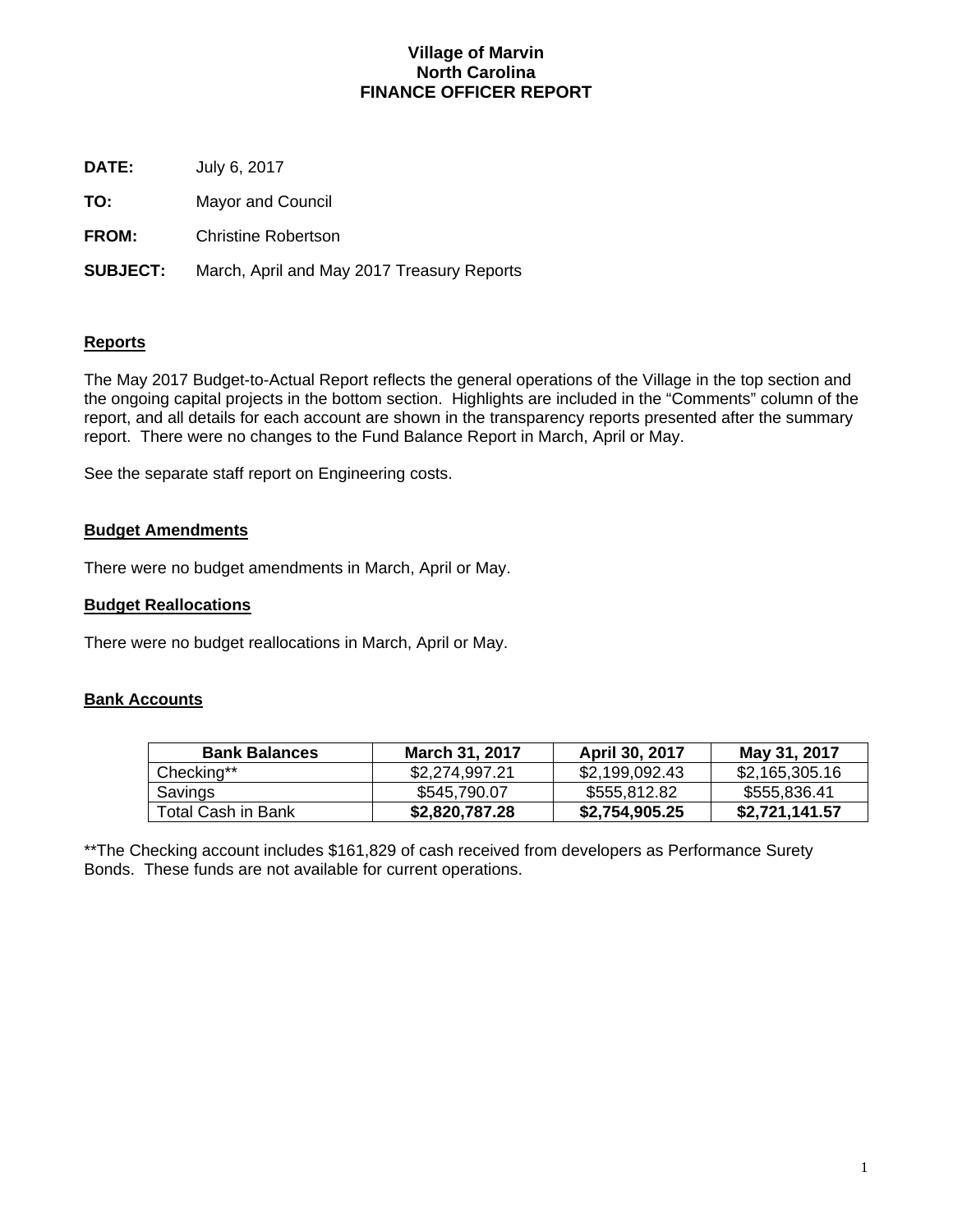## **Village of Marvin North Carolina FINANCE OFFICER REPORT**

**DATE:** July 6, 2017

**TO:** Mayor and Council

**FROM:** Christine Robertson

**SUBJECT:** March, April and May 2017 Treasury Reports

## **Reports**

The May 2017 Budget-to-Actual Report reflects the general operations of the Village in the top section and the ongoing capital projects in the bottom section. Highlights are included in the "Comments" column of the report, and all details for each account are shown in the transparency reports presented after the summary report. There were no changes to the Fund Balance Report in March, April or May.

See the separate staff report on Engineering costs.

## **Budget Amendments**

There were no budget amendments in March, April or May.

## **Budget Reallocations**

There were no budget reallocations in March, April or May.

## **Bank Accounts**

| <b>Bank Balances</b> | March 31, 2017 | <b>April 30, 2017</b> | May 31, 2017   |
|----------------------|----------------|-----------------------|----------------|
| Checking**           | \$2,274,997.21 | \$2,199,092.43        | \$2,165,305.16 |
| Savings              | \$545,790.07   | \$555,812.82          | \$555,836.41   |
| Total Cash in Bank   | \$2,820,787.28 | \$2,754,905.25        | \$2,721,141.57 |

\*\*The Checking account includes \$161,829 of cash received from developers as Performance Surety Bonds. These funds are not available for current operations.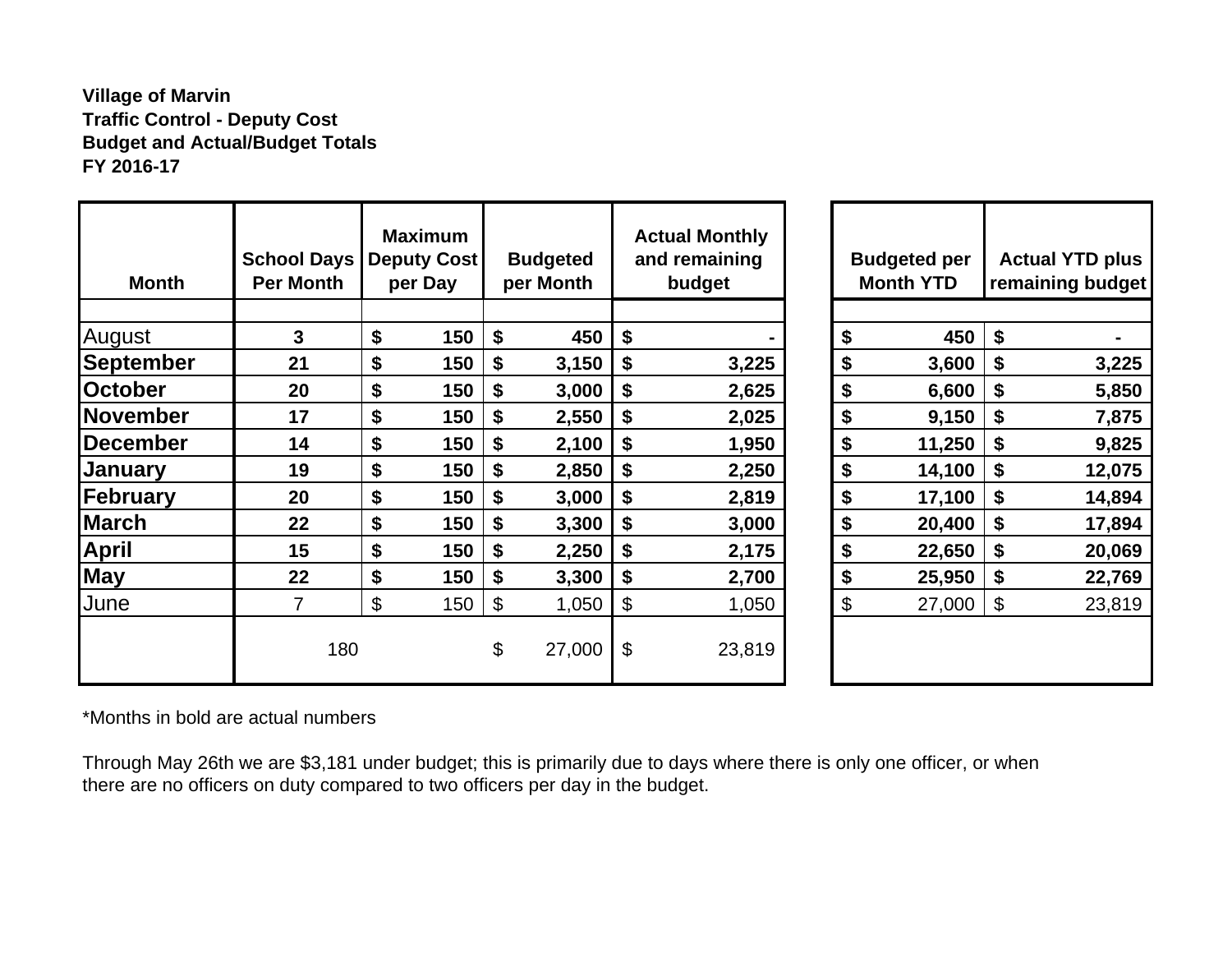# **Village of Marvin Traffic Control - Deputy Cost Budget and Actual/Budget Totals FY 2016-17**

| <b>Month</b>     | <b>School Days</b><br><b>Per Month</b> | <b>Maximum</b><br><b>Deputy Cost</b><br>per Day | <b>Budgeted</b><br>per Month |                       | <b>Actual Monthly</b><br>and remaining<br>budget |    | <b>Budgeted per</b><br><b>Month YTD</b> |                       | <b>Actual YTD plus</b><br>remaining budget |
|------------------|----------------------------------------|-------------------------------------------------|------------------------------|-----------------------|--------------------------------------------------|----|-----------------------------------------|-----------------------|--------------------------------------------|
| August           | 3                                      | \$<br>150                                       | \$<br>450                    | \$                    |                                                  | \$ | 450                                     | \$                    |                                            |
| <b>September</b> | 21                                     | \$<br>150                                       | \$<br>3,150                  | \$                    | 3,225                                            | \$ | 3,600                                   | \$                    | 3,225                                      |
| <b>October</b>   | 20                                     | \$<br>150                                       | \$<br>3,000                  | \$                    | 2,625                                            | \$ | 6,600                                   | \$                    | 5,850                                      |
| <b>November</b>  | 17                                     | \$<br>150                                       | \$<br>2,550                  | \$                    | 2,025                                            | \$ | 9,150                                   | \$                    | 7,875                                      |
| <b>December</b>  | 14                                     | \$<br>150                                       | \$<br>2,100                  | \$                    | 1,950                                            | \$ | 11,250                                  | \$                    | 9,825                                      |
| January          | 19                                     | \$<br>150                                       | \$<br>2,850                  | \$                    | 2,250                                            | \$ | 14,100                                  | \$                    | 12,075                                     |
| February         | 20                                     | \$<br>150                                       | \$<br>3,000                  | \$                    | 2,819                                            | \$ | 17,100                                  | \$                    | 14,894                                     |
| <b>March</b>     | 22                                     | \$<br>150                                       | \$<br>3,300                  | \$                    | 3,000                                            | \$ | 20,400                                  | \$                    | 17,894                                     |
| <b>April</b>     | 15                                     | \$<br>150                                       | \$<br>2,250                  | \$                    | 2,175                                            | \$ | 22,650                                  | \$                    | 20,069                                     |
| <b>May</b>       | 22                                     | \$<br>150                                       | \$<br>3,300                  | \$                    | 2,700                                            | \$ | 25,950                                  | \$                    | 22,769                                     |
| June             | 7                                      | \$<br>150                                       | \$<br>1,050                  | $\boldsymbol{\theta}$ | 1,050                                            | \$ | 27,000                                  | $\boldsymbol{\theta}$ | 23,819                                     |
|                  | 180                                    |                                                 | \$<br>27,000                 | \$                    | 23,819                                           |    |                                         |                       |                                            |

\*Months in bold are actual numbers

Through May 26th we are \$3,181 under budget; this is primarily due to days where there is only one officer, or when there are no officers on duty compared to two officers per day in the budget.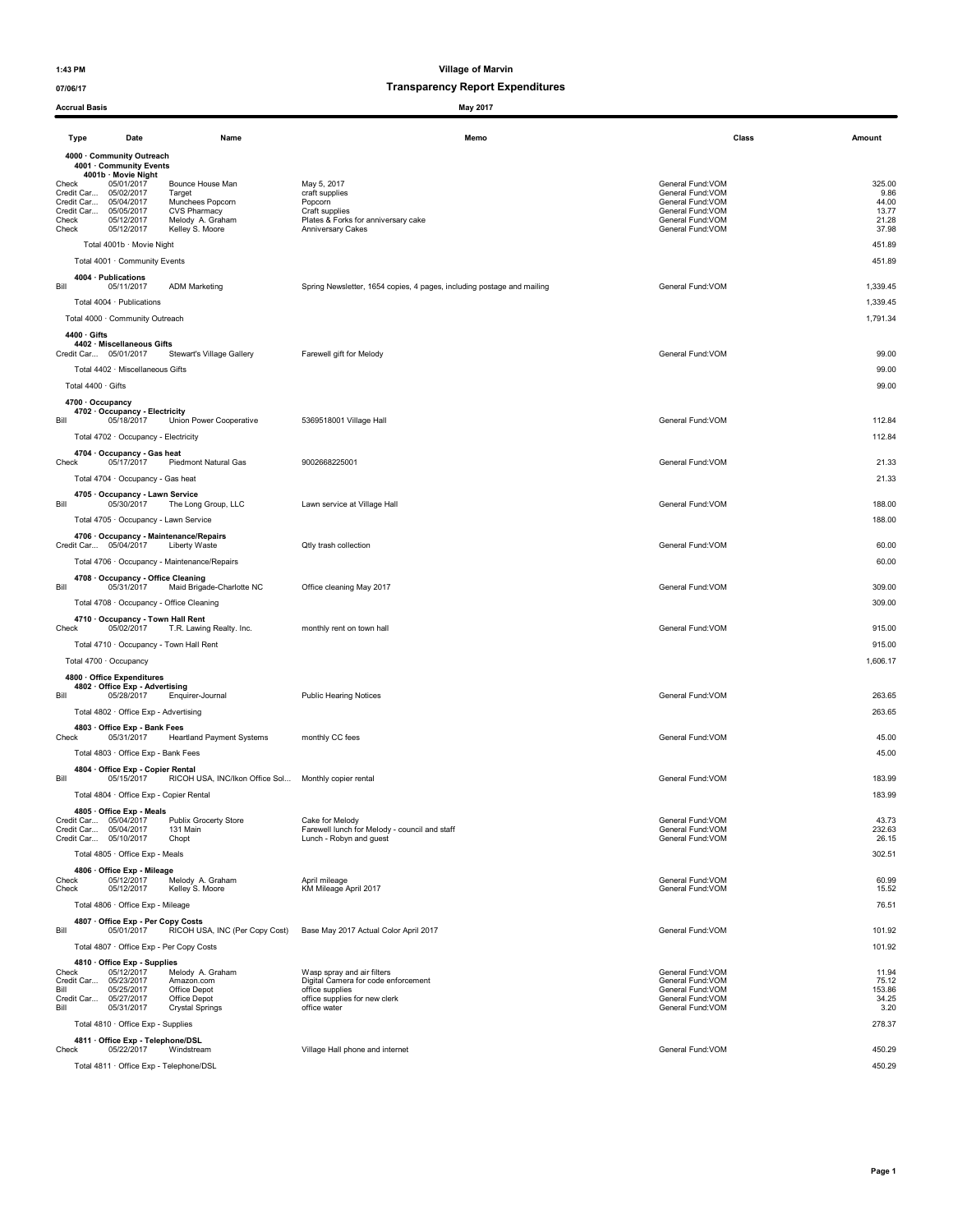| <b>Accrual Basis</b>                                                                                                                                                                           |                                                                                                              | May 2017                                                                                                               |                                                                                                                          |                                                    |
|------------------------------------------------------------------------------------------------------------------------------------------------------------------------------------------------|--------------------------------------------------------------------------------------------------------------|------------------------------------------------------------------------------------------------------------------------|--------------------------------------------------------------------------------------------------------------------------|----------------------------------------------------|
| Type<br>Date                                                                                                                                                                                   | Name                                                                                                         | Memo                                                                                                                   | Class                                                                                                                    | Amount                                             |
| 4000 · Community Outreach                                                                                                                                                                      |                                                                                                              |                                                                                                                        |                                                                                                                          |                                                    |
| 4001 · Community Events<br>4001b · Movie Night<br>05/01/2017<br>Check<br>Credit Car 05/02/2017<br>Credit Car 05/04/2017<br>Credit Car 05/05/2017<br>05/12/2017<br>Check<br>05/12/2017<br>Check | Bounce House Man<br>Target<br>Munchees Popcorn<br><b>CVS Pharmacy</b><br>Melody A. Graham<br>Kelley S. Moore | May 5, 2017<br>craft supplies<br>Popcorn<br>Craft supplies<br>Plates & Forks for anniversary cake<br>Anniversary Cakes | General Fund:VOM<br>General Fund: VOM<br>General Fund:VOM<br>General Fund: VOM<br>General Fund: VOM<br>General Fund: VOM | 325.00<br>9.86<br>44.00<br>13.77<br>21.28<br>37.98 |
| Total 4001b · Movie Night                                                                                                                                                                      |                                                                                                              |                                                                                                                        |                                                                                                                          | 451.89                                             |
| Total 4001 · Community Events                                                                                                                                                                  |                                                                                                              |                                                                                                                        |                                                                                                                          | 451.89                                             |
| 4004 · Publications                                                                                                                                                                            |                                                                                                              |                                                                                                                        |                                                                                                                          |                                                    |
| Bill<br>05/11/2017<br>Total 4004 · Publications                                                                                                                                                | <b>ADM Marketing</b>                                                                                         | Spring Newsletter, 1654 copies, 4 pages, including postage and mailing                                                 | General Fund: VOM                                                                                                        | 1,339.45<br>1,339.45                               |
| Total 4000 · Community Outreach                                                                                                                                                                |                                                                                                              |                                                                                                                        |                                                                                                                          | 1,791.34                                           |
| $4400 \cdot$ Gifts<br>4402 · Miscellaneous Gifts<br>Credit Car 05/01/2017                                                                                                                      | Stewart's Village Gallery                                                                                    | Farewell gift for Melody                                                                                               | General Fund: VOM                                                                                                        | 99.00                                              |
| Total 4402 · Miscellaneous Gifts                                                                                                                                                               |                                                                                                              |                                                                                                                        |                                                                                                                          | 99.00                                              |
| Total 4400 · Gifts                                                                                                                                                                             |                                                                                                              |                                                                                                                        |                                                                                                                          | 99.00                                              |
| 4700 · Occupancy<br>4702 · Occupancy - Electricity<br>05/18/2017<br>Bill                                                                                                                       | Union Power Cooperative                                                                                      | 5369518001 Village Hall                                                                                                | General Fund: VOM                                                                                                        | 112.84                                             |
| Total 4702 · Occupancy - Electricity                                                                                                                                                           |                                                                                                              |                                                                                                                        |                                                                                                                          | 112.84                                             |
| 4704 · Occupancy - Gas heat<br>Check<br>05/17/2017                                                                                                                                             | Piedmont Natural Gas                                                                                         | 9002668225001                                                                                                          | General Fund: VOM                                                                                                        | 21.33                                              |
| Total 4704 · Occupancy - Gas heat                                                                                                                                                              |                                                                                                              |                                                                                                                        |                                                                                                                          | 21.33                                              |
| 4705 · Occupancy - Lawn Service<br>Bill<br>05/30/2017                                                                                                                                          | The Long Group, LLC                                                                                          | Lawn service at Village Hall                                                                                           | General Fund:VOM                                                                                                         | 188.00                                             |
| Total 4705 · Occupancy - Lawn Service                                                                                                                                                          |                                                                                                              |                                                                                                                        |                                                                                                                          | 188.00                                             |
| 4706 · Occupancy - Maintenance/Repairs<br>Credit Car 05/04/2017                                                                                                                                | Liberty Waste                                                                                                | Qtly trash collection                                                                                                  | General Fund: VOM                                                                                                        | 60.00                                              |
|                                                                                                                                                                                                | Total 4706 · Occupancy - Maintenance/Repairs                                                                 |                                                                                                                        |                                                                                                                          | 60.00                                              |
| 4708 Occupancy - Office Cleaning                                                                                                                                                               |                                                                                                              |                                                                                                                        |                                                                                                                          |                                                    |
| Bill<br>05/31/2017                                                                                                                                                                             | Maid Brigade-Charlotte NC                                                                                    | Office cleaning May 2017                                                                                               | General Fund: VOM                                                                                                        | 309.00                                             |
| Total 4708 · Occupancy - Office Cleaning<br>4710 Occupancy - Town Hall Rent                                                                                                                    |                                                                                                              |                                                                                                                        |                                                                                                                          | 309.00                                             |
| Check<br>05/02/2017                                                                                                                                                                            | T.R. Lawing Realty. Inc.                                                                                     | monthly rent on town hall                                                                                              | General Fund: VOM                                                                                                        | 915.00                                             |
| Total 4710 · Occupancy - Town Hall Rent                                                                                                                                                        |                                                                                                              |                                                                                                                        |                                                                                                                          | 915.00                                             |
| Total 4700 · Occupancy<br>4800 · Office Expenditures                                                                                                                                           |                                                                                                              |                                                                                                                        |                                                                                                                          | 1,606.17                                           |
| 4802 · Office Exp - Advertising<br>Bill<br>05/28/2017<br>Total 4802 · Office Exp - Advertising                                                                                                 | Enquirer-Journal                                                                                             | <b>Public Hearing Notices</b>                                                                                          | General Fund: VOM                                                                                                        | 263.65<br>263.65                                   |
| 4803 · Office Exp - Bank Fees                                                                                                                                                                  |                                                                                                              |                                                                                                                        |                                                                                                                          |                                                    |
| Check<br>05/31/2017<br>Total 4803 · Office Exp - Bank Fees                                                                                                                                     | <b>Heartland Payment Systems</b>                                                                             | monthly CC fees                                                                                                        | General Fund: VOM                                                                                                        | 45.00<br>45.00                                     |
| 4804 · Office Exp - Copier Rental                                                                                                                                                              |                                                                                                              |                                                                                                                        |                                                                                                                          |                                                    |
| Bill<br>05/15/2017<br>Total 4804 · Office Exp - Copier Rental                                                                                                                                  | RICOH USA, INC/Ikon Office Sol Monthly copier rental                                                         |                                                                                                                        | General Fund: VOM                                                                                                        | 183.99<br>183.99                                   |
| 4805 · Office Exp - Meals                                                                                                                                                                      |                                                                                                              |                                                                                                                        |                                                                                                                          |                                                    |
| Credit Car 05/04/2017<br>Credit Car 05/04/2017                                                                                                                                                 | Publix Grocerty Store<br>131 Main                                                                            | Cake for Melody<br>Farewell lunch for Melody - council and staff                                                       | General Fund: VOM<br>General Fund:VOM                                                                                    | 43.73<br>232.63                                    |
| Credit Car 05/10/2017<br>Total 4805 · Office Exp - Meals                                                                                                                                       | Chopt                                                                                                        | Lunch - Robyn and guest                                                                                                | General Fund: VOM                                                                                                        | 26.15<br>302.51                                    |
| 4806 · Office Exp - Mileage                                                                                                                                                                    |                                                                                                              |                                                                                                                        |                                                                                                                          |                                                    |
| Check<br>05/12/2017<br>05/12/2017<br>Check                                                                                                                                                     | Melody A. Graham<br>Kelley S. Moore                                                                          | April mileage<br>KM Mileage April 2017                                                                                 | General Fund: VOM<br>General Fund: VOM                                                                                   | 60.99<br>15.52                                     |
| Total 4806 · Office Exp - Mileage                                                                                                                                                              |                                                                                                              |                                                                                                                        |                                                                                                                          | 76.51                                              |
| 4807 Office Exp - Per Copy Costs<br>Bill<br>05/01/2017                                                                                                                                         | RICOH USA, INC (Per Copy Cost)                                                                               | Base May 2017 Actual Color April 2017                                                                                  | General Fund: VOM                                                                                                        | 101.92                                             |
| Total 4807 · Office Exp - Per Copy Costs                                                                                                                                                       |                                                                                                              |                                                                                                                        |                                                                                                                          | 101.92                                             |
| 4810 · Office Exp - Supplies                                                                                                                                                                   |                                                                                                              |                                                                                                                        |                                                                                                                          |                                                    |
| Check<br>05/12/2017<br>Credit Car 05/23/2017                                                                                                                                                   | Melody A. Graham<br>Amazon.com                                                                               | Wasp spray and air filters<br>Digital Camera for code enforcement                                                      | General Fund: VOM<br>General Fund: VOM                                                                                   | 11.94<br>75.12                                     |
| Bill<br>05/25/2017<br>Credit Car 05/27/2017                                                                                                                                                    | Office Depot<br>Office Depot                                                                                 | office supplies<br>office supplies for new clerk                                                                       | General Fund:VOM<br>General Fund: VOM                                                                                    | 153.86<br>34.25                                    |
| Bill<br>05/31/2017<br>Total 4810 · Office Exp - Supplies                                                                                                                                       | <b>Crystal Springs</b>                                                                                       | office water                                                                                                           | General Fund:VOM                                                                                                         | 3.20<br>278.37                                     |
| 4811 · Office Exp - Telephone/DSL<br>Check<br>05/22/2017                                                                                                                                       | Windstream                                                                                                   | Village Hall phone and internet                                                                                        | General Fund: VOM                                                                                                        | 450.29                                             |
| Total 4811 · Office Exp - Telephone/DSL                                                                                                                                                        |                                                                                                              |                                                                                                                        |                                                                                                                          | 450.29                                             |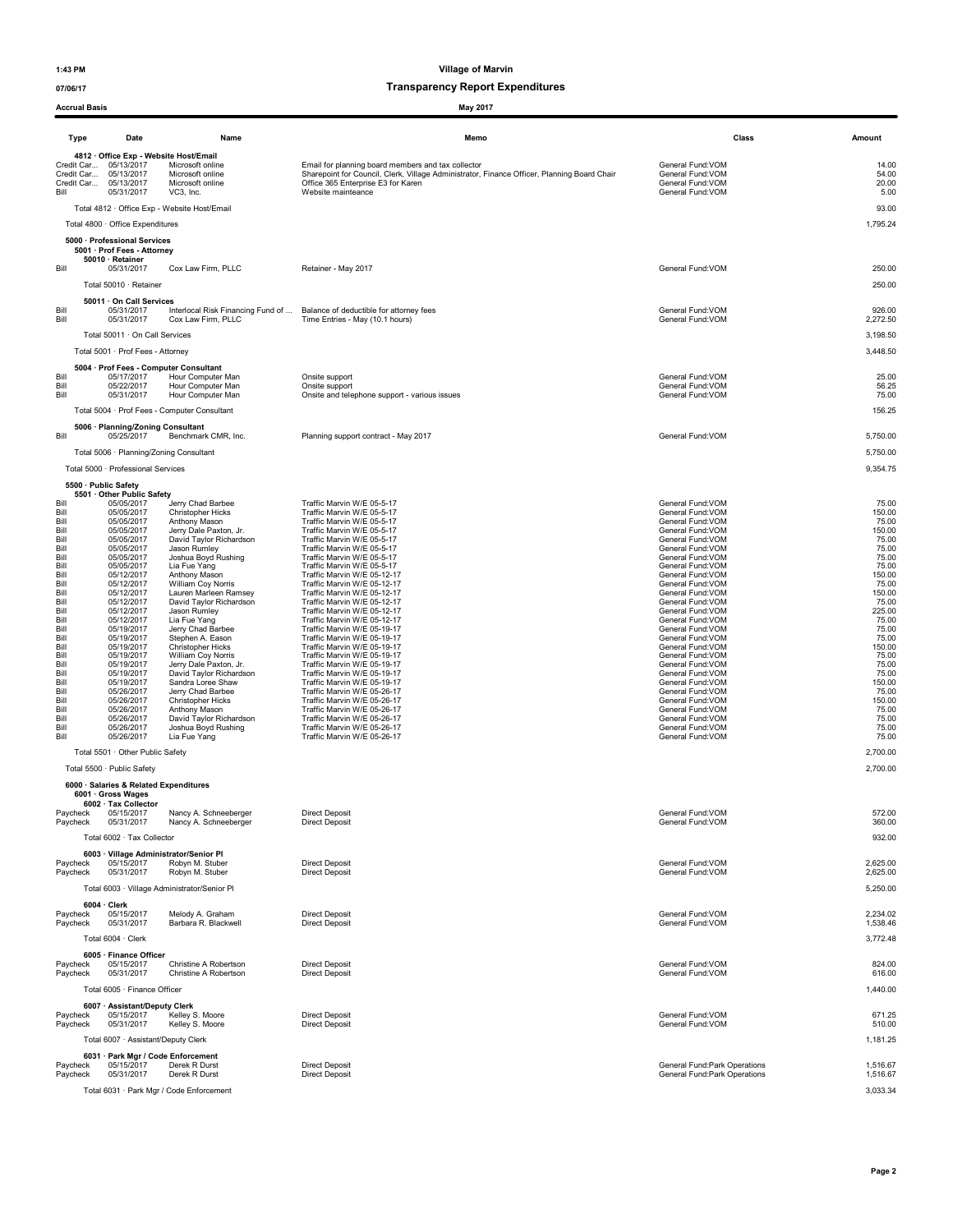Accrual Basis May 2017

1:43 PM Village of Marvin

| Acciudi Dasis        |                                                                                                                               |                                                                       | MAY ZU H                                                                                                                                                                                                      |                                                                                |                                 |
|----------------------|-------------------------------------------------------------------------------------------------------------------------------|-----------------------------------------------------------------------|---------------------------------------------------------------------------------------------------------------------------------------------------------------------------------------------------------------|--------------------------------------------------------------------------------|---------------------------------|
| Type                 | Date                                                                                                                          | Name                                                                  | Memo                                                                                                                                                                                                          | Class                                                                          | Amount                          |
| Bill                 | 4812 Office Exp - Website Host/Email<br>Credit Car 05/13/2017<br>Credit Car 05/13/2017<br>Credit Car 05/13/2017<br>05/31/2017 | Microsoft online<br>Microsoft online<br>Microsoft online<br>VC3, Inc. | Email for planning board members and tax collector<br>Sharepoint for Council, Clerk, Village Administrator, Finance Officer, Planning Board Chair<br>Office 365 Enterprise E3 for Karen<br>Website mainteance | General Fund:VOM<br>General Fund:VOM<br>General Fund: VOM<br>General Fund: VOM | 14.00<br>54.00<br>20.00<br>5.00 |
|                      |                                                                                                                               | Total 4812 · Office Exp - Website Host/Email                          |                                                                                                                                                                                                               |                                                                                | 93.00                           |
|                      | Total 4800 · Office Expenditures                                                                                              |                                                                       |                                                                                                                                                                                                               |                                                                                | 1,795.24                        |
|                      | 5000 · Professional Services                                                                                                  |                                                                       |                                                                                                                                                                                                               |                                                                                |                                 |
| Bill                 | 5001 · Prof Fees - Attorney<br>50010 · Retainer<br>05/31/2017                                                                 | Cox Law Firm, PLLC                                                    | Retainer - May 2017                                                                                                                                                                                           | General Fund: VOM                                                              | 250.00                          |
|                      | Total 50010 · Retainer                                                                                                        |                                                                       |                                                                                                                                                                                                               |                                                                                | 250.00                          |
| Bill<br>Bill         | 50011 · On Call Services<br>05/31/2017<br>05/31/2017                                                                          | Interlocal Risk Financing Fund of<br>Cox Law Firm, PLLC               | Balance of deductible for attorney fees<br>Time Entries - May (10.1 hours)                                                                                                                                    | General Fund: VOM<br>General Fund: VOM                                         | 926.00<br>2,272.50              |
|                      | Total 50011 · On Call Services                                                                                                |                                                                       |                                                                                                                                                                                                               |                                                                                | 3,198.50                        |
|                      | Total 5001 · Prof Fees - Attorney                                                                                             |                                                                       |                                                                                                                                                                                                               |                                                                                | 3,448.50                        |
|                      | 5004 · Prof Fees - Computer Consultant                                                                                        |                                                                       |                                                                                                                                                                                                               |                                                                                |                                 |
| Bill<br>Bill<br>Bill | 05/17/2017<br>05/22/2017<br>05/31/2017                                                                                        | Hour Computer Man<br>Hour Computer Man<br>Hour Computer Man           | Onsite support<br>Onsite support<br>Onsite and telephone support - various issues                                                                                                                             | General Fund: VOM<br>General Fund: VOM<br>General Fund:VOM                     | 25.00<br>56.25<br>75.00         |
|                      |                                                                                                                               | Total 5004 · Prof Fees - Computer Consultant                          |                                                                                                                                                                                                               |                                                                                | 156.25                          |
| Bill                 | 5006 · Planning/Zoning Consultant<br>05/25/2017                                                                               | Benchmark CMR, Inc.                                                   | Planning support contract - May 2017                                                                                                                                                                          | General Fund: VOM                                                              | 5,750.00                        |
|                      | Total 5006 · Planning/Zoning Consultant                                                                                       |                                                                       |                                                                                                                                                                                                               |                                                                                | 5,750.00                        |
|                      | Total 5000 · Professional Services                                                                                            |                                                                       |                                                                                                                                                                                                               |                                                                                | 9,354.75                        |
|                      | 5500 · Public Safety<br>5501 · Other Public Safety                                                                            |                                                                       |                                                                                                                                                                                                               |                                                                                |                                 |
| Bil<br>Bill          | 05/05/2017<br>05/05/2017                                                                                                      | Jerry Chad Barbee<br>Christopher Hicks                                | Traffic Marvin W/E 05-5-17<br>Traffic Marvin W/E 05-5-17                                                                                                                                                      | General Fund: VOM<br>General Fund: VOM                                         | 75.00<br>150.00                 |
| Bill<br>Bill         | 05/05/2017<br>05/05/2017                                                                                                      | Anthony Mason<br>Jerry Dale Paxton, Jr.                               | Traffic Marvin W/E 05-5-17<br>Traffic Marvin W/E 05-5-17                                                                                                                                                      | General Fund: VOM<br>General Fund: VOM                                         | 75.00<br>150.00                 |
| Bill                 | 05/05/2017                                                                                                                    | David Taylor Richardson                                               | Traffic Marvin W/E 05-5-17                                                                                                                                                                                    | General Fund: VOM                                                              | 75.00                           |
| Bill<br>Bill         | 05/05/2017<br>05/05/2017                                                                                                      | Jason Rumley<br>Joshua Boyd Rushing                                   | Traffic Marvin W/E 05-5-17<br>Traffic Marvin W/E 05-5-17                                                                                                                                                      | General Fund:VOM<br>General Fund: VOM                                          | 75.00<br>75.00                  |
| Bill<br>Bill         | 05/05/2017<br>05/12/2017                                                                                                      | Lia Fue Yang<br>Anthony Mason                                         | Traffic Marvin W/E 05-5-17<br>Traffic Marvin W/E 05-12-17                                                                                                                                                     | General Fund:VOM<br>General Fund:VOM                                           | 75.00<br>150.00                 |
| Bill                 | 05/12/2017                                                                                                                    | William Coy Norris                                                    | Traffic Marvin W/E 05-12-17                                                                                                                                                                                   | General Fund: VOM                                                              | 75.00                           |
| Bill<br>Bill         | 05/12/2017<br>05/12/2017                                                                                                      | Lauren Marleen Ramsey<br>David Taylor Richardson                      | Traffic Marvin W/E 05-12-17<br>Traffic Marvin W/E 05-12-17                                                                                                                                                    | General Fund: VOM<br>General Fund: VOM                                         | 150.00<br>75.00                 |
| Bill<br>Bill         | 05/12/2017<br>05/12/2017                                                                                                      | Jason Rumley<br>Lia Fue Yang                                          | Traffic Marvin W/E 05-12-17<br>Traffic Marvin W/E 05-12-17                                                                                                                                                    | General Fund:VOM<br>General Fund:VOM                                           | 225.00<br>75.00                 |
| Bill                 | 05/19/2017                                                                                                                    | Jerry Chad Barbee                                                     | Traffic Marvin W/E 05-19-17                                                                                                                                                                                   | General Fund: VOM                                                              | 75.00                           |
| Bill<br>Bill         | 05/19/2017<br>05/19/2017                                                                                                      | Stephen A. Eason<br>Christopher Hicks                                 | Traffic Marvin W/E 05-19-17<br>Traffic Marvin W/E 05-19-17                                                                                                                                                    | General Fund: VOM<br>General Fund: VOM                                         | 75.00<br>150.00                 |
| Bill<br>Bill         | 05/19/2017<br>05/19/2017                                                                                                      | William Coy Norris<br>Jerry Dale Paxton, Jr.                          | Traffic Marvin W/E 05-19-17<br>Traffic Marvin W/E 05-19-17                                                                                                                                                    | General Fund:VOM<br>General Fund:VOM                                           | 75.00<br>75.00                  |
| Bill                 | 05/19/2017                                                                                                                    | David Taylor Richardson                                               | Traffic Marvin W/E 05-19-17                                                                                                                                                                                   | General Fund: VOM                                                              | 75.00                           |
| Bill<br>Bill         | 05/19/2017<br>05/26/2017                                                                                                      | Sandra Loree Shaw<br>Jerry Chad Barbee                                | Traffic Marvin W/E 05-19-17<br>Traffic Marvin W/E 05-26-17                                                                                                                                                    | General Fund: VOM<br>General Fund: VOM                                         | 150.00<br>75.00                 |
| Bill<br>Bill         | 05/26/2017<br>05/26/2017                                                                                                      | Christopher Hicks<br>Anthony Mason                                    | Traffic Marvin W/E 05-26-17<br>Traffic Marvin W/E 05-26-17                                                                                                                                                    | General Fund: VOM<br>General Fund: VOM                                         | 150.00<br>75.00                 |
| Bill                 | 05/26/2017                                                                                                                    | David Taylor Richardson                                               | Traffic Marvin W/E 05-26-17                                                                                                                                                                                   | General Fund: VOM                                                              | 75.00                           |
| Bill<br>Bill         | 05/26/2017<br>05/26/2017                                                                                                      | Joshua Boyd Rushing<br>Lia Fue Yang                                   | Traffic Marvin W/E 05-26-17<br>Traffic Marvin W/E 05-26-17                                                                                                                                                    | General Fund: VOM<br>General Fund:VOM                                          | 75.00<br>75.00                  |
|                      | Total 5501 · Other Public Safety                                                                                              |                                                                       |                                                                                                                                                                                                               |                                                                                | 2,700.00                        |
|                      | Total 5500 · Public Safety                                                                                                    |                                                                       |                                                                                                                                                                                                               |                                                                                | 2,700.00                        |
|                      | 6000 · Salaries & Related Expenditures<br>6001 · Gross Wages                                                                  |                                                                       |                                                                                                                                                                                                               |                                                                                |                                 |
| Paycheck             | 6002 · Tax Collector<br>05/15/2017                                                                                            | Nancy A. Schneeberger                                                 | <b>Direct Deposit</b>                                                                                                                                                                                         | General Fund: VOM                                                              | 572.00                          |
| Paycheck             | 05/31/2017                                                                                                                    | Nancy A. Schneeberger                                                 | <b>Direct Deposit</b>                                                                                                                                                                                         | General Fund: VOM                                                              | 360.00                          |
|                      | Total 6002 · Tax Collector                                                                                                    |                                                                       |                                                                                                                                                                                                               |                                                                                | 932.00                          |
|                      | 6003 · Village Administrator/Senior Pl                                                                                        |                                                                       |                                                                                                                                                                                                               |                                                                                |                                 |
| Paycheck<br>Paycheck | 05/15/2017<br>05/31/2017                                                                                                      | Robyn M. Stuber<br>Robyn M. Stuber                                    | <b>Direct Deposit</b><br><b>Direct Deposit</b>                                                                                                                                                                | General Fund: VOM<br>General Fund: VOM                                         | 2,625.00<br>2,625.00            |
|                      |                                                                                                                               | Total 6003 · Village Administrator/Senior Pl                          |                                                                                                                                                                                                               |                                                                                | 5,250.00                        |
|                      | 6004 Clerk                                                                                                                    |                                                                       |                                                                                                                                                                                                               |                                                                                |                                 |
| Paycheck<br>Paycheck | 05/15/2017<br>05/31/2017                                                                                                      | Melody A. Graham<br>Barbara R. Blackwell                              | <b>Direct Deposit</b><br><b>Direct Deposit</b>                                                                                                                                                                | General Fund:VOM<br>General Fund: VOM                                          | 2,234.02<br>1,538.46            |
|                      | Total 6004 · Clerk                                                                                                            |                                                                       |                                                                                                                                                                                                               |                                                                                |                                 |
|                      |                                                                                                                               |                                                                       |                                                                                                                                                                                                               |                                                                                | 3,772.48                        |
| Paycheck             | 6005 · Finance Officer<br>05/15/2017                                                                                          | Christine A Robertson                                                 | <b>Direct Deposit</b>                                                                                                                                                                                         | General Fund: VOM                                                              | 824.00                          |
| Paycheck             | 05/31/2017                                                                                                                    | Christine A Robertson                                                 | <b>Direct Deposit</b>                                                                                                                                                                                         | General Fund:VOM                                                               | 616.00                          |
|                      | Total 6005 · Finance Officer                                                                                                  |                                                                       |                                                                                                                                                                                                               |                                                                                | 1,440.00                        |
|                      | 6007 · Assistant/Deputy Clerk<br>05/15/2017                                                                                   | Kelley S. Moore                                                       | <b>Direct Deposit</b>                                                                                                                                                                                         | General Fund: VOM                                                              | 671.25                          |
| Paycheck<br>Paycheck | 05/31/2017                                                                                                                    | Kelley S. Moore                                                       | <b>Direct Deposit</b>                                                                                                                                                                                         | General Fund: VOM                                                              | 510.00                          |
|                      | Total 6007 · Assistant/Deputy Clerk                                                                                           |                                                                       |                                                                                                                                                                                                               |                                                                                | 1,181.25                        |
|                      | 6031 · Park Mgr / Code Enforcement                                                                                            |                                                                       |                                                                                                                                                                                                               |                                                                                |                                 |
| Paycheck<br>Paycheck | 05/15/2017<br>05/31/2017                                                                                                      | Derek R Durst<br>Derek R Durst                                        | <b>Direct Deposit</b><br><b>Direct Deposit</b>                                                                                                                                                                | General Fund: Park Operations<br>General Fund: Park Operations                 | 1,516.67<br>1,516.67            |
|                      |                                                                                                                               | Total 6031 · Park Mgr / Code Enforcement                              |                                                                                                                                                                                                               |                                                                                | 3,033.34                        |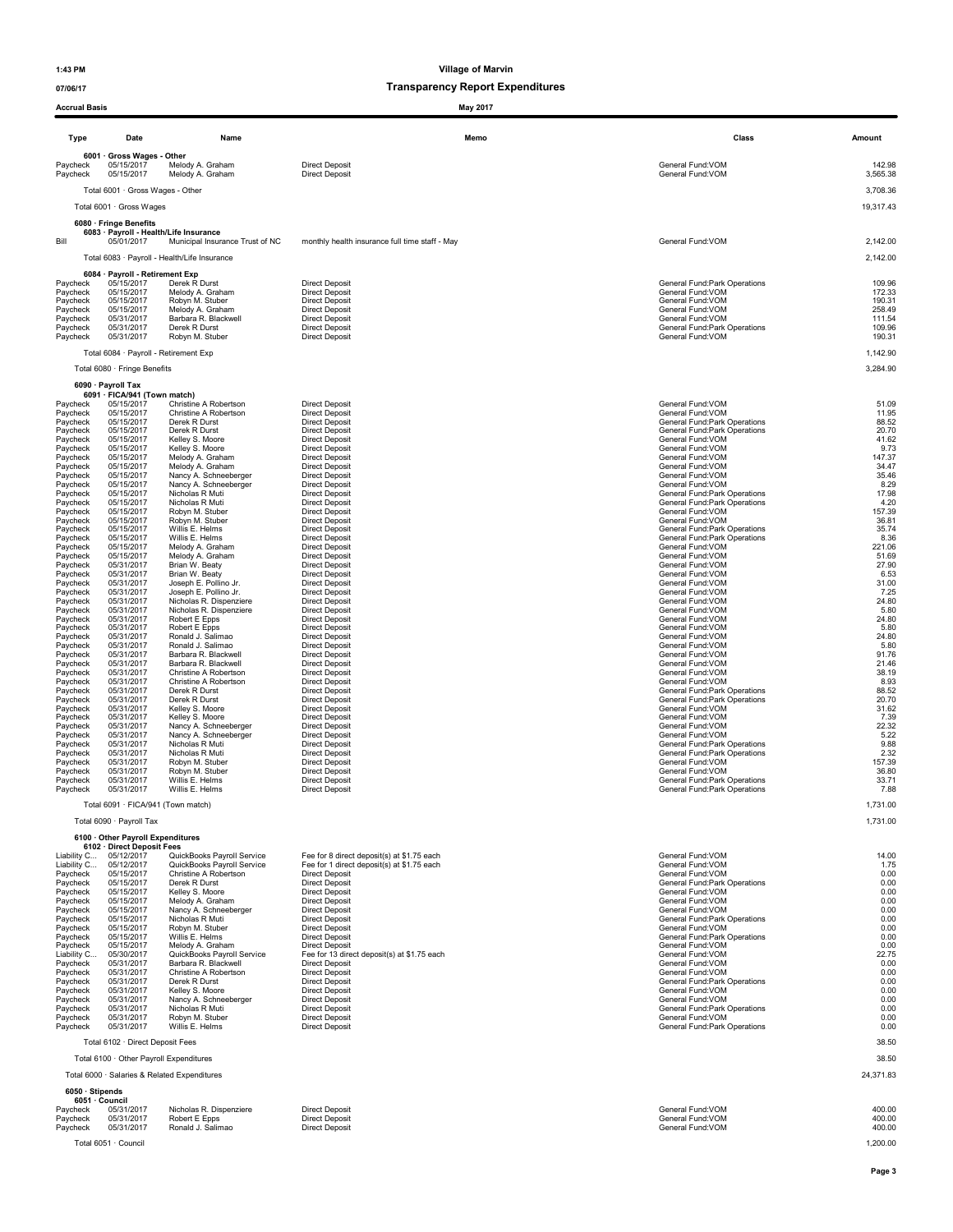### 07/06/17 07/06/17

Accrual Basis May 2017

| <b>Type</b>                      | Date                                                          | Name                                         | Memo                                           | Class                                             | Amount             |
|----------------------------------|---------------------------------------------------------------|----------------------------------------------|------------------------------------------------|---------------------------------------------------|--------------------|
| Paycheck<br>Paycheck             | 6001 · Gross Wages - Other<br>05/15/2017<br>05/15/2017        | Melody A. Graham<br>Melody A. Graham         | <b>Direct Deposit</b><br><b>Direct Deposit</b> | General Fund:VOM<br>General Fund: VOM             | 142.98<br>3,565.38 |
|                                  | Total 6001 · Gross Wages - Other                              |                                              |                                                |                                                   | 3,708.36           |
|                                  | Total 6001 · Gross Wages                                      |                                              |                                                |                                                   | 19,317.43          |
|                                  | 6080 · Fringe Benefits                                        | 6083 · Payroll - Health/Life Insurance       |                                                |                                                   |                    |
| Bill                             | 05/01/2017                                                    | Municipal Insurance Trust of NC              | monthly health insurance full time staff - May | General Fund: VOM                                 | 2,142.00           |
|                                  |                                                               | Total 6083 · Payroll - Health/Life Insurance |                                                |                                                   | 2,142.00           |
| Paycheck                         | 6084 · Payroll - Retirement Exp<br>05/15/2017                 | Derek R Durst                                | <b>Direct Deposit</b>                          | General Fund: Park Operations                     | 109.96             |
| Paycheck                         | 05/15/2017                                                    | Melody A. Graham                             | <b>Direct Deposit</b>                          | General Fund:VOM                                  | 172.33             |
| Paycheck                         | 05/15/2017                                                    | Robyn M. Stuber                              | <b>Direct Deposit</b>                          | General Fund:VOM                                  | 190.31             |
| Paycheck                         | 05/15/2017                                                    | Melody A. Graham                             | <b>Direct Deposit</b>                          | General Fund: VOM                                 | 258.49             |
|                                  | 05/31/2017                                                    | Barbara R. Blackwell                         | <b>Direct Deposit</b>                          | General Fund: VOM                                 | 111.54             |
| Paycheck<br>Paycheck<br>Paycheck | 05/31/2017                                                    | Derek R Durst                                | <b>Direct Deposit</b>                          | General Fund: Park Operations<br>General Fund:VOM | 109.96             |
|                                  | 05/31/2017<br>Total 6084 · Payroll - Retirement Exp           | Robyn M. Stuber                              | <b>Direct Deposit</b>                          |                                                   | 190.31<br>1,142.90 |
|                                  | Total 6080 · Fringe Benefits                                  |                                              |                                                |                                                   | 3,284.90           |
|                                  | 6090 · Payroll Tax                                            |                                              |                                                |                                                   |                    |
| Paycheck                         | 6091 · FICA/941 (Town match)<br>05/15/2017                    | Christine A Robertson                        | <b>Direct Deposit</b>                          | General Fund:VOM                                  | 51.09              |
| Paycheck                         | 05/15/2017                                                    | Christine A Robertson                        | <b>Direct Deposit</b>                          | General Fund: VOM                                 | 11.95              |
| Paycheck                         | 05/15/2017                                                    | Derek R Durst                                | <b>Direct Deposit</b>                          | General Fund: Park Operations                     | 88.52              |
| Paycheck                         | 05/15/2017                                                    | Derek R Durst                                | <b>Direct Deposit</b>                          | General Fund: Park Operations                     | 20.70              |
| Paycheck                         | 05/15/2017                                                    | Kelley S. Moore                              | <b>Direct Deposit</b>                          | General Fund:VOM                                  | 41.62              |
| Paycheck                         | 05/15/2017                                                    | Kelley S. Moore                              | Direct Deposit                                 | General Fund: VOM                                 | 9.73               |
| Paycheck                         | 05/15/2017                                                    | Melody A. Graham                             | <b>Direct Deposit</b>                          | General Fund: VOM                                 | 147.37             |
| Pavcheck                         | 05/15/2017                                                    | Melody A. Graham                             | <b>Direct Deposit</b>                          | General Fund: VOM                                 | 34.47              |
| Paycheck                         | 05/15/2017                                                    | Nancy A. Schneeberger                        | <b>Direct Deposit</b>                          | General Fund: VOM                                 | 35.46              |
| Paycheck                         | 05/15/2017                                                    | Nancy A. Schneeberger                        | <b>Direct Deposit</b>                          | General Fund: VOM                                 | 8.29               |
| Paycheck                         | 05/15/2017                                                    | Nicholas R Muti                              | <b>Direct Deposit</b>                          | General Fund: Park Operations                     | 17.98              |
| Paycheck                         | 05/15/2017                                                    | Nicholas R Muti                              | <b>Direct Deposit</b>                          | General Fund: Park Operations                     | 4.20               |
| Paycheck                         | 05/15/2017                                                    | Robyn M. Stuber                              | <b>Direct Deposit</b>                          | General Fund: VOM                                 | 157.39             |
| Paycheck                         | 05/15/2017                                                    | Robyn M. Stuber                              | <b>Direct Deposit</b>                          | General Fund: VOM                                 | 36.81              |
| Paycheck                         | 05/15/2017                                                    | Willis E. Helms                              | <b>Direct Deposit</b>                          | General Fund: Park Operations                     | 35.74              |
| Paycheck                         | 05/15/2017                                                    | Willis E. Helms                              | <b>Direct Deposit</b>                          | General Fund: Park Operations                     | 8.36               |
| Paycheck                         | 05/15/2017                                                    | Melody A. Graham                             | <b>Direct Deposit</b>                          | General Fund:VOM                                  | 221.06             |
| Paycheck                         | 05/15/2017                                                    | Melody A. Graham                             | Direct Deposit                                 | General Fund: VOM                                 | 51.69              |
| Paycheck                         | 05/31/2017                                                    | Brian W. Beaty                               | <b>Direct Deposit</b>                          | General Fund: VOM                                 | 27.90              |
| Paycheck                         | 05/31/2017                                                    | Brian W. Beaty                               | <b>Direct Deposit</b>                          | General Fund: VOM                                 | 6.53               |
| Paycheck                         | 05/31/2017                                                    | Joseph E. Pollino Jr.                        | <b>Direct Deposit</b>                          | General Fund: VOM                                 | 31.00              |
| Paycheck                         | 05/31/2017                                                    | Joseph E. Pollino Jr.                        | <b>Direct Deposit</b>                          | General Fund: VOM                                 | 7.25               |
| Paycheck                         | 05/31/2017                                                    | Nicholas R. Dispenziere                      | <b>Direct Deposit</b>                          | General Fund: VOM                                 | 24.80              |
| Paycheck                         | 05/31/2017                                                    | Nicholas R. Dispenziere                      | <b>Direct Deposit</b>                          | General Fund:VOM                                  | 5.80               |
| Paycheck                         | 05/31/2017                                                    | Robert E Epps                                | <b>Direct Deposit</b>                          | General Fund: VOM                                 | 24.80              |
| Paycheck                         | 05/31/2017                                                    | Robert E Epps                                | <b>Direct Deposit</b>                          | General Fund:VOM                                  | 5.80               |
| Paycheck                         | 05/31/2017                                                    | Ronald J. Salimao                            | <b>Direct Deposit</b>                          | General Fund:VOM                                  | 24.80              |
| Paycheck                         | 05/31/2017                                                    | Ronald J. Salimao                            | <b>Direct Deposit</b>                          | General Fund: VOM                                 | 5.80               |
| Paycheck                         | 05/31/2017                                                    | Barbara R. Blackwell                         | <b>Direct Deposit</b>                          | General Fund: VOM                                 | 91.76              |
| Paycheck                         | 05/31/2017                                                    | Barbara R. Blackwell                         | <b>Direct Deposit</b>                          | General Fund: VOM                                 | 21.46              |
| Paycheck                         | 05/31/2017                                                    | Christine A Robertson                        | Direct Deposit                                 | General Fund: VOM                                 | 38.19              |
| Paycheck                         | 05/31/2017                                                    | Christine A Robertson                        | <b>Direct Deposit</b>                          | General Fund: VOM                                 | 8.93               |
| Paycheck                         | 05/31/2017                                                    | Derek R Durst                                | <b>Direct Deposit</b>                          | General Fund: Park Operations                     | 88.52              |
| Paycheck                         | 05/31/2017                                                    | Derek R Durst                                | <b>Direct Deposit</b>                          | General Fund: Park Operations                     | 20.70              |
| Paycheck                         | 05/31/2017                                                    | Kelley S. Moore                              | <b>Direct Deposit</b>                          | General Fund:VOM                                  | 31.62              |
| Paycheck                         | 05/31/2017                                                    | Kelley S. Moore                              | <b>Direct Deposit</b>                          | General Fund:VOM                                  | 7.39               |
| Paycheck                         | 05/31/2017                                                    | Nancy A. Schneeberger                        | <b>Direct Deposit</b>                          | General Fund:VOM                                  | 22.32              |
| Paycheck                         | 05/31/2017                                                    | Nancy A. Schneeberger                        | <b>Direct Deposit</b>                          | General Fund: VOM                                 | 5.22               |
| Paycheck                         | 05/31/2017                                                    | Nicholas R Muti                              | <b>Direct Deposit</b>                          | General Fund: Park Operations                     | 9.88               |
| Paycheck                         | 05/31/2017                                                    | Nicholas R Muti                              | <b>Direct Deposit</b>                          | General Fund: Park Operations                     | 2.32               |
| Paycheck                         | 05/31/2017                                                    | Robyn M. Stuber                              | <b>Direct Deposit</b>                          | General Fund: VOM                                 | 157.39             |
| Paycheck                         | 05/31/2017                                                    | Robyn M. Stuber                              | <b>Direct Deposit</b>                          | General Fund: VOM                                 | 36.80              |
| Paycheck                         | 05/31/2017                                                    | Willis E. Helms                              | <b>Direct Deposit</b>                          | General Fund: Park Operations                     | 33.71              |
| Paycheck                         | 05/31/2017                                                    | Willis E. Helms                              | <b>Direct Deposit</b>                          | General Fund: Park Operations                     | 7.88               |
|                                  | Total 6091 · FICA/941 (Town match)                            |                                              |                                                |                                                   | 1,731.00           |
|                                  | Total 6090 · Payroll Tax                                      |                                              |                                                |                                                   | 1,731.00           |
|                                  | 6100 Other Payroll Expenditures<br>6102 · Direct Deposit Fees |                                              |                                                |                                                   |                    |
| Liability C                      | Liability C 05/12/2017                                        | QuickBooks Payroll Service                   | Fee for 8 direct deposit(s) at \$1.75 each     | General Fund: VOM                                 | 14.00              |
|                                  | 05/12/2017                                                    | QuickBooks Payroll Service                   | Fee for 1 direct deposit(s) at \$1.75 each     | General Fund: VOM                                 | 1.75               |
| Paycheck                         | 05/15/2017                                                    | Christine A Robertson                        | <b>Direct Deposit</b>                          | General Fund: VOM                                 | 0.00               |
| Paycheck                         | 05/15/2017                                                    | Derek R Durst                                | <b>Direct Deposit</b>                          | General Fund: Park Operations                     | 0.00               |
| Paycheck                         | 05/15/2017                                                    | Kelley S. Moore                              | <b>Direct Deposit</b>                          | General Fund: VOM                                 | 0.00               |
| Paycheck                         | 05/15/2017                                                    | Melody A. Graham                             | <b>Direct Deposit</b>                          | General Fund: VOM                                 | 0.00               |
| Paycheck                         | 05/15/2017                                                    | Nancy A. Schneeberger                        | <b>Direct Deposit</b>                          | General Fund: VOM                                 | 0.00               |
| Paycheck                         | 05/15/2017                                                    | Nicholas R Muti                              | <b>Direct Deposit</b>                          | General Fund: Park Operations                     | 0.00               |
| Paycheck                         | 05/15/2017                                                    | Robyn M. Stuber<br>Willis E. Helms           | <b>Direct Deposit</b>                          | General Fund: VOM                                 | 0.00               |
| Paycheck                         | 05/15/2017                                                    | Melody A. Graham                             | <b>Direct Deposit</b>                          | General Fund: Park Operations                     | 0.00               |
| Paycheck                         | 05/15/2017                                                    |                                              | <b>Direct Deposit</b>                          | General Fund: VOM                                 | 0.00               |
| Liability C                      | 05/30/2017                                                    | QuickBooks Payroll Service                   | Fee for 13 direct deposit(s) at \$1.75 each    | General Fund:VOM                                  | 22.75              |
| Paycheck                         | 05/31/2017                                                    | Barbara R. Blackwell                         | <b>Direct Deposit</b>                          | General Fund: VOM                                 | 0.00               |
| Paycheck                         | 05/31/2017                                                    | Christine A Robertson                        | <b>Direct Deposit</b>                          | General Fund:VOM                                  | 0.00               |
| Paycheck                         | 05/31/2017                                                    | Derek R Durst                                | <b>Direct Deposit</b>                          | General Fund: Park Operations                     | 0.00               |
| Paycheck                         | 05/31/2017                                                    | Kelley S. Moore                              | <b>Direct Deposit</b>                          | General Fund:VOM                                  | 0.00               |
| Paycheck                         | 05/31/2017                                                    | Nancy A. Schneeberger                        | <b>Direct Deposit</b>                          | General Fund: VOM                                 | 0.00               |
| Paycheck                         | 05/31/2017                                                    | Nicholas R Muti                              | <b>Direct Deposit</b>                          | General Fund: Park Operations                     | 0.00               |
| Paycheck                         | 05/31/2017                                                    | Robyn M. Stuber                              | <b>Direct Deposit</b>                          | General Fund: VOM                                 | 0.00               |
| Paycheck                         | 05/31/2017                                                    | Willis E. Helms                              | <b>Direct Deposit</b>                          | General Fund: Park Operations                     | 0.00               |
|                                  | Total 6102 · Direct Deposit Fees                              |                                              |                                                |                                                   | 38.50              |
|                                  | Total 6100 · Other Payroll Expenditures                       |                                              |                                                |                                                   | 38.50              |
| 6050 · Stipends                  |                                                               | Total 6000 · Salaries & Related Expenditures |                                                |                                                   | 24,371.83          |
|                                  | 6051 · Council                                                |                                              |                                                |                                                   |                    |
| Paycheck                         | 05/31/2017                                                    | Nicholas R. Dispenziere                      | <b>Direct Deposit</b>                          | General Fund:VOM                                  | 400.00             |
| Paycheck                         | 05/31/2017                                                    | Robert E Epps                                | <b>Direct Deposit</b>                          | General Fund:VOM                                  | 400.00             |
| Paycheck                         | 05/31/2017                                                    | Ronald J. Salimao                            | <b>Direct Deposit</b>                          | General Fund: VOM                                 | 400.00             |
|                                  | Total 6051 · Council                                          |                                              |                                                |                                                   | 1,200.00           |
|                                  |                                                               |                                              |                                                |                                                   | Page 3             |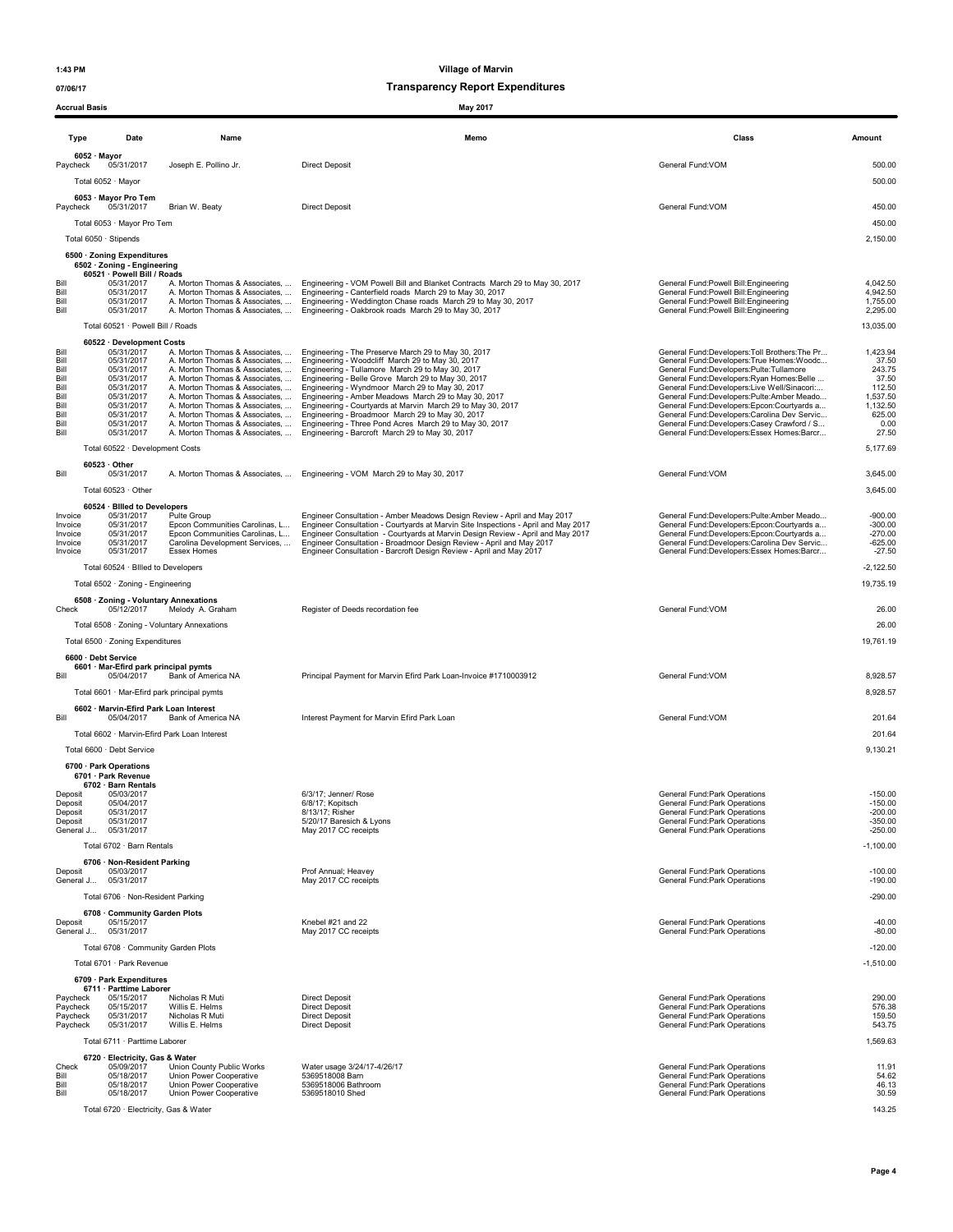| <b>Accrual Basis</b> |                                                                            |                                                                  | May 2017                                                                                                                                                                        |                                                                                           |                        |
|----------------------|----------------------------------------------------------------------------|------------------------------------------------------------------|---------------------------------------------------------------------------------------------------------------------------------------------------------------------------------|-------------------------------------------------------------------------------------------|------------------------|
| Type                 | Date                                                                       | Name                                                             | Memo                                                                                                                                                                            | Class                                                                                     | Amount                 |
| Paycheck             | 6052 · Mayor<br>05/31/2017<br>Total 6052 · Mayor                           | Joseph E. Pollino Jr.                                            | <b>Direct Deposit</b>                                                                                                                                                           | General Fund: VOM                                                                         | 500.00<br>500.00       |
| Paycheck             | 6053 · Mayor Pro Tem<br>05/31/2017                                         | Brian W. Beaty                                                   | <b>Direct Deposit</b>                                                                                                                                                           | General Fund: VOM                                                                         | 450.00                 |
|                      | Total 6053 · Mayor Pro Tem                                                 |                                                                  |                                                                                                                                                                                 |                                                                                           | 450.00                 |
|                      | Total 6050 · Stipends                                                      |                                                                  |                                                                                                                                                                                 |                                                                                           | 2,150.00               |
|                      | 6500 · Zoning Expenditures                                                 |                                                                  |                                                                                                                                                                                 |                                                                                           |                        |
|                      | 6502 · Zoning - Engineering<br>60521 · Powell Bill / Roads                 |                                                                  |                                                                                                                                                                                 |                                                                                           |                        |
| Bill<br>Bill         | 05/31/2017<br>05/31/2017                                                   | A. Morton Thomas & Associates,                                   | A. Morton Thomas & Associates,  Engineering - VOM Powell Bill and Blanket Contracts March 29 to May 30, 2017<br>Engineering - Canterfield roads March 29 to May 30, 2017        | General Fund: Powell Bill: Engineering<br>General Fund: Powell Bill: Engineering          | 4,042.50<br>4,942.50   |
| Bill                 | 05/31/2017                                                                 | A. Morton Thomas & Associates,                                   | Engineering - Weddington Chase roads March 29 to May 30, 2017                                                                                                                   | General Fund: Powell Bill: Engineering                                                    | 1,755.00               |
| Bill                 | 05/31/2017                                                                 | A. Morton Thomas & Associates,                                   | Engineering - Oakbrook roads March 29 to May 30, 2017                                                                                                                           | General Fund:Powell Bill:Engineering                                                      | 2,295.00               |
|                      | Total 60521 · Powell Bill / Roads                                          |                                                                  |                                                                                                                                                                                 |                                                                                           | 13,035.00              |
| Bill                 | 60522 · Development Costs<br>05/31/2017                                    | A. Morton Thomas & Associates,                                   | Engineering - The Preserve March 29 to May 30, 2017                                                                                                                             | General Fund:Developers:Toll Brothers:The Pr                                              | 1,423.94               |
| Bill<br>Bill         | 05/31/2017<br>05/31/2017                                                   | A. Morton Thomas & Associates,<br>A. Morton Thomas & Associates, | Engineering - Woodcliff March 29 to May 30, 2017<br>Engineering - Tullamore March 29 to May 30, 2017                                                                            | General Fund:Developers:True Homes:Woodc<br>General Fund:Developers:Pulte:Tullamore       | 37.50<br>243.75        |
| Bill                 | 05/31/2017                                                                 | A. Morton Thomas & Associates,                                   | Engineering - Belle Grove March 29 to May 30, 2017                                                                                                                              | General Fund:Developers:Ryan Homes:Belle                                                  | 37.50                  |
| Bill<br>Bill         | 05/31/2017<br>05/31/2017                                                   | A. Morton Thomas & Associates,<br>A. Morton Thomas & Associates, | Engineering - Wyndmoor March 29 to May 30, 2017<br>Engineering - Amber Meadows March 29 to May 30, 2017                                                                         | General Fund:Developers:Live Well/Sinacori:<br>General Fund:Developers:Pulte:Amber Meado  | 112.50<br>1,537.50     |
| Bill<br>Bill         | 05/31/2017<br>05/31/2017                                                   |                                                                  | A. Morton Thomas & Associates,  Engineering - Courtyards at Marvin March 29 to May 30, 2017<br>A. Morton Thomas & Associates,  Engineering - Broadmoor March 29 to May 30, 2017 | General Fund:Developers:Epcon:Courtyards a<br>General Fund:Developers:Carolina Dev Servic | 1,132.50<br>625.00     |
| Bill                 | 05/31/2017                                                                 | A. Morton Thomas & Associates,                                   | Engineering - Three Pond Acres March 29 to May 30, 2017                                                                                                                         | General Fund:Developers:Casey Crawford / S                                                | 0.00                   |
| Bill                 | 05/31/2017                                                                 |                                                                  | A. Morton Thomas & Associates,  Engineering - Barcroft March 29 to May 30, 2017                                                                                                 | General Fund:Developers:Essex Homes:Barcr                                                 | 27.50                  |
|                      | Total 60522 · Development Costs                                            |                                                                  |                                                                                                                                                                                 |                                                                                           | 5,177.69               |
| Bill                 | $60523 \cdot$ Other<br>05/31/2017                                          | A. Morton Thomas & Associates,                                   | Engineering - VOM March 29 to May 30, 2017                                                                                                                                      | General Fund: VOM                                                                         | 3,645.00               |
|                      | Total 60523 · Other                                                        |                                                                  |                                                                                                                                                                                 |                                                                                           | 3,645.00               |
|                      | 60524 · Billed to Developers                                               |                                                                  |                                                                                                                                                                                 |                                                                                           |                        |
| Invoice<br>Invoice   | 05/31/2017<br>05/31/2017                                                   | Pulte Group<br>Epcon Communities Carolinas, L                    | Engineer Consultation - Amber Meadows Design Review - April and May 2017<br>Engineer Consultation - Courtyards at Marvin Site Inspections - April and May 2017                  | General Fund:Developers:Pulte:Amber Meado<br>General Fund:Developers:Epcon:Courtyards a   | $-900.00$<br>$-300.00$ |
| Invoice              | 05/31/2017                                                                 | Epcon Communities Carolinas, L                                   | Engineer Consultation - Courtyards at Marvin Design Review - April and May 2017                                                                                                 | General Fund:Developers:Epcon:Courtvards a                                                | $-270.00$              |
| Invoice<br>Invoice   | 05/31/2017<br>05/31/2017                                                   | Carolina Development Services,<br>Essex Homes                    | Engineer Consultation - Broadmoor Design Review - April and May 2017<br>Engineer Consultation - Barcroft Design Review - April and May 2017                                     | General Fund:Developers:Carolina Dev Servic<br>General Fund:Developers:Essex Homes:Barcr  | $-625.00$<br>$-27.50$  |
|                      | Total 60524 · Billed to Developers                                         |                                                                  |                                                                                                                                                                                 |                                                                                           | $-2,122.50$            |
|                      | Total 6502 · Zoning - Engineering                                          |                                                                  |                                                                                                                                                                                 |                                                                                           | 19,735.19              |
|                      | 6508 · Zoning - Voluntary Annexations                                      |                                                                  |                                                                                                                                                                                 |                                                                                           |                        |
| Check                | 05/12/2017                                                                 | Melody A. Graham                                                 | Register of Deeds recordation fee                                                                                                                                               | General Fund: VOM                                                                         | 26.00                  |
|                      |                                                                            | Total 6508 · Zoning - Voluntary Annexations                      |                                                                                                                                                                                 |                                                                                           | 26.00                  |
|                      | Total 6500 · Zoning Expenditures                                           |                                                                  |                                                                                                                                                                                 |                                                                                           | 19,761.19              |
| Bill                 | 6600 · Debt Service<br>6601 · Mar-Efird park principal pymts<br>05/04/2017 | Bank of America NA                                               | Principal Payment for Marvin Efird Park Loan-Invoice #1710003912                                                                                                                | General Fund:VOM                                                                          | 8,928.57               |
|                      | Total 6601 · Mar-Efird park principal pymts                                |                                                                  |                                                                                                                                                                                 |                                                                                           | 8,928.57               |
|                      | 6602 · Marvin-Efird Park Loan Interest                                     |                                                                  |                                                                                                                                                                                 |                                                                                           |                        |
| Bill                 | 05/04/2017                                                                 | Bank of America NA                                               | Interest Payment for Marvin Efird Park Loan                                                                                                                                     | General Fund:VOM                                                                          | 201.64                 |
|                      |                                                                            | Total 6602 · Marvin-Efird Park Loan Interest                     |                                                                                                                                                                                 |                                                                                           | 201.64                 |
|                      | Total 6600 · Debt Service                                                  |                                                                  |                                                                                                                                                                                 |                                                                                           | 9,130.21               |
|                      | 6700 · Park Operations<br>6701 · Park Revenue                              |                                                                  |                                                                                                                                                                                 |                                                                                           |                        |
| Deposit              | 6702 · Barn Rentals<br>05/03/2017                                          |                                                                  | 6/3/17; Jenner/ Rose                                                                                                                                                            | General Fund: Park Operations                                                             | $-150.00$              |
| Deposit              | 05/04/2017                                                                 |                                                                  | 6/8/17; Kopitsch                                                                                                                                                                | General Fund: Park Operations                                                             | $-150.00$              |
| Deposit<br>Deposit   | 05/31/2017<br>05/31/2017                                                   |                                                                  | 8/13/17; Risher<br>5/20/17 Baresich & Lyons                                                                                                                                     | General Fund:Park Operations<br>General Fund: Park Operations                             | $-200.00$<br>$-350.00$ |
| General J            | 05/31/2017                                                                 |                                                                  | May 2017 CC receipts                                                                                                                                                            | General Fund:Park Operations                                                              | $-250.00$              |
|                      | Total 6702 · Barn Rentals                                                  |                                                                  |                                                                                                                                                                                 |                                                                                           | $-1,100.00$            |
| Deposit              | 6706 · Non-Resident Parking<br>05/03/2017                                  |                                                                  | Prof Annual; Heavey                                                                                                                                                             | General Fund: Park Operations                                                             | $-100.00$              |
| General J            | 05/31/2017                                                                 |                                                                  | May 2017 CC receipts                                                                                                                                                            | General Fund: Park Operations                                                             | $-190.00$              |
|                      | Total 6706 · Non-Resident Parking                                          |                                                                  |                                                                                                                                                                                 |                                                                                           | $-290.00$              |
|                      | 6708 Community Garden Plots                                                |                                                                  |                                                                                                                                                                                 |                                                                                           |                        |
| Deposit<br>General J | 05/15/2017<br>05/31/2017                                                   |                                                                  | Knebel #21 and 22<br>May 2017 CC receipts                                                                                                                                       | General Fund: Park Operations<br>General Fund: Park Operations                            | $-40.00$<br>$-80.00$   |
|                      | Total 6708 · Community Garden Plots                                        |                                                                  |                                                                                                                                                                                 |                                                                                           | $-120.00$              |
|                      | Total 6701 · Park Revenue                                                  |                                                                  |                                                                                                                                                                                 |                                                                                           | $-1,510.00$            |
|                      | 6709 · Park Expenditures                                                   |                                                                  |                                                                                                                                                                                 |                                                                                           |                        |
| Paycheck             | 6711 · Parttime Laborer<br>05/15/2017                                      | Nicholas R Muti                                                  | <b>Direct Deposit</b>                                                                                                                                                           | General Fund: Park Operations                                                             | 290.00                 |
| Paycheck             | 05/15/2017                                                                 | Willis E. Helms                                                  | <b>Direct Deposit</b>                                                                                                                                                           | General Fund: Park Operations                                                             | 576.38                 |
| Paycheck<br>Paycheck | 05/31/2017<br>05/31/2017                                                   | Nicholas R Muti<br>Willis E. Helms                               | <b>Direct Deposit</b><br><b>Direct Deposit</b>                                                                                                                                  | General Fund: Park Operations<br>General Fund: Park Operations                            | 159.50<br>543.75       |
|                      | Total 6711 · Parttime Laborer                                              |                                                                  |                                                                                                                                                                                 |                                                                                           | 1,569.63               |
|                      | 6720 · Electricity, Gas & Water                                            |                                                                  |                                                                                                                                                                                 |                                                                                           |                        |
| Check<br>Bill        | 05/09/2017<br>05/18/2017                                                   | Union County Public Works<br>Union Power Cooperative             | Water usage 3/24/17-4/26/17<br>5369518008 Barn                                                                                                                                  | General Fund: Park Operations<br>General Fund: Park Operations                            | 11.91<br>54.62         |
| Bill                 | 05/18/2017                                                                 | Union Power Cooperative                                          | 5369518006 Bathroom                                                                                                                                                             | General Fund: Park Operations                                                             | 46.13                  |
| Bill                 | 05/18/2017                                                                 | Union Power Cooperative                                          | 5369518010 Shed                                                                                                                                                                 | General Fund: Park Operations                                                             | 30.59                  |
|                      | Total 6720 · Electricity, Gas & Water                                      |                                                                  |                                                                                                                                                                                 |                                                                                           | 143.25                 |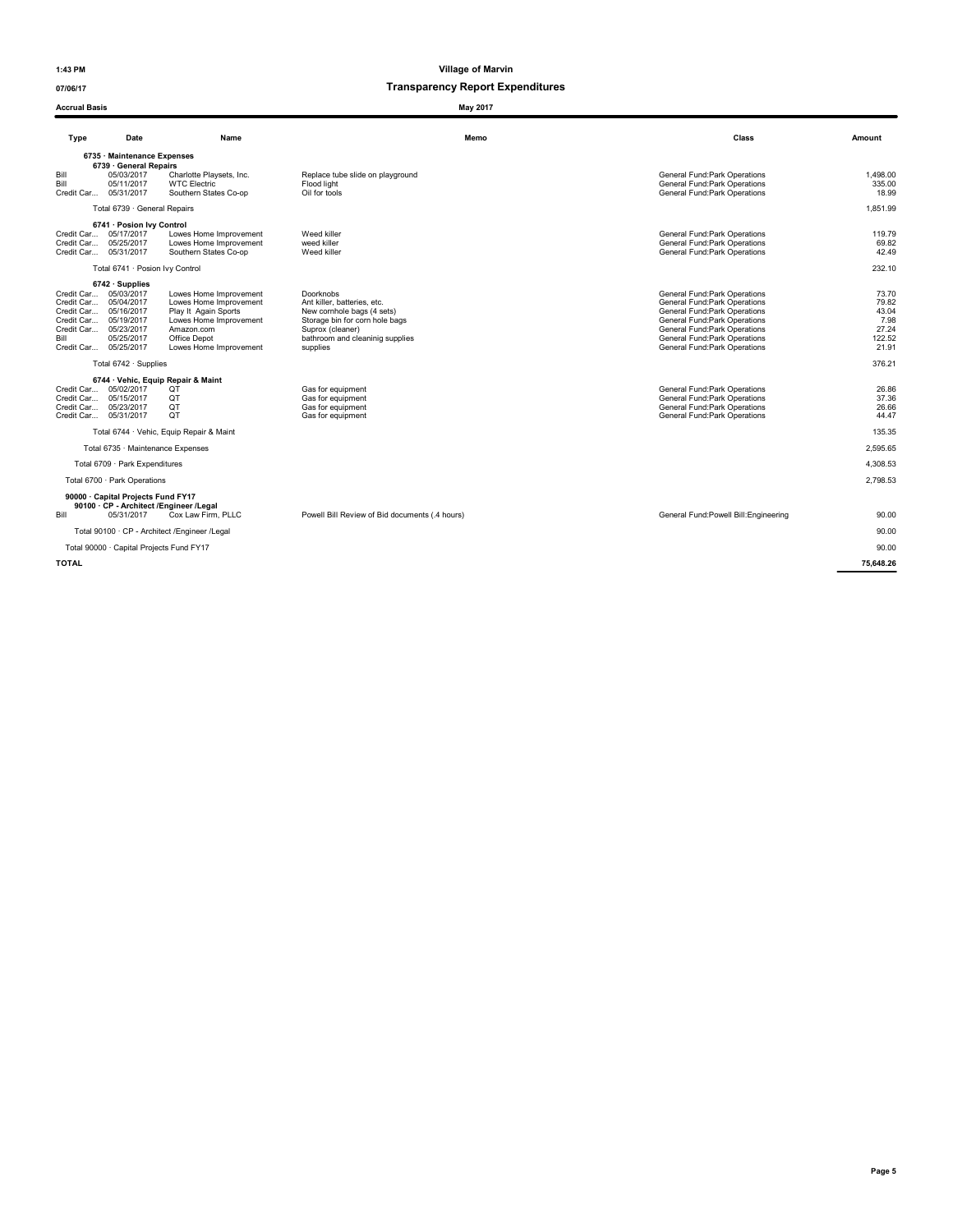Accrual Basis May 2017

1:43 PM Village of Marvin

| Type                                                                                                                                 | Date                                                            | Name                                                                                                                                                       |                                                                                                                                                                             | Memo | Class                                                                                                                                                                                                                             | Amount                                                      |  |
|--------------------------------------------------------------------------------------------------------------------------------------|-----------------------------------------------------------------|------------------------------------------------------------------------------------------------------------------------------------------------------------|-----------------------------------------------------------------------------------------------------------------------------------------------------------------------------|------|-----------------------------------------------------------------------------------------------------------------------------------------------------------------------------------------------------------------------------------|-------------------------------------------------------------|--|
| 6735 Maintenance Expenses<br>6739 · General Repairs                                                                                  |                                                                 |                                                                                                                                                            |                                                                                                                                                                             |      |                                                                                                                                                                                                                                   |                                                             |  |
| Bill<br>Bill<br>Credit Car 05/31/2017                                                                                                | 05/03/2017<br>05/11/2017                                        | Charlotte Playsets, Inc.<br><b>WTC Electric</b><br>Southern States Co-op                                                                                   | Replace tube slide on playground<br>Flood light<br>Oil for tools                                                                                                            |      | General Fund: Park Operations<br>General Fund: Park Operations<br>General Fund: Park Operations                                                                                                                                   | 1.498.00<br>335.00<br>18.99                                 |  |
|                                                                                                                                      | Total 6739 · General Repairs                                    |                                                                                                                                                            |                                                                                                                                                                             |      |                                                                                                                                                                                                                                   | 1.851.99                                                    |  |
| Credit Car 05/17/2017<br>Credit Car 05/25/2017<br>Credit Car 05/31/2017                                                              | 6741 · Posion Ivy Control                                       | Lowes Home Improvement<br>Lowes Home Improvement<br>Southern States Co-op                                                                                  | Weed killer<br>weed killer<br>Weed killer                                                                                                                                   |      | General Fund:Park Operations<br>General Fund:Park Operations<br>General Fund:Park Operations                                                                                                                                      | 119.79<br>69.82<br>42.49                                    |  |
|                                                                                                                                      | Total 6741 · Posion Ivy Control                                 |                                                                                                                                                            |                                                                                                                                                                             |      |                                                                                                                                                                                                                                   | 232.10                                                      |  |
| Credit Car<br>Credit Car<br>Credit Car 05/16/2017<br>Credit Car 05/19/2017<br>Credit Car 05/23/2017<br>Bill<br>Credit Car 05/25/2017 | $6742 \cdot$ Supplies<br>05/03/2017<br>05/04/2017<br>05/25/2017 | Lowes Home Improvement<br>Lowes Home Improvement<br>Play It Again Sports<br>Lowes Home Improvement<br>Amazon.com<br>Office Depot<br>Lowes Home Improvement | Doorknobs<br>Ant killer, batteries, etc.<br>New cornhole bags (4 sets)<br>Storage bin for corn hole bags<br>Suprox (cleaner)<br>bathroom and cleaninig supplies<br>supplies |      | General Fund: Park Operations<br>General Fund: Park Operations<br>General Fund:Park Operations<br>General Fund:Park Operations<br>General Fund: Park Operations<br>General Fund: Park Operations<br>General Fund: Park Operations | 73.70<br>79.82<br>43.04<br>7.98<br>27.24<br>122.52<br>21.91 |  |
|                                                                                                                                      | Total 6742 · Supplies                                           |                                                                                                                                                            |                                                                                                                                                                             |      |                                                                                                                                                                                                                                   | 376.21                                                      |  |
| Credit Car<br>Credit Car<br>Credit Car<br>Credit Car 05/31/2017                                                                      | 05/02/2017<br>05/15/2017<br>05/23/2017                          | 6744 · Vehic, Equip Repair & Maint<br>QT<br><b>OT</b><br>QT<br>QT                                                                                          | Gas for equipment<br>Gas for equipment<br>Gas for equipment<br>Gas for equipment                                                                                            |      | General Fund: Park Operations<br>General Fund:Park Operations<br>General Fund:Park Operations<br>General Fund:Park Operations                                                                                                     | 26.86<br>37.36<br>26.66<br>44.47                            |  |
|                                                                                                                                      |                                                                 | Total 6744 · Vehic, Equip Repair & Maint                                                                                                                   |                                                                                                                                                                             |      |                                                                                                                                                                                                                                   | 135.35                                                      |  |
|                                                                                                                                      | Total 6735 · Maintenance Expenses                               |                                                                                                                                                            |                                                                                                                                                                             |      |                                                                                                                                                                                                                                   | 2.595.65                                                    |  |
|                                                                                                                                      | Total 6709 · Park Expenditures                                  |                                                                                                                                                            |                                                                                                                                                                             |      |                                                                                                                                                                                                                                   | 4.308.53                                                    |  |
|                                                                                                                                      | Total 6700 · Park Operations                                    |                                                                                                                                                            |                                                                                                                                                                             |      |                                                                                                                                                                                                                                   | 2.798.53                                                    |  |
| Bill                                                                                                                                 | 90000 · Capital Projects Fund FY17<br>05/31/2017                | 90100 · CP - Architect /Engineer /Legal<br>Cox Law Firm, PLLC                                                                                              | Powell Bill Review of Bid documents (.4 hours)                                                                                                                              |      | General Fund: Powell Bill: Engineering                                                                                                                                                                                            | 90.00                                                       |  |
|                                                                                                                                      |                                                                 | Total 90100 · CP - Architect / Engineer / Legal                                                                                                            |                                                                                                                                                                             |      |                                                                                                                                                                                                                                   | 90.00                                                       |  |
|                                                                                                                                      | Total 90000 · Capital Projects Fund FY17                        |                                                                                                                                                            |                                                                                                                                                                             |      |                                                                                                                                                                                                                                   | 90.00                                                       |  |
| <b>TOTAL</b>                                                                                                                         |                                                                 |                                                                                                                                                            |                                                                                                                                                                             |      |                                                                                                                                                                                                                                   | 75,648.26                                                   |  |
|                                                                                                                                      |                                                                 |                                                                                                                                                            |                                                                                                                                                                             |      |                                                                                                                                                                                                                                   |                                                             |  |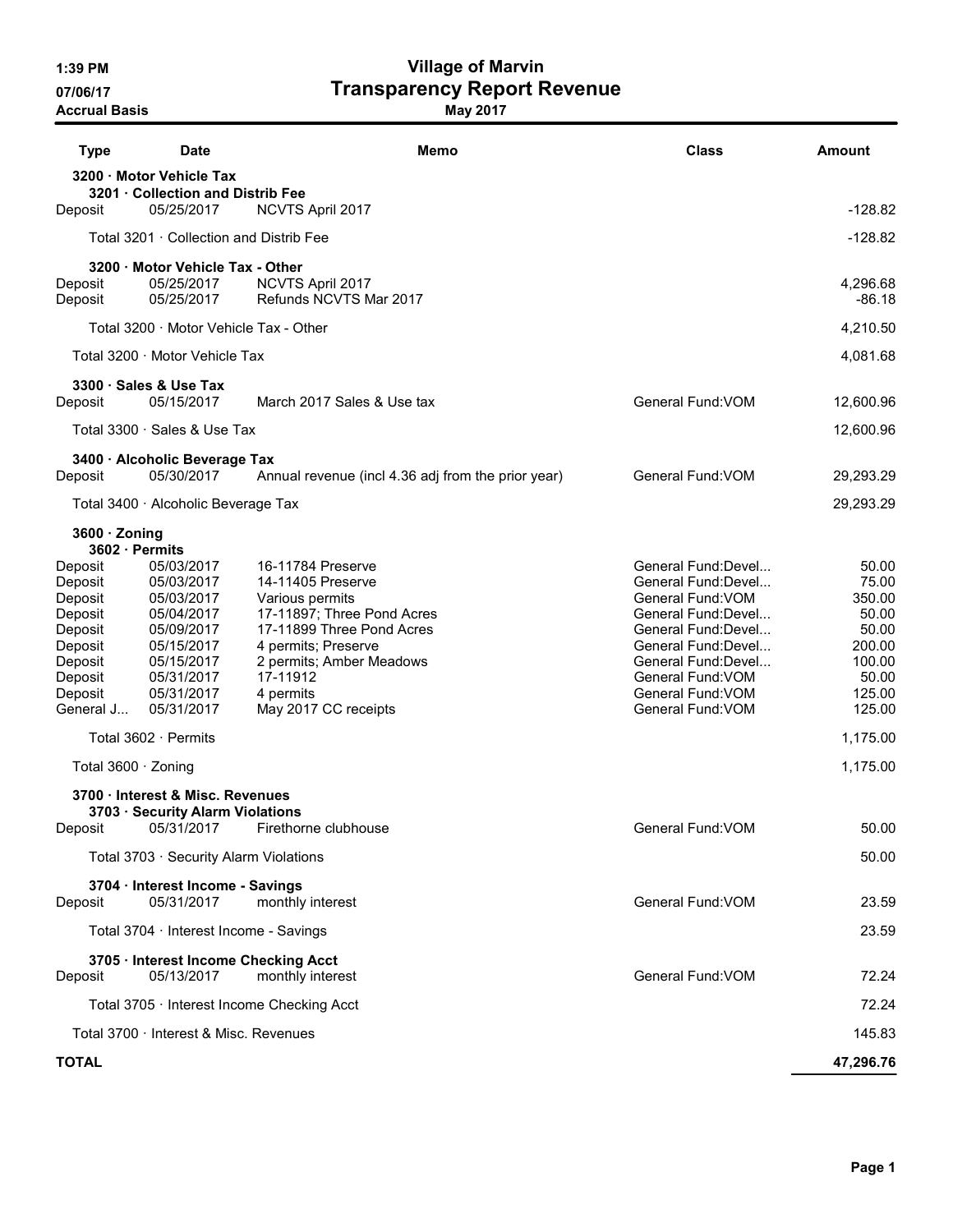1:39 PM Village of Marvin 07/06/17 **Transparency Report Revenue** 

Accrual Basis and the control of the May 2017

| <b>Type</b><br><b>Date</b>                                    | Memo                                               | <b>Class</b>                               | Amount               |
|---------------------------------------------------------------|----------------------------------------------------|--------------------------------------------|----------------------|
| 3200 · Motor Vehicle Tax<br>3201 Collection and Distrib Fee   |                                                    |                                            |                      |
| 05/25/2017<br>Deposit                                         | NCVTS April 2017                                   |                                            | $-128.82$            |
| Total 3201 · Collection and Distrib Fee                       |                                                    |                                            | $-128.82$            |
| 3200 · Motor Vehicle Tax - Other                              |                                                    |                                            |                      |
| 05/25/2017<br>Deposit<br>05/25/2017<br>Deposit                | NCVTS April 2017<br>Refunds NCVTS Mar 2017         |                                            | 4,296.68<br>$-86.18$ |
| Total 3200 · Motor Vehicle Tax - Other                        |                                                    |                                            | 4,210.50             |
| Total 3200 · Motor Vehicle Tax                                |                                                    |                                            | 4,081.68             |
| 3300 · Sales & Use Tax                                        |                                                    |                                            |                      |
| 05/15/2017<br>Deposit                                         | March 2017 Sales & Use tax                         | General Fund: VOM                          | 12,600.96            |
| Total 3300 · Sales & Use Tax                                  |                                                    |                                            | 12,600.96            |
| 3400 · Alcoholic Beverage Tax<br>05/30/2017<br>Deposit        | Annual revenue (incl 4.36 adj from the prior year) | General Fund: VOM                          | 29,293.29            |
|                                                               |                                                    |                                            | 29,293.29            |
| Total 3400 · Alcoholic Beverage Tax                           |                                                    |                                            |                      |
| $3600 \cdot$ Zoning<br>3602 · Permits                         |                                                    |                                            |                      |
| 05/03/2017<br>Deposit<br>05/03/2017                           | 16-11784 Preserve<br>14-11405 Preserve             | General Fund: Devel<br>General Fund: Devel | 50.00<br>75.00       |
| Deposit<br>05/03/2017<br>Deposit                              | Various permits                                    | General Fund: VOM                          | 350.00               |
| Deposit<br>05/04/2017                                         | 17-11897; Three Pond Acres                         | General Fund: Devel                        | 50.00                |
| 05/09/2017<br>Deposit                                         | 17-11899 Three Pond Acres                          | General Fund: Devel                        | 50.00                |
| 05/15/2017<br>Deposit                                         | 4 permits; Preserve                                | General Fund:Devel<br>General Fund:Devel   | 200.00<br>100.00     |
| 05/15/2017<br>Deposit<br>05/31/2017<br>Deposit                | 2 permits; Amber Meadows<br>17-11912               | General Fund: VOM                          | 50.00                |
| 05/31/2017<br>Deposit                                         | 4 permits                                          | General Fund: VOM                          | 125.00               |
| General J<br>05/31/2017                                       | May 2017 CC receipts                               | General Fund: VOM                          | 125.00               |
| Total 3602 · Permits                                          |                                                    |                                            | 1,175.00             |
| Total 3600 · Zoning                                           |                                                    |                                            | 1,175.00             |
| 3700 · Interest & Misc. Revenues                              |                                                    |                                            |                      |
| 3703 · Security Alarm Violations<br>05/31/2017<br>Deposit     | Firethorne clubhouse                               | General Fund: VOM                          | 50.00                |
| Total 3703 · Security Alarm Violations                        |                                                    |                                            | 50.00                |
| 3704 · Interest Income - Savings                              |                                                    |                                            |                      |
| 05/31/2017<br>Deposit                                         | monthly interest                                   | General Fund: VOM                          | 23.59                |
| Total 3704 · Interest Income - Savings                        |                                                    |                                            | 23.59                |
| 3705 · Interest Income Checking Acct<br>05/13/2017<br>Deposit | monthly interest                                   | General Fund: VOM                          | 72.24                |
| Total 3705 · Interest Income Checking Acct                    |                                                    |                                            | 72.24                |
| Total 3700 · Interest & Misc. Revenues                        |                                                    |                                            | 145.83               |
| <b>TOTAL</b>                                                  |                                                    |                                            | 47,296.76            |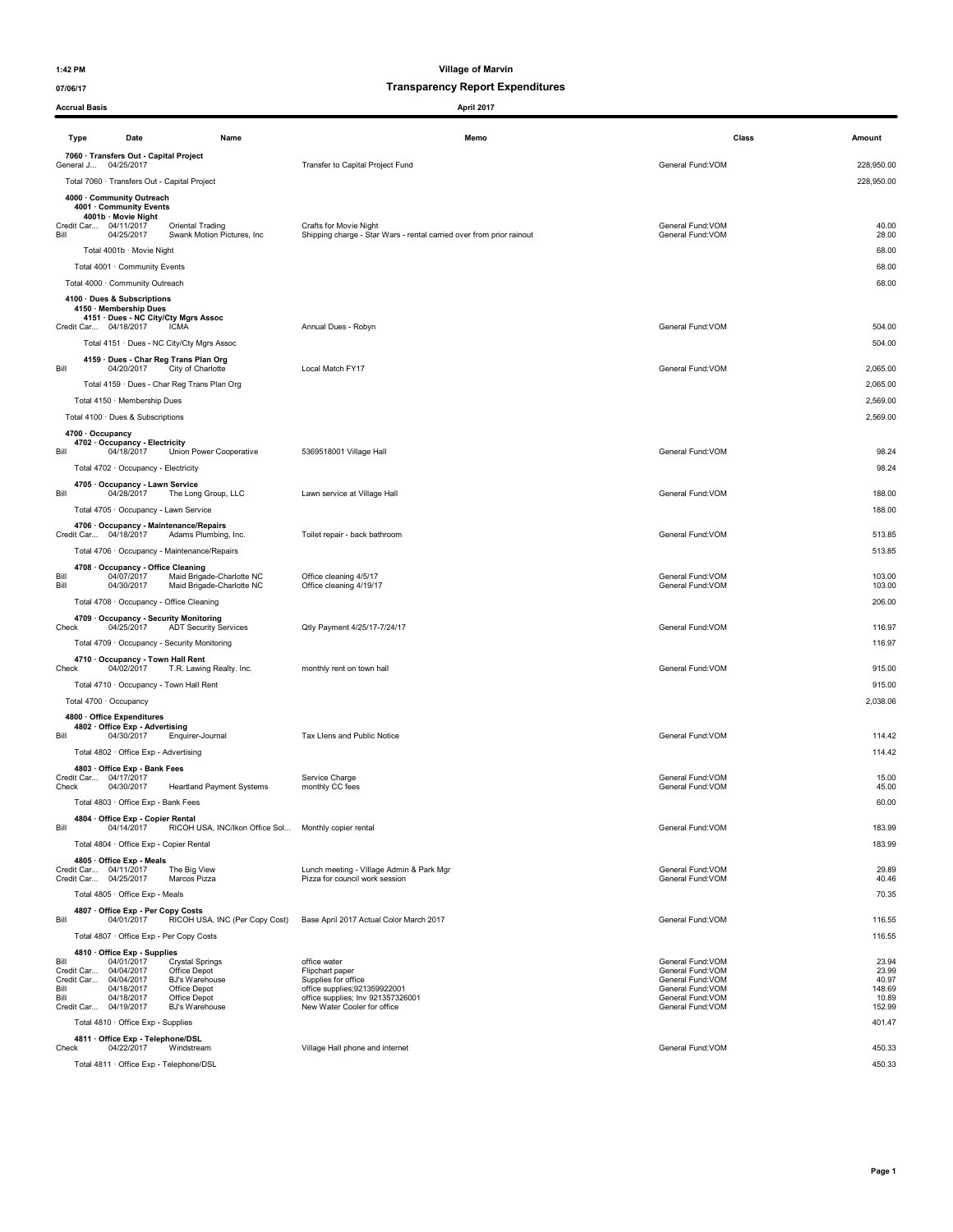### 07/06/17 Transparency Report Expenditures

| <b>Accrual Basis</b>             |                                                                                                         | April 2017                                                                                     |                                                            |                          |
|----------------------------------|---------------------------------------------------------------------------------------------------------|------------------------------------------------------------------------------------------------|------------------------------------------------------------|--------------------------|
| Type                             | Date<br>Name                                                                                            | Memo                                                                                           | Class                                                      | Amount                   |
|                                  | 7060 · Transfers Out - Capital Project                                                                  |                                                                                                |                                                            |                          |
|                                  | General J 04/25/2017<br>Total 7060 · Transfers Out - Capital Project                                    | Transfer to Capital Project Fund                                                               | General Fund:VOM                                           | 228,950.00<br>228,950.00 |
|                                  | 4000 · Community Outreach                                                                               |                                                                                                |                                                            |                          |
|                                  | 4001 · Community Events<br>4001b · Movie Night                                                          |                                                                                                |                                                            |                          |
| Bill                             | Credit Car 04/11/2017<br>Oriental Trading<br>04/25/2017<br>Swank Motion Pictures, Inc.                  | Crafts for Movie Night<br>Shipping charge - Star Wars - rental carried over from prior rainout | General Fund: VOM<br>General Fund:VOM                      | 40.00<br>28.00           |
|                                  | Total 4001b · Movie Night                                                                               |                                                                                                |                                                            | 68.00                    |
|                                  | Total 4001 · Community Events                                                                           |                                                                                                |                                                            | 68.00                    |
|                                  | Total 4000 · Community Outreach                                                                         |                                                                                                |                                                            | 68.00                    |
|                                  | 4100 · Dues & Subscriptions                                                                             |                                                                                                |                                                            |                          |
|                                  | 4150 · Membership Dues<br>4151 · Dues - NC City/Cty Mgrs Assoc                                          |                                                                                                |                                                            |                          |
|                                  | Credit Car 04/18/2017<br>ICMA                                                                           | Annual Dues - Robyn                                                                            | General Fund:VOM                                           | 504.00                   |
|                                  | Total 4151 · Dues - NC City/Cty Mgrs Assoc                                                              |                                                                                                |                                                            | 504.00                   |
| Bill                             | 4159 · Dues - Char Reg Trans Plan Org<br>04/20/2017<br>City of Charlotte                                | Local Match FY17                                                                               | General Fund:VOM                                           | 2,065.00                 |
|                                  | Total 4159 · Dues - Char Reg Trans Plan Org                                                             |                                                                                                |                                                            | 2,065.00                 |
|                                  | Total 4150 · Membership Dues                                                                            |                                                                                                |                                                            | 2,569.00                 |
|                                  | Total 4100 · Dues & Subscriptions                                                                       |                                                                                                |                                                            | 2,569.00                 |
|                                  | 4700 · Occupancy<br>4702 · Occupancy - Electricity                                                      |                                                                                                |                                                            |                          |
| Bill                             | 04/18/2017<br>Union Power Cooperative                                                                   | 5369518001 Village Hall                                                                        | General Fund:VOM                                           | 98.24                    |
|                                  | Total 4702 · Occupancy - Electricity                                                                    |                                                                                                |                                                            | 98.24                    |
| Bill                             | 4705 · Occupancy - Lawn Service<br>04/28/2017<br>The Long Group, LLC                                    | Lawn service at Village Hall                                                                   | General Fund:VOM                                           | 188.00                   |
|                                  | Total 4705 · Occupancy - Lawn Service                                                                   |                                                                                                |                                                            | 188.00                   |
|                                  | 4706 · Occupancy - Maintenance/Repairs                                                                  |                                                                                                |                                                            |                          |
|                                  | Credit Car 04/18/2017<br>Adams Plumbing, Inc.                                                           | Toilet repair - back bathroom                                                                  | General Fund: VOM                                          | 513.85                   |
|                                  | Total 4706 · Occupancy - Maintenance/Repairs                                                            |                                                                                                |                                                            | 513.85                   |
| Bill                             | 4708 Occupancy - Office Cleaning<br>04/07/2017<br>Maid Brigade-Charlotte NC                             | Office cleaning 4/5/17                                                                         | General Fund: VOM                                          | 103.00                   |
| Bill                             | 04/30/2017<br>Maid Brigade-Charlotte NC<br>Total 4708 · Occupancy - Office Cleaning                     | Office cleaning 4/19/17                                                                        | General Fund:VOM                                           | 103.00<br>206.00         |
|                                  | 4709 · Occupancy - Security Monitoring                                                                  |                                                                                                |                                                            |                          |
| Check                            | 04/25/2017<br><b>ADT Security Services</b>                                                              | Qtly Payment 4/25/17-7/24/17                                                                   | General Fund:VOM                                           | 116.97                   |
|                                  | Total 4709 · Occupancy - Security Monitoring                                                            |                                                                                                |                                                            | 116.97                   |
| Check                            | 4710 · Occupancy - Town Hall Rent<br>04/02/2017<br>T.R. Lawing Realty. Inc.                             | monthly rent on town hall                                                                      | General Fund: VOM                                          | 915.00                   |
|                                  | Total 4710 · Occupancy - Town Hall Rent                                                                 |                                                                                                |                                                            | 915.00                   |
|                                  | Total 4700 · Occupancy                                                                                  |                                                                                                |                                                            | 2,038.06                 |
|                                  | 4800 · Office Expenditures                                                                              |                                                                                                |                                                            |                          |
| Bill                             | 4802 · Office Exp - Advertising<br>04/30/2017<br>Enquirer-Journal                                       | Tax Llens and Public Notice                                                                    | General Fund: VOM                                          | 114.42                   |
|                                  | Total 4802 · Office Exp - Advertising                                                                   |                                                                                                |                                                            | 114.42                   |
| Credit Car                       | 4803 · Office Exp - Bank Fees                                                                           |                                                                                                |                                                            |                          |
| Check                            | 04/17/2017<br>04/30/2017<br><b>Heartland Payment Systems</b>                                            | Service Charge<br>monthly CC fees                                                              | General Fund: VOM<br>General Fund: VOM                     | 15.00<br>45.00           |
|                                  | Total 4803 · Office Exp - Bank Fees                                                                     |                                                                                                |                                                            | 60.00                    |
| Bill                             | 4804 · Office Exp - Copier Rental<br>04/14/2017<br>RICOH USA, INC/Ikon Office Sol Monthly copier rental |                                                                                                | General Fund:VOM                                           | 183.99                   |
|                                  | Total 4804 · Office Exp - Copier Rental                                                                 |                                                                                                |                                                            | 183.99                   |
|                                  | 4805 · Office Exp - Meals                                                                               |                                                                                                |                                                            |                          |
|                                  | Credit Car 04/11/2017<br>The Big View<br>Credit Car 04/25/2017<br>Marcos Pizza                          | Lunch meeting - VIIIage Admin & Park Mgr<br>Pizza for council work session                     | General Fund:VOM<br>General Fund:VOM                       | 29.89<br>40.46           |
|                                  | Total 4805 · Office Exp - Meals                                                                         |                                                                                                |                                                            | 70.35                    |
|                                  | 4807 Office Exp - Per Copy Costs                                                                        |                                                                                                |                                                            |                          |
| Bill                             | RICOH USA, INC (Per Copy Cost)<br>04/01/2017                                                            | Base April 2017 Actual Color March 2017                                                        | General Fund: VOM                                          | 116.55                   |
|                                  | Total 4807 · Office Exp - Per Copy Costs                                                                |                                                                                                |                                                            | 116.55                   |
| Bill                             | 4810 Office Exp - Supplies<br>04/01/2017<br><b>Crystal Springs</b><br>04/04/2017<br>Office Depot        | office water                                                                                   | General Fund: VOM                                          | 23.94<br>23.99           |
| Credit Car<br>Credit Car<br>Bill | 04/04/2017<br>BJ's Warehouse<br>04/18/2017                                                              | Flipchart paper<br>Supplies for office                                                         | General Fund: VOM<br>General Fund: VOM<br>General Fund:VOM | 40.97<br>148.69          |
| Bill                             | Office Depot<br>04/18/2017<br>Office Depot                                                              | office supplies;921359922001<br>office supplies; Inv 921357326001                              | General Fund:VOM                                           | 10.89                    |
|                                  | Credit Car 04/19/2017<br>BJ's Warehouse<br>Total 4810 · Office Exp - Supplies                           | New Water Cooler for office                                                                    | General Fund:VOM                                           | 152.99<br>401.47         |
|                                  | 4811 Office Exp - Telephone/DSL                                                                         |                                                                                                |                                                            |                          |
| Check                            | 04/22/2017<br>Windstream                                                                                | Village Hall phone and internet                                                                | General Fund: VOM                                          | 450.33                   |
|                                  | Total 4811 · Office Exp - Telephone/DSL                                                                 |                                                                                                |                                                            | 450.33                   |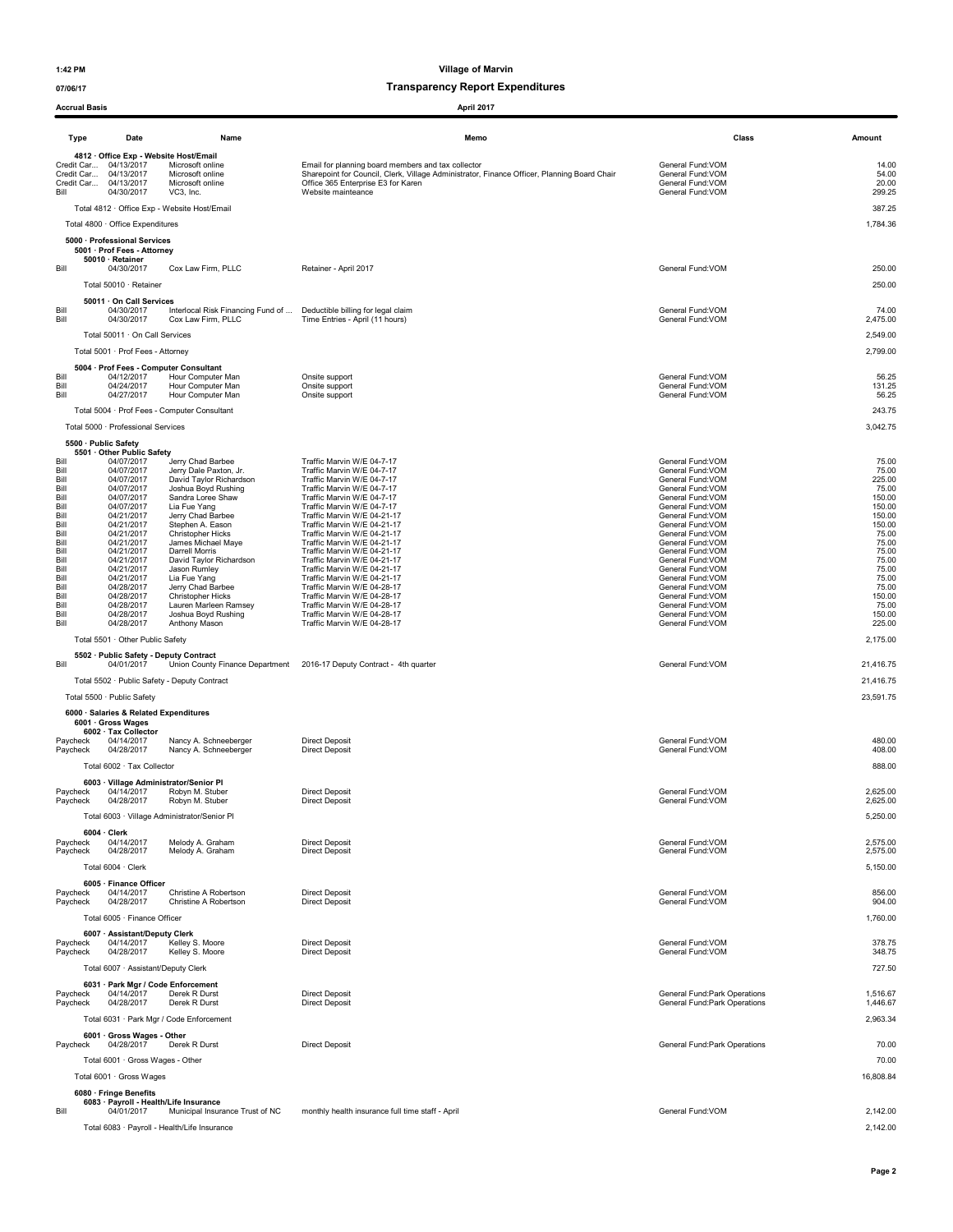Accrual Basis **April 2017** 

1:42 PM Village of Marvin

| Acciual Dasis        |                                                                                                                                 |                                                                       | April Zui <i>l</i>                                                                                                                                                                                            |                                                                                 |                                   |
|----------------------|---------------------------------------------------------------------------------------------------------------------------------|-----------------------------------------------------------------------|---------------------------------------------------------------------------------------------------------------------------------------------------------------------------------------------------------------|---------------------------------------------------------------------------------|-----------------------------------|
| Type                 | Date                                                                                                                            | Name                                                                  | Memo                                                                                                                                                                                                          | Class                                                                           | Amount                            |
| Bill                 | 4812 · Office Exp - Website Host/Email<br>Credit Car 04/13/2017<br>Credit Car 04/13/2017<br>Credit Car 04/13/2017<br>04/30/2017 | Microsoft online<br>Microsoft online<br>Microsoft online<br>VC3, Inc. | Email for planning board members and tax collector<br>Sharepoint for Council, Clerk, Village Administrator, Finance Officer, Planning Board Chair<br>Office 365 Enterprise E3 for Karen<br>Website mainteance | General Fund: VOM<br>General Fund:VOM<br>General Fund: VOM<br>General Fund: VOM | 14.00<br>54.00<br>20.00<br>299.25 |
|                      |                                                                                                                                 | Total 4812 · Office Exp - Website Host/Email                          |                                                                                                                                                                                                               |                                                                                 | 387.25                            |
|                      | Total 4800 · Office Expenditures                                                                                                |                                                                       |                                                                                                                                                                                                               |                                                                                 | 1,784.36                          |
|                      | 5000 · Professional Services<br>5001 · Prof Fees - Attorney                                                                     |                                                                       |                                                                                                                                                                                                               |                                                                                 |                                   |
| Bill                 | 50010 · Retainer<br>04/30/2017                                                                                                  | Cox Law Firm, PLLC                                                    | Retainer - April 2017                                                                                                                                                                                         | General Fund: VOM                                                               | 250.00                            |
|                      | Total 50010 · Retainer                                                                                                          |                                                                       |                                                                                                                                                                                                               |                                                                                 | 250.00                            |
|                      | 50011 · On Call Services                                                                                                        |                                                                       |                                                                                                                                                                                                               |                                                                                 |                                   |
| Bill<br>Bill         | 04/30/2017<br>04/30/2017                                                                                                        | Interlocal Risk Financing Fund of<br>Cox Law Firm, PLLC               | Deductible billing for legal claim<br>Time Entries - April (11 hours)                                                                                                                                         | General Fund: VOM<br>General Fund: VOM                                          | 74.00<br>2,475.00                 |
|                      | Total 50011 · On Call Services                                                                                                  |                                                                       |                                                                                                                                                                                                               |                                                                                 | 2,549.00                          |
|                      | Total 5001 · Prof Fees - Attorney                                                                                               |                                                                       |                                                                                                                                                                                                               |                                                                                 | 2,799.00                          |
| Bill                 | 04/12/2017                                                                                                                      | 5004 · Prof Fees - Computer Consultant<br>Hour Computer Man           | Onsite support                                                                                                                                                                                                | General Fund:VOM                                                                | 56.25                             |
| Bill<br>Bill         | 04/24/2017<br>04/27/2017                                                                                                        | Hour Computer Man<br>Hour Computer Man                                | Onsite support<br>Onsite support                                                                                                                                                                              | General Fund: VOM<br>General Fund: VOM                                          | 131.25<br>56.25                   |
|                      |                                                                                                                                 | Total 5004 · Prof Fees - Computer Consultant                          |                                                                                                                                                                                                               |                                                                                 | 243.75                            |
|                      | Total 5000 · Professional Services                                                                                              |                                                                       |                                                                                                                                                                                                               |                                                                                 | 3,042.75                          |
|                      | 5500 · Public Safety<br>5501 · Other Public Safety                                                                              |                                                                       |                                                                                                                                                                                                               |                                                                                 |                                   |
| Bill<br>Bill         | 04/07/2017<br>04/07/2017                                                                                                        | Jerry Chad Barbee<br>Jerry Dale Paxton, Jr.                           | Traffic Marvin W/E 04-7-17<br>Traffic Marvin W/E 04-7-17                                                                                                                                                      | General Fund: VOM<br>General Fund: VOM                                          | 75.00<br>75.00                    |
| Bill<br>Bill         | 04/07/2017<br>04/07/2017                                                                                                        | David Taylor Richardson<br>Joshua Boyd Rushing                        | Traffic Marvin W/E 04-7-17<br>Traffic Marvin W/E 04-7-17                                                                                                                                                      | General Fund: VOM<br>General Fund: VOM                                          | 225.00<br>75.00                   |
| Bill<br>Bill         | 04/07/2017<br>04/07/2017                                                                                                        | Sandra Loree Shaw<br>Lia Fue Yang                                     | Traffic Marvin W/E 04-7-17<br>Traffic Marvin W/E 04-7-17                                                                                                                                                      | General Fund: VOM<br>General Fund:VOM                                           | 150.00<br>150.00                  |
| Bill<br>Bill         | 04/21/2017<br>04/21/2017                                                                                                        | Jerry Chad Barbee<br>Stephen A. Eason                                 | Traffic Marvin W/E 04-21-17<br>Traffic Marvin W/E 04-21-17                                                                                                                                                    | General Fund: VOM<br>General Fund: VOM                                          | 150.00<br>150.00                  |
| Bill<br>Bill         | 04/21/2017<br>04/21/2017                                                                                                        | Christopher Hicks<br>James Michael Maye                               | Traffic Marvin W/E 04-21-17<br>Traffic Marvin W/E 04-21-17                                                                                                                                                    | General Fund: VOM<br>General Fund:VOM                                           | 75.00<br>75.00                    |
| Bill<br>Bill         | 04/21/2017<br>04/21/2017                                                                                                        | Darrell Morris<br>David Taylor Richardson                             | Traffic Marvin W/E 04-21-17<br>Traffic Marvin W/E 04-21-17                                                                                                                                                    | General Fund:VOM<br>General Fund: VOM                                           | 75.00<br>75.00                    |
| Bill<br>Bill         | 04/21/2017<br>04/21/2017                                                                                                        | Jason Rumley<br>Lia Fue Yang                                          | Traffic Marvin W/E 04-21-17<br>Traffic Marvin W/E 04-21-17                                                                                                                                                    | General Fund:VOM<br>General Fund:VOM                                            | 75.00<br>75.00                    |
| Bill<br>Bill         | 04/28/2017<br>04/28/2017                                                                                                        | Jerry Chad Barbee<br>Christopher Hicks                                | Traffic Marvin W/E 04-28-17<br>Traffic Marvin W/E 04-28-17                                                                                                                                                    | General Fund: VOM<br>General Fund: VOM                                          | 75.00<br>150.00                   |
| Bill<br>Bill         | 04/28/2017<br>04/28/2017                                                                                                        | Lauren Marleen Ramsey<br>Joshua Boyd Rushing                          | Traffic Marvin W/E 04-28-17<br>Traffic Marvin W/E 04-28-17                                                                                                                                                    | General Fund: VOM<br>General Fund: VOM                                          | 75.00<br>150.00                   |
| Bill                 | 04/28/2017                                                                                                                      | Anthony Mason                                                         | Traffic Marvin W/E 04-28-17                                                                                                                                                                                   | General Fund: VOM                                                               | 225.00                            |
|                      | Total 5501 · Other Public Safety                                                                                                |                                                                       |                                                                                                                                                                                                               |                                                                                 | 2,175.00                          |
| Bill                 | 5502 · Public Safety - Deputy Contract<br>04/01/2017                                                                            | Union County Finance Department                                       | 2016-17 Deputy Contract - 4th quarter                                                                                                                                                                         | General Fund: VOM                                                               | 21,416.75                         |
|                      |                                                                                                                                 | Total 5502 · Public Safety - Deputy Contract                          |                                                                                                                                                                                                               |                                                                                 | 21,416.75                         |
|                      | Total 5500 · Public Safety                                                                                                      |                                                                       |                                                                                                                                                                                                               |                                                                                 | 23,591.75                         |
|                      | 6000 · Salaries & Related Expenditures<br>6001 · Gross Wages                                                                    |                                                                       |                                                                                                                                                                                                               |                                                                                 |                                   |
| Paycheck             | 6002 · Tax Collector<br>04/14/2017                                                                                              | Nancy A. Schneeberger                                                 | <b>Direct Deposit</b>                                                                                                                                                                                         | General Fund: VOM                                                               | 480.00                            |
| Paycheck             | 04/28/2017<br>Total 6002 · Tax Collector                                                                                        | Nancy A. Schneeberger                                                 | <b>Direct Deposit</b>                                                                                                                                                                                         | General Fund: VOM                                                               | 408.00<br>888.00                  |
|                      |                                                                                                                                 | 6003 · Village Administrator/Senior Pl                                |                                                                                                                                                                                                               |                                                                                 |                                   |
| Paycheck<br>Paycheck | 04/14/2017<br>04/28/2017                                                                                                        | Robyn M. Stuber<br>Robyn M. Stuber                                    | <b>Direct Deposit</b><br><b>Direct Deposit</b>                                                                                                                                                                | General Fund: VOM<br>General Fund: VOM                                          | 2,625.00<br>2,625.00              |
|                      |                                                                                                                                 | Total 6003 · Village Administrator/Senior Pl                          |                                                                                                                                                                                                               |                                                                                 | 5,250.00                          |
|                      | $6004 \cdot$ Clerk                                                                                                              |                                                                       |                                                                                                                                                                                                               |                                                                                 |                                   |
| Paycheck<br>Paycheck | 04/14/2017<br>04/28/2017                                                                                                        | Melody A. Graham<br>Melody A. Graham                                  | <b>Direct Deposit</b><br><b>Direct Deposit</b>                                                                                                                                                                | General Fund: VOM<br>General Fund: VOM                                          | 2,575.00<br>2,575.00              |
|                      | Total 6004 · Clerk                                                                                                              |                                                                       |                                                                                                                                                                                                               |                                                                                 | 5,150.00                          |
| Paycheck             | 6005 · Finance Officer<br>04/14/2017                                                                                            | Christine A Robertson                                                 | <b>Direct Deposit</b>                                                                                                                                                                                         | General Fund: VOM                                                               | 856.00                            |
| Paycheck             | 04/28/2017                                                                                                                      | Christine A Robertson                                                 | <b>Direct Deposit</b>                                                                                                                                                                                         | General Fund:VOM                                                                | 904.00                            |
|                      | Total 6005 · Finance Officer                                                                                                    |                                                                       |                                                                                                                                                                                                               |                                                                                 | 1,760.00                          |
| Paycheck             | 6007 · Assistant/Deputy Clerk<br>04/14/2017                                                                                     | Kelley S. Moore                                                       | <b>Direct Deposit</b>                                                                                                                                                                                         | General Fund: VOM                                                               | 378.75                            |
| Paycheck             | 04/28/2017<br>Total 6007 · Assistant/Deputy Clerk                                                                               | Kelley S. Moore                                                       | <b>Direct Deposit</b>                                                                                                                                                                                         | General Fund: VOM                                                               | 348.75<br>727.50                  |
|                      | 6031 · Park Mgr / Code Enforcement                                                                                              |                                                                       |                                                                                                                                                                                                               |                                                                                 |                                   |
| Paycheck<br>Paycheck | 04/14/2017<br>04/28/2017                                                                                                        | Derek R Durst<br>Derek R Durst                                        | <b>Direct Deposit</b><br><b>Direct Deposit</b>                                                                                                                                                                | <b>General Fund:Park Operations</b><br>General Fund: Park Operations            | 1,516.67<br>1,446.67              |
|                      |                                                                                                                                 | Total 6031 · Park Mgr / Code Enforcement                              |                                                                                                                                                                                                               |                                                                                 | 2,963.34                          |
|                      | 6001 · Gross Wages - Other                                                                                                      |                                                                       |                                                                                                                                                                                                               |                                                                                 |                                   |
| Paycheck             | 04/28/2017                                                                                                                      | Derek R Durst                                                         | <b>Direct Deposit</b>                                                                                                                                                                                         | General Fund: Park Operations                                                   | 70.00<br>70.00                    |
|                      | Total 6001 · Gross Wages - Other<br>Total 6001 · Gross Wages                                                                    |                                                                       |                                                                                                                                                                                                               |                                                                                 | 16,808.84                         |
|                      | 6080 · Fringe Benefits                                                                                                          |                                                                       |                                                                                                                                                                                                               |                                                                                 |                                   |
| Bill                 | 6083 · Payroll - Health/Life Insurance<br>04/01/2017                                                                            | Municipal Insurance Trust of NC                                       | monthly health insurance full time staff - April                                                                                                                                                              | General Fund:VOM                                                                | 2,142.00                          |
|                      |                                                                                                                                 | Total 6083 · Payroll - Health/Life Insurance                          |                                                                                                                                                                                                               |                                                                                 | 2,142.00                          |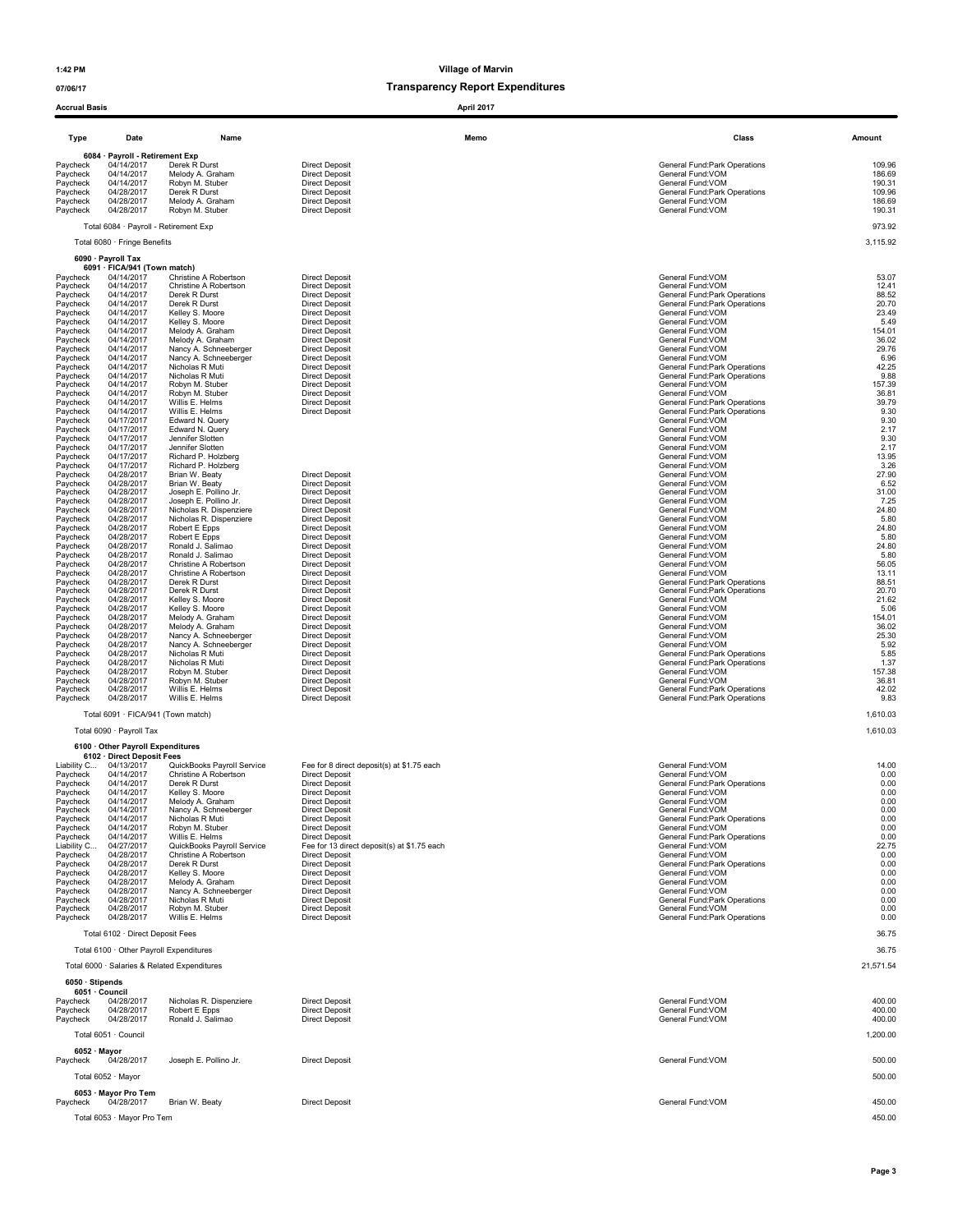| <b>Accrual Basis</b>    |                                                    |                                                     |                                                                     | April 2017 |                                                                |                      |
|-------------------------|----------------------------------------------------|-----------------------------------------------------|---------------------------------------------------------------------|------------|----------------------------------------------------------------|----------------------|
| Type                    | Date                                               | Name                                                |                                                                     | Memo       | Class                                                          | Amount               |
|                         | 6084 · Payroll - Retirement Exp                    |                                                     |                                                                     |            |                                                                |                      |
| Paycheck<br>Paycheck    | 04/14/2017<br>04/14/2017                           | Derek R Durst<br>Melody A. Graham                   | <b>Direct Deposit</b><br><b>Direct Deposit</b>                      |            | General Fund: Park Operations<br>General Fund:VOM              | 109.96<br>186.69     |
| Paycheck<br>Paycheck    | 04/14/2017<br>04/28/2017                           | Robyn M. Stuber<br>Derek R Durst                    | <b>Direct Deposit</b><br><b>Direct Deposit</b>                      |            | General Fund: VOM<br>General Fund: Park Operations             | 190.31<br>109.96     |
| Paycheck                | 04/28/2017                                         | Melody A. Graham                                    | <b>Direct Deposit</b>                                               |            | General Fund: VOM                                              | 186.69               |
| Paycheck                | 04/28/2017                                         | Robyn M. Stuber                                     | <b>Direct Deposit</b>                                               |            | General Fund:VOM                                               | 190.31               |
|                         |                                                    | Total 6084 · Payroll - Retirement Exp               |                                                                     |            |                                                                | 973.92               |
|                         | Total 6080 · Fringe Benefits                       |                                                     |                                                                     |            |                                                                | 3,115.92             |
|                         | 6090 · Payroll Tax<br>6091 · FICA/941 (Town match) |                                                     |                                                                     |            |                                                                |                      |
| Paycheck                | 04/14/2017                                         | Christine A Robertson                               | <b>Direct Deposit</b>                                               |            | General Fund:VOM                                               | 53.07                |
| Paycheck<br>Paycheck    | 04/14/2017<br>04/14/2017                           | Christine A Robertson<br>Derek R Durst              | <b>Direct Deposit</b><br><b>Direct Deposit</b>                      |            | General Fund:VOM<br>General Fund: Park Operations              | 12.41<br>88.52       |
| Paycheck<br>Paycheck    | 04/14/2017<br>04/14/2017                           | Derek R Durst<br>Kelley S. Moore                    | <b>Direct Deposit</b><br><b>Direct Deposit</b>                      |            | General Fund: Park Operations<br>General Fund:VOM              | 20.70<br>23.49       |
| Paycheck                | 04/14/2017                                         | Kelley S. Moore                                     | <b>Direct Deposit</b>                                               |            | General Fund:VOM                                               | 5.49                 |
| Paycheck<br>Paycheck    | 04/14/2017<br>04/14/2017                           | Melody A. Graham<br>Melody A. Graham                | <b>Direct Deposit</b><br><b>Direct Deposit</b>                      |            | General Fund:VOM<br>General Fund: VOM                          | 154.01<br>36.02      |
| Paycheck<br>Paycheck    | 04/14/2017<br>04/14/2017                           | Nancy A. Schneeberger<br>Nancy A. Schneeberger      | <b>Direct Deposit</b><br><b>Direct Deposit</b>                      |            | General Fund:VOM<br>General Fund: VOM                          | 29.76<br>6.96        |
| Paycheck                | 04/14/2017                                         | Nicholas R Muti                                     | <b>Direct Deposit</b>                                               |            | General Fund: Park Operations                                  | 42.25                |
| Paycheck<br>Paycheck    | 04/14/2017<br>04/14/2017                           | Nicholas R Muti<br>Robyn M. Stuber                  | <b>Direct Deposit</b><br><b>Direct Deposit</b>                      |            | General Fund: Park Operations<br>General Fund:VOM              | 9.88<br>157.39       |
| Paycheck<br>Paycheck    | 04/14/2017<br>04/14/2017                           | Robyn M. Stuber<br>Willis E. Helms                  | <b>Direct Deposit</b><br><b>Direct Deposit</b>                      |            | General Fund: VOM<br>General Fund: Park Operations             | 36.81<br>39.79       |
| Paycheck                | 04/14/2017                                         | Willis E. Helms                                     | <b>Direct Deposit</b>                                               |            | General Fund: Park Operations                                  | 9.30                 |
| Paycheck<br>Paycheck    | 04/17/2017<br>04/17/2017                           | Edward N. Query<br>Edward N. Query                  |                                                                     |            | General Fund:VOM<br>General Fund:VOM                           | 9.30<br>2.17         |
| Paycheck                | 04/17/2017                                         | Jennifer Slotten<br>Jennifer Slotten                |                                                                     |            | General Fund:VOM<br>General Fund: VOM                          | 9.30                 |
| Paycheck<br>Paycheck    | 04/17/2017<br>04/17/2017                           | Richard P. Holzberg                                 |                                                                     |            | General Fund: VOM                                              | 2.17<br>13.95        |
| Paycheck<br>Paycheck    | 04/17/2017<br>04/28/2017                           | Richard P. Holzberg<br>Brian W. Beaty               | <b>Direct Deposit</b>                                               |            | General Fund:VOM<br>General Fund: VOM                          | 3.26<br>27.90        |
| Paycheck                | 04/28/2017                                         | Brian W. Beaty                                      | <b>Direct Deposit</b>                                               |            | General Fund: VOM                                              | 6.52                 |
| Paycheck<br>Paycheck    | 04/28/2017<br>04/28/2017                           | Joseph E. Pollino Jr.<br>Joseph E. Pollino Jr.      | <b>Direct Deposit</b><br><b>Direct Deposit</b>                      |            | General Fund:VOM<br>General Fund:VOM                           | 31.00<br>7.25        |
| Paycheck                | 04/28/2017<br>04/28/2017                           | Nicholas R. Dispenziere<br>Nicholas R. Dispenziere  | <b>Direct Deposit</b><br><b>Direct Deposit</b>                      |            | General Fund: VOM<br>General Fund: VOM                         | 24.80<br>5.80        |
| Paycheck<br>Paycheck    | 04/28/2017                                         | Robert E Epps                                       | <b>Direct Deposit</b>                                               |            | General Fund: VOM                                              | 24.80                |
| Paycheck<br>Paycheck    | 04/28/2017<br>04/28/2017                           | Robert E Epps<br>Ronald J. Salimao                  | <b>Direct Deposit</b><br><b>Direct Deposit</b>                      |            | General Fund:VOM<br>General Fund:VOM                           | 5.80<br>24.80        |
| Paycheck                | 04/28/2017                                         | Ronald J. Salimao                                   | <b>Direct Deposit</b>                                               |            | General Fund:VOM                                               | 5.80                 |
| Paycheck<br>Paycheck    | 04/28/2017<br>04/28/2017                           | Christine A Robertson<br>Christine A Robertson      | <b>Direct Deposit</b><br><b>Direct Deposit</b>                      |            | General Fund:VOM<br>General Fund: VOM                          | 56.05<br>13.11       |
| Paycheck<br>Paycheck    | 04/28/2017<br>04/28/2017                           | Derek R Durst<br>Derek R Durst                      | <b>Direct Deposit</b><br><b>Direct Deposit</b>                      |            | General Fund: Park Operations<br>General Fund: Park Operations | 88.51<br>20.70       |
| Paycheck                | 04/28/2017                                         | Kelley S. Moore                                     | <b>Direct Deposit</b>                                               |            | General Fund: VOM                                              | 21.62                |
| Paycheck<br>Paycheck    | 04/28/2017<br>04/28/2017                           | Kelley S. Moore<br>Melody A. Graham                 | <b>Direct Deposit</b><br><b>Direct Deposit</b>                      |            | General Fund:VOM<br>General Fund:VOM                           | 5.06<br>154.01       |
| Paycheck<br>Paycheck    | 04/28/2017<br>04/28/2017                           | Melody A. Graham<br>Nancy A. Schneeberger           | <b>Direct Deposit</b><br><b>Direct Deposit</b>                      |            | General Fund: VOM<br>General Fund:VOM                          | 36.02<br>25.30       |
| Paycheck                | 04/28/2017                                         | Nancy A. Schneeberger                               | <b>Direct Deposit</b>                                               |            | General Fund: VOM                                              | 5.92                 |
| Paycheck<br>Paycheck    | 04/28/2017<br>04/28/2017                           | Nicholas R Muti<br>Nicholas R Muti                  | <b>Direct Deposit</b><br><b>Direct Deposit</b>                      |            | General Fund: Park Operations<br>General Fund: Park Operations | 5.85<br>1.37         |
| Paycheck                | 04/28/2017                                         | Robyn M. Stuber<br>Robyn M. Stuber                  | <b>Direct Deposit</b>                                               |            | General Fund:VOM<br>General Fund: VOM                          | 157.38<br>36.81      |
| Paycheck<br>Paycheck    | 04/28/2017<br>04/28/2017                           | Willis E. Helms                                     | <b>Direct Deposit</b><br><b>Direct Deposit</b>                      |            | General Fund:Park Operations                                   | 42.02                |
| Paycheck                | 04/28/2017                                         | Willis E. Helms                                     | <b>Direct Deposit</b>                                               |            | General Fund: Park Operations                                  | 9.83                 |
|                         | Total 6090 · Payroll Tax                           | Total 6091 · FICA/941 (Town match)                  |                                                                     |            |                                                                | 1,610.03<br>1,610.03 |
|                         | 6100 Other Payroll Expenditures                    |                                                     |                                                                     |            |                                                                |                      |
|                         | 6102 · Direct Deposit Fees                         |                                                     |                                                                     |            |                                                                |                      |
| Liability C<br>Paycheck | 04/13/2017<br>04/14/2017                           | QuickBooks Payroll Service<br>Christine A Robertson | Fee for 8 direct deposit(s) at \$1.75 each<br><b>Direct Deposit</b> |            | General Fund: VOM<br>General Fund: VOM                         | 14.00<br>0.00        |
| Paycheck<br>Paycheck    | 04/14/2017<br>04/14/2017                           | Derek R Durst<br>Kelley S. Moore                    | <b>Direct Deposit</b><br><b>Direct Deposit</b>                      |            | General Fund:Park Operations<br>General Fund: VOM              | 0.00<br>0.00         |
| Paycheck                | 04/14/2017                                         | Melody A. Graham                                    | Direct Deposit                                                      |            | General Fund: VOM                                              | 0.00                 |
| Paycheck<br>Paycheck    | 04/14/2017<br>04/14/2017                           | Nancy A. Schneeberger<br>Nicholas R Muti            | <b>Direct Deposit</b><br><b>Direct Deposit</b>                      |            | General Fund: VOM<br>General Fund: Park Operations             | 0.00<br>0.00         |
| Paycheck<br>Paycheck    | 04/14/2017<br>04/14/2017                           | Robyn M. Stuber<br>Willis E. Helms                  | <b>Direct Deposit</b><br><b>Direct Deposit</b>                      |            | General Fund: VOM<br>General Fund: Park Operations             | 0.00<br>0.00         |
| Liability C             | 04/27/2017                                         | QuickBooks Payroll Service                          | Fee for 13 direct deposit(s) at \$1.75 each                         |            | General Fund: VOM                                              | 22.75                |
| Paycheck<br>Paycheck    | 04/28/2017<br>04/28/2017                           | Christine A Robertson<br>Derek R Durst              | <b>Direct Deposit</b><br><b>Direct Deposit</b>                      |            | General Fund:VOM<br>General Fund: Park Operations              | 0.00<br>0.00         |
| Paycheck<br>Paycheck    | 04/28/2017<br>04/28/2017                           | Kelley S. Moore<br>Melody A. Graham                 | <b>Direct Deposit</b><br><b>Direct Deposit</b>                      |            | General Fund: VOM<br>General Fund:VOM                          | 0.00<br>0.00         |
| Paycheck                | 04/28/2017                                         | Nancy A. Schneeberger                               | Direct Deposit                                                      |            | General Fund: VOM                                              | 0.00                 |
| Paycheck<br>Pavcheck    | 04/28/2017<br>04/28/2017                           | Nicholas R Muti<br>Robyn M. Stuber                  | <b>Direct Deposit</b><br><b>Direct Deposit</b>                      |            | General Fund: Park Operations<br>General Fund: VOM             | 0.00<br>0.00         |
| Paycheck                | 04/28/2017                                         | Willis E. Helms                                     | <b>Direct Deposit</b>                                               |            | General Fund: Park Operations                                  | 0.00                 |
|                         | Total 6102 · Direct Deposit Fees                   |                                                     |                                                                     |            |                                                                | 36.75                |
|                         |                                                    | Total 6100 · Other Payroll Expenditures             |                                                                     |            |                                                                | 36.75                |
| 6050 · Stipends         |                                                    | Total 6000 · Salaries & Related Expenditures        |                                                                     |            |                                                                | 21,571.54            |
|                         | 6051 · Council<br>04/28/2017                       | Nicholas R. Dispenziere                             | <b>Direct Deposit</b>                                               |            | General Fund:VOM                                               | 400.00               |
| Paycheck<br>Paycheck    | 04/28/2017                                         | Robert E Epps                                       | <b>Direct Deposit</b>                                               |            | General Fund:VOM                                               | 400.00               |
| Paycheck                | 04/28/2017                                         | Ronald J. Salimao                                   | <b>Direct Deposit</b>                                               |            | General Fund:VOM                                               | 400.00               |
|                         | Total 6051 · Council                               |                                                     |                                                                     |            |                                                                | 1,200.00             |
| $6052 \cdot$ Mayor      |                                                    |                                                     |                                                                     |            |                                                                |                      |
| Paycheck                | 04/28/2017                                         | Joseph E. Pollino Jr.                               | <b>Direct Deposit</b>                                               |            | General Fund:VOM                                               | 500.00               |
|                         | Total 6052 · Mayor                                 |                                                     |                                                                     |            |                                                                | 500.00               |
| Paycheck                | 6053 · Mayor Pro Tem<br>04/28/2017                 | Brian W. Beaty                                      | <b>Direct Deposit</b>                                               |            | General Fund: VOM                                              | 450.00               |
|                         | Total 6053 · Mayor Pro Tem                         |                                                     |                                                                     |            |                                                                | 450.00               |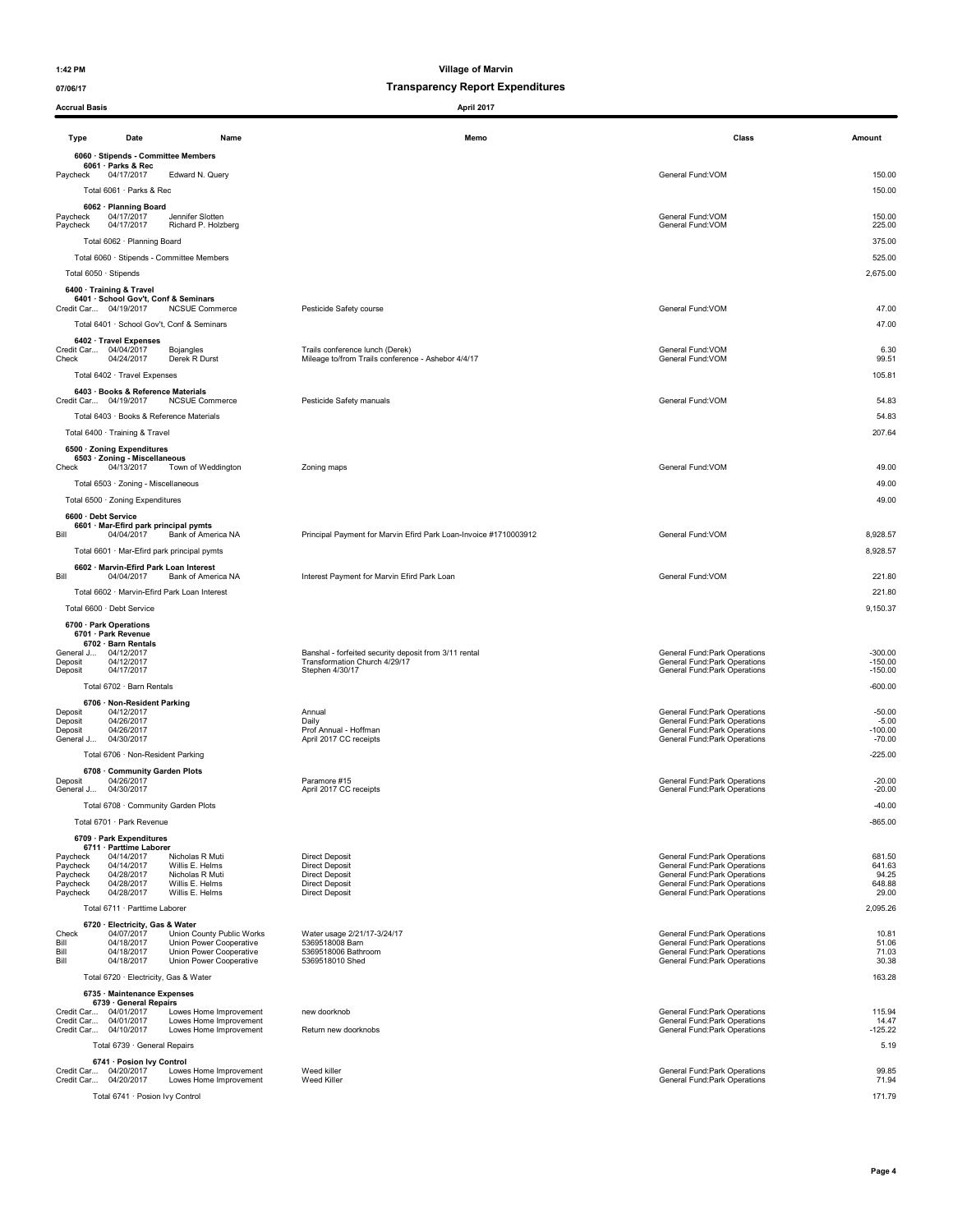| <b>Accrual Basis</b>                                     |                                                                                                         |                                                                                                            | April 2017                                                                                                                |                                                                                                                                                                |                                              |
|----------------------------------------------------------|---------------------------------------------------------------------------------------------------------|------------------------------------------------------------------------------------------------------------|---------------------------------------------------------------------------------------------------------------------------|----------------------------------------------------------------------------------------------------------------------------------------------------------------|----------------------------------------------|
| Type                                                     | Date                                                                                                    | Name                                                                                                       | Memo                                                                                                                      | Class                                                                                                                                                          | Amount                                       |
| Paycheck                                                 | 6060 · Stipends - Committee Members<br>6061 · Parks & Rec<br>04/17/2017<br>Total 6061 · Parks & Rec     | Edward N. Query                                                                                            |                                                                                                                           | General Fund:VOM                                                                                                                                               | 150.00<br>150.00                             |
| Paycheck<br>Paycheck                                     | 6062 · Planning Board<br>04/17/2017<br>04/17/2017                                                       | Jennifer Slotten<br>Richard P. Holzberg                                                                    |                                                                                                                           | General Fund: VOM<br>General Fund:VOM                                                                                                                          | 150.00<br>225.00                             |
|                                                          | Total 6062 · Planning Board                                                                             | Total 6060 · Stipends - Committee Members                                                                  |                                                                                                                           |                                                                                                                                                                | 375.00<br>525.00                             |
|                                                          | Total 6050 · Stipends<br>6400 · Training & Travel<br>6401 · School Gov't, Conf & Seminars               |                                                                                                            |                                                                                                                           |                                                                                                                                                                | 2,675.00                                     |
|                                                          | Credit Car 04/19/2017                                                                                   | <b>NCSUE Commerce</b><br>Total 6401 · School Gov't, Conf & Seminars                                        | Pesticide Safety course                                                                                                   | General Fund: VOM                                                                                                                                              | 47.00<br>47.00                               |
| Check                                                    | 6402 · Travel Expenses<br>Credit Car 04/04/2017<br>04/24/2017<br>Total 6402 · Travel Expenses           | Bojangles<br>Derek R Durst                                                                                 | Trails conference lunch (Derek)<br>Mileage to/from Trails conference - Ashebor 4/4/17                                     | General Fund:VOM<br>General Fund: VOM                                                                                                                          | 6.30<br>99.51<br>105.81                      |
|                                                          | 6403 · Books & Reference Materials<br>Credit Car 04/19/2017<br>Total 6403 · Books & Reference Materials | <b>NCSUE Commerce</b>                                                                                      | Pesticide Safety manuals                                                                                                  | General Fund: VOM                                                                                                                                              | 54.83<br>54.83                               |
|                                                          | Total 6400 · Training & Travel                                                                          |                                                                                                            |                                                                                                                           |                                                                                                                                                                | 207.64                                       |
| Check                                                    | 6500 · Zoning Expenditures<br>6503 · Zoning - Miscellaneous<br>04/13/2017                               | Town of Weddington                                                                                         | Zoning maps                                                                                                               | General Fund:VOM                                                                                                                                               | 49.00                                        |
|                                                          | Total 6503 · Zoning - Miscellaneous<br>Total 6500 · Zoning Expenditures<br>6600 · Debt Service          |                                                                                                            |                                                                                                                           |                                                                                                                                                                | 49.00<br>49.00                               |
| Bill                                                     | 6601 · Mar-Efird park principal pymts<br>04/04/2017                                                     | Bank of America NA<br>Total 6601 · Mar-Efird park principal pymts                                          | Principal Payment for Marvin Efird Park Loan-Invoice #1710003912                                                          | General Fund:VOM                                                                                                                                               | 8,928.57<br>8,928.57                         |
| Bill                                                     | 6602 · Marvin-Efird Park Loan Interest<br>04/04/2017                                                    | Bank of America NA                                                                                         | Interest Payment for Marvin Efird Park Loan                                                                               | General Fund:VOM                                                                                                                                               | 221.80                                       |
|                                                          |                                                                                                         | Total 6602 · Marvin-Efird Park Loan Interest                                                               |                                                                                                                           |                                                                                                                                                                | 221.80                                       |
|                                                          | Total 6600 · Debt Service<br>6700 · Park Operations                                                     |                                                                                                            |                                                                                                                           |                                                                                                                                                                | 9,150.37                                     |
| Deposit<br>Deposit                                       | 6701 · Park Revenue<br>6702 · Barn Rentals<br>General J 04/12/2017<br>04/12/2017<br>04/17/2017          |                                                                                                            | Banshal - forfeited security deposit from 3/11 rental<br>Transformation Church 4/29/17<br>Stephen 4/30/17                 | General Fund: Park Operations<br>General Fund:Park Operations<br>General Fund: Park Operations                                                                 | $-300.00$<br>$-150.00$<br>$-150.00$          |
|                                                          | Total 6702 · Barn Rentals                                                                               |                                                                                                            |                                                                                                                           |                                                                                                                                                                | $-600.00$                                    |
| Deposit<br>Deposit<br>Deposit<br>General J               | 6706 · Non-Resident Parking<br>04/12/2017<br>04/26/2017<br>04/26/2017<br>04/30/2017                     |                                                                                                            | Annual<br>Daily<br>Prof Annual - Hoffman<br>April 2017 CC receipts                                                        | General Fund: Park Operations<br>General Fund:Park Operations<br>General Fund: Park Operations<br>General Fund: Park Operations                                | $-50.00$<br>$-5.00$<br>$-100.00$<br>$-70.00$ |
|                                                          | Total 6706 · Non-Resident Parking                                                                       |                                                                                                            |                                                                                                                           |                                                                                                                                                                | $-225.00$                                    |
| Deposit<br>General J                                     | 6708 Community Garden Plots<br>04/26/2017<br>04/30/2017                                                 |                                                                                                            | Paramore #15<br>April 2017 CC receipts                                                                                    | General Fund: Park Operations<br>General Fund: Park Operations                                                                                                 | $-20.00$<br>$-20.00$                         |
|                                                          | Total 6708 · Community Garden Plots<br>Total 6701 · Park Revenue                                        |                                                                                                            |                                                                                                                           |                                                                                                                                                                | $-40.00$<br>$-865.00$                        |
|                                                          | 6709 · Park Expenditures                                                                                |                                                                                                            |                                                                                                                           |                                                                                                                                                                |                                              |
| Paycheck<br>Paycheck<br>Paycheck<br>Paycheck<br>Paycheck | 6711 · Parttime Laborer<br>04/14/2017<br>04/14/2017<br>04/28/2017<br>04/28/2017<br>04/28/2017           | Nicholas R Muti<br>Willis E. Helms<br>Nicholas R Muti<br>Willis E. Helms<br>Willis E. Helms                | <b>Direct Deposit</b><br><b>Direct Deposit</b><br><b>Direct Deposit</b><br><b>Direct Deposit</b><br><b>Direct Deposit</b> | General Fund: Park Operations<br>General Fund:Park Operations<br>General Fund: Park Operations<br>General Fund:Park Operations<br>General Fund:Park Operations | 681.50<br>641.63<br>94.25<br>648.88<br>29.00 |
|                                                          | Total 6711 · Parttime Laborer                                                                           |                                                                                                            |                                                                                                                           |                                                                                                                                                                | 2,095.26                                     |
| Check<br>Bill<br>Bill<br>Bill                            | 6720 · Electricity, Gas & Water<br>04/07/2017<br>04/18/2017<br>04/18/2017<br>04/18/2017                 | Union County Public Works<br>Union Power Cooperative<br>Union Power Cooperative<br>Union Power Cooperative | Water usage 2/21/17-3/24/17<br>5369518008 Barn<br>5369518006 Bathroom<br>5369518010 Shed                                  | General Fund: Park Operations<br>General Fund: Park Operations<br><b>General Fund:Park Operations</b><br>General Fund: Park Operations                         | 10.81<br>51.06<br>71.03<br>30.38             |
|                                                          | Total 6720 · Electricity, Gas & Water                                                                   |                                                                                                            |                                                                                                                           |                                                                                                                                                                | 163.28                                       |
|                                                          | 6735 · Maintenance Expenses<br>6739 · General Repairs<br>Credit Car 04/01/2017<br>Credit Car 04/01/2017 | Lowes Home Improvement<br>Lowes Home Improvement                                                           | new doorknob                                                                                                              | General Fund: Park Operations<br>General Fund: Park Operations                                                                                                 | 115.94<br>14.47                              |
|                                                          | Credit Car 04/10/2017<br>Total 6739 · General Repairs                                                   | Lowes Home Improvement                                                                                     | Return new doorknobs                                                                                                      | General Fund: Park Operations                                                                                                                                  | $-125.22$<br>5.19                            |
|                                                          | 6741 · Posion Ivy Control<br>Credit Car 04/20/2017<br>Credit Car 04/20/2017                             | Lowes Home Improvement<br>Lowes Home Improvement                                                           | Weed killer<br>Weed Killer                                                                                                | General Fund: Park Operations<br>General Fund: Park Operations                                                                                                 | 99.85<br>71.94                               |
|                                                          | Total 6741 · Posion Ivy Control                                                                         |                                                                                                            |                                                                                                                           |                                                                                                                                                                | 171.79                                       |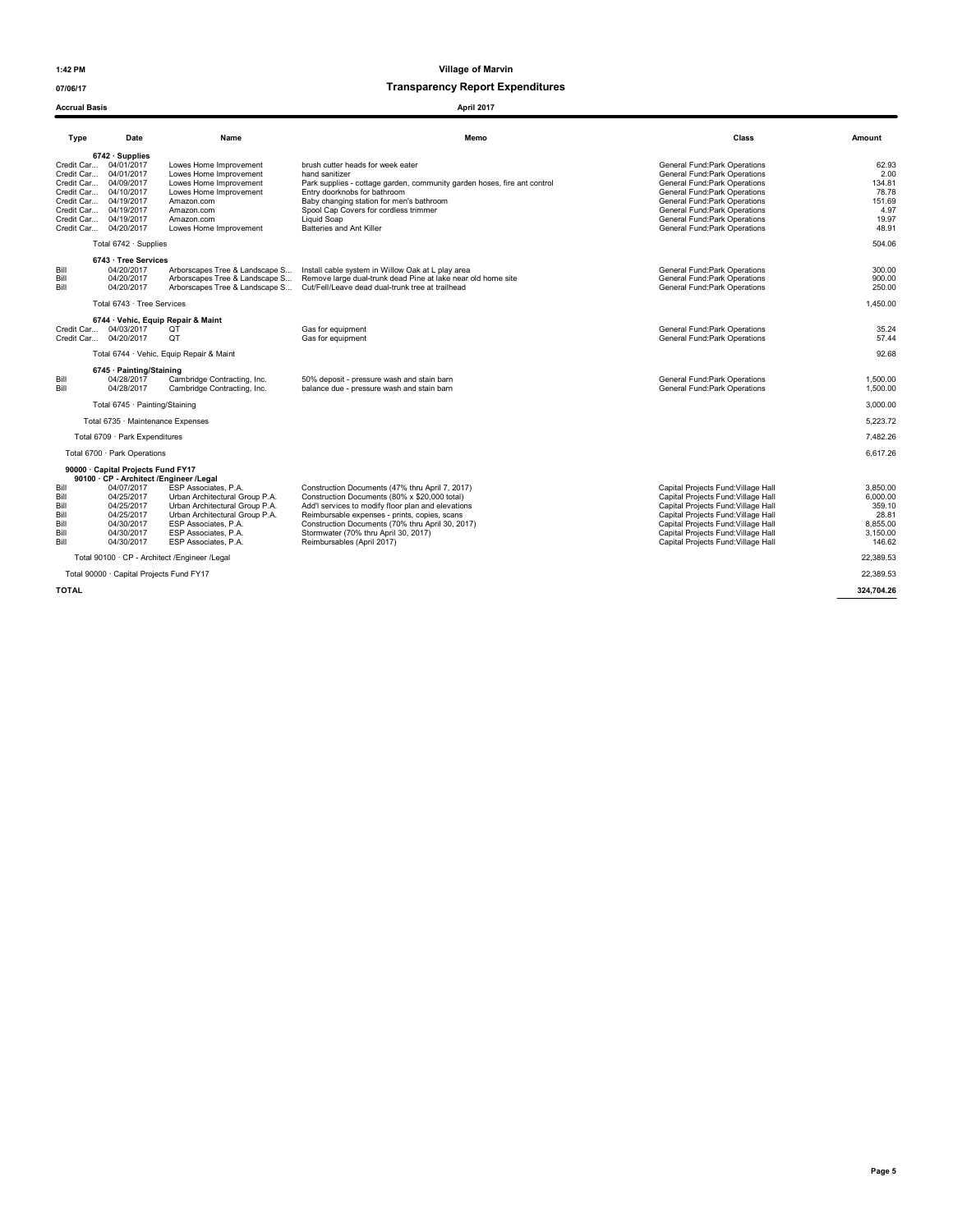Accrual Basis April 2017

1:42 PM Village of Marvin

| Type                                                 | Date                                                                                                                                                                                                                          | Name                                                                                                                                                                                               | Memo                                                                                                                                                                                                                                                                                                                              | Class                                                                                                                                                                                                                                                                         | Amount                                                                    |
|------------------------------------------------------|-------------------------------------------------------------------------------------------------------------------------------------------------------------------------------------------------------------------------------|----------------------------------------------------------------------------------------------------------------------------------------------------------------------------------------------------|-----------------------------------------------------------------------------------------------------------------------------------------------------------------------------------------------------------------------------------------------------------------------------------------------------------------------------------|-------------------------------------------------------------------------------------------------------------------------------------------------------------------------------------------------------------------------------------------------------------------------------|---------------------------------------------------------------------------|
|                                                      | $6742 \cdot$ Supplies<br>Credit Car 04/01/2017<br>Credit Car 04/01/2017<br>Credit Car 04/09/2017<br>Credit Car 04/10/2017<br>Credit Car 04/19/2017<br>Credit Car 04/19/2017<br>Credit Car 04/19/2017<br>Credit Car 04/20/2017 | Lowes Home Improvement<br>Lowes Home Improvement<br>Lowes Home Improvement<br>Lowes Home Improvement<br>Amazon.com<br>Amazon.com<br>Amazon.com<br>Lowes Home Improvement                           | brush cutter heads for week eater<br>hand sanitizer<br>Park supplies - cottage garden, community garden hoses, fire ant control<br>Entry doorknobs for bathroom<br>Baby changing station for men's bathroom<br>Spool Cap Covers for cordless trimmer<br>Liquid Soap<br>Batteries and Ant Killer                                   | General Fund: Park Operations<br>General Fund: Park Operations<br>General Fund:Park Operations<br>General Fund: Park Operations<br>General Fund: Park Operations<br>General Fund: Park Operations<br>General Fund: Park Operations<br>General Fund:Park Operations            | 62.93<br>2.00<br>134.81<br>78.78<br>151.69<br>4.97<br>19.97<br>48.91      |
|                                                      | Total $6742 \cdot$ Supplies                                                                                                                                                                                                   |                                                                                                                                                                                                    |                                                                                                                                                                                                                                                                                                                                   |                                                                                                                                                                                                                                                                               | 504.06                                                                    |
| Bill<br>Bill<br>Bill                                 | 6743 · Tree Services<br>04/20/2017<br>04/20/2017<br>04/20/2017                                                                                                                                                                | Arborscapes Tree & Landscape S                                                                                                                                                                     | Install cable system in Willow Oak at L play area<br>Arborscapes Tree & Landscape S Remove large dual-trunk dead Pine at lake near old home site<br>Arborscapes Tree & Landscape S Cut/Fell/Leave dead dual-trunk tree at trailhead                                                                                               | General Fund: Park Operations<br>General Fund: Park Operations<br>General Fund: Park Operations                                                                                                                                                                               | 300.00<br>900.00<br>250.00                                                |
|                                                      | Total 6743 · Tree Services                                                                                                                                                                                                    |                                                                                                                                                                                                    |                                                                                                                                                                                                                                                                                                                                   |                                                                                                                                                                                                                                                                               | 1.450.00                                                                  |
|                                                      | 6744 · Vehic, Equip Repair & Maint<br>Credit Car 04/03/2017<br>Credit Car 04/20/2017                                                                                                                                          | QT<br>QT                                                                                                                                                                                           | Gas for equipment<br>Gas for equipment                                                                                                                                                                                                                                                                                            | General Fund: Park Operations<br>General Fund: Park Operations                                                                                                                                                                                                                | 35.24<br>57.44                                                            |
|                                                      |                                                                                                                                                                                                                               | Total 6744 · Vehic, Equip Repair & Maint                                                                                                                                                           |                                                                                                                                                                                                                                                                                                                                   |                                                                                                                                                                                                                                                                               | 92.68                                                                     |
| Bill<br>Bill                                         | 6745 · Painting/Staining<br>04/28/2017<br>04/28/2017                                                                                                                                                                          | Cambridge Contracting, Inc.<br>Cambridge Contracting, Inc.                                                                                                                                         | 50% deposit - pressure wash and stain barn<br>balance due - pressure wash and stain barn                                                                                                                                                                                                                                          | General Fund: Park Operations<br>General Fund: Park Operations                                                                                                                                                                                                                | 1.500.00<br>1,500.00                                                      |
|                                                      | Total 6745 · Painting/Staining                                                                                                                                                                                                |                                                                                                                                                                                                    |                                                                                                                                                                                                                                                                                                                                   |                                                                                                                                                                                                                                                                               | 3,000.00                                                                  |
|                                                      | Total 6735 · Maintenance Expenses                                                                                                                                                                                             |                                                                                                                                                                                                    |                                                                                                                                                                                                                                                                                                                                   |                                                                                                                                                                                                                                                                               | 5.223.72                                                                  |
|                                                      | Total 6709 · Park Expenditures                                                                                                                                                                                                |                                                                                                                                                                                                    |                                                                                                                                                                                                                                                                                                                                   |                                                                                                                                                                                                                                                                               | 7.482.26                                                                  |
|                                                      | Total 6700 · Park Operations                                                                                                                                                                                                  |                                                                                                                                                                                                    |                                                                                                                                                                                                                                                                                                                                   |                                                                                                                                                                                                                                                                               | 6.617.26                                                                  |
| Bill<br>Bill<br>Bill<br>Bill<br>Bill<br>Bill<br>Bill | 90000 · Capital Projects Fund FY17<br>90100 · CP - Architect /Engineer /Legal<br>04/07/2017<br>04/25/2017<br>04/25/2017<br>04/25/2017<br>04/30/2017<br>04/30/2017<br>04/30/2017                                               | ESP Associates, P.A.<br>Urban Architectural Group P.A.<br>Urban Architectural Group P.A.<br>Urban Architectural Group P.A.<br>ESP Associates, P.A.<br>ESP Associates, P.A.<br>ESP Associates, P.A. | Construction Documents (47% thru April 7, 2017)<br>Construction Documents (80% x \$20,000 total)<br>Add'I services to modify floor plan and elevations<br>Reimbursable expenses - prints, copies, scans<br>Construction Documents (70% thru April 30, 2017)<br>Stormwater (70% thru April 30, 2017)<br>Reimbursables (April 2017) | Capital Projects Fund: Village Hall<br>Capital Projects Fund: Village Hall<br>Capital Projects Fund: Village Hall<br>Capital Projects Fund: Village Hall<br>Capital Projects Fund: Village Hall<br>Capital Projects Fund: Village Hall<br>Capital Projects Fund: Village Hall | 3.850.00<br>6.000.00<br>359.10<br>28.81<br>8.855.00<br>3.150.00<br>146.62 |
|                                                      |                                                                                                                                                                                                                               | Total 90100 · CP - Architect / Engineer / Legal                                                                                                                                                    |                                                                                                                                                                                                                                                                                                                                   |                                                                                                                                                                                                                                                                               | 22.389.53                                                                 |
|                                                      | Total 90000 · Capital Projects Fund FY17                                                                                                                                                                                      |                                                                                                                                                                                                    |                                                                                                                                                                                                                                                                                                                                   |                                                                                                                                                                                                                                                                               | 22,389.53                                                                 |
| <b>TOTAL</b>                                         |                                                                                                                                                                                                                               |                                                                                                                                                                                                    |                                                                                                                                                                                                                                                                                                                                   |                                                                                                                                                                                                                                                                               | 324.704.26                                                                |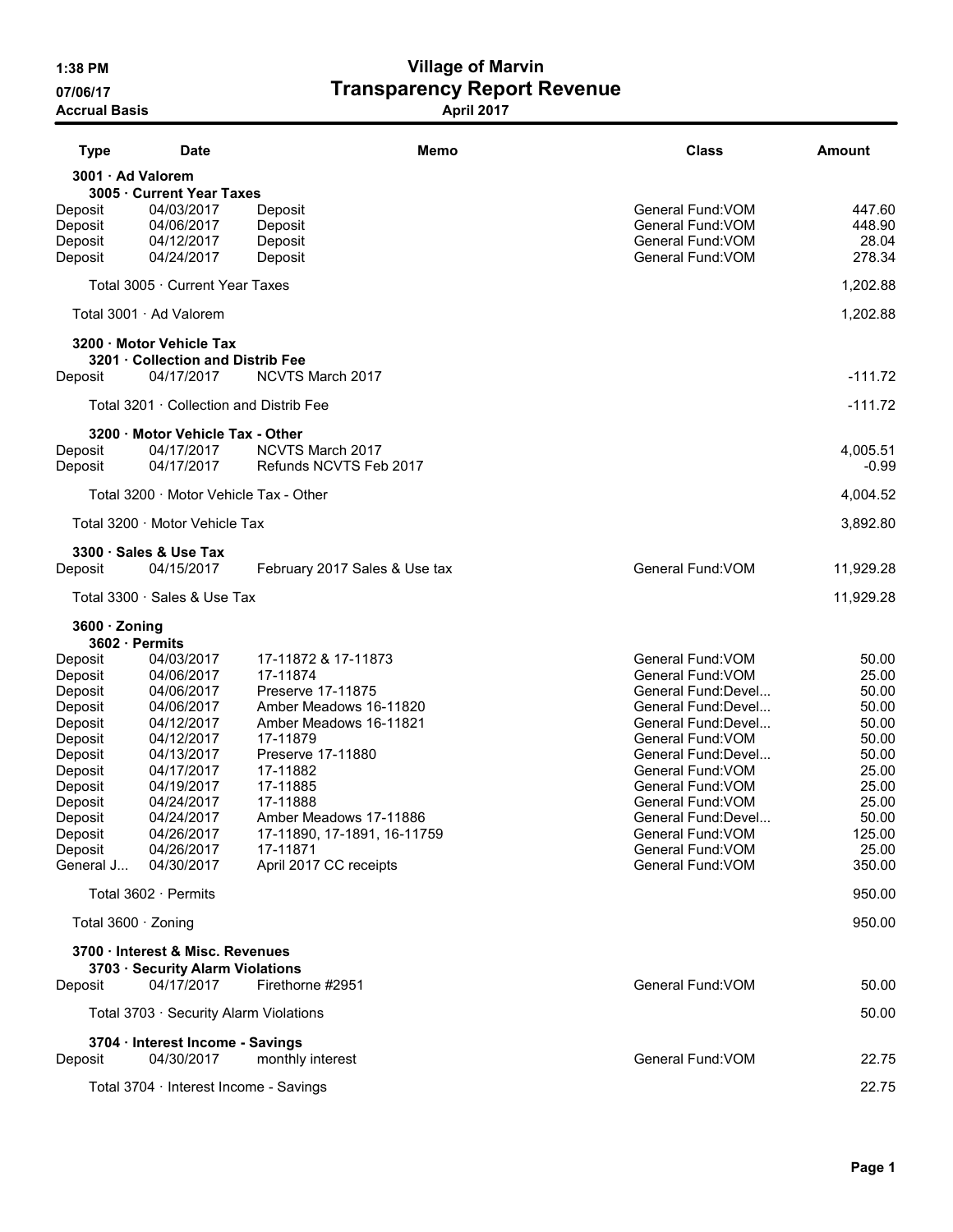# 1:38 PM Village of Marvin 07/06/17 **Transparency Report Revenue**

Accrual Basis **April 2017** 

| <b>Type</b>         | <b>Date</b>                             |                               | Memo | <b>Class</b>                           | Amount          |
|---------------------|-----------------------------------------|-------------------------------|------|----------------------------------------|-----------------|
|                     | 3001 · Ad Valorem                       |                               |      |                                        |                 |
|                     | 3005 · Current Year Taxes               |                               |      |                                        |                 |
| Deposit             | 04/03/2017                              | Deposit                       |      | General Fund: VOM                      | 447.60          |
| Deposit             | 04/06/2017                              | Deposit                       |      | General Fund: VOM                      | 448.90          |
| Deposit             | 04/12/2017<br>04/24/2017                | Deposit                       |      | General Fund: VOM<br>General Fund: VOM | 28.04<br>278.34 |
| Deposit             |                                         | Deposit                       |      |                                        |                 |
|                     | Total 3005 · Current Year Taxes         |                               |      |                                        | 1,202.88        |
|                     | Total 3001 · Ad Valorem                 |                               |      |                                        | 1,202.88        |
|                     | 3200 · Motor Vehicle Tax                |                               |      |                                        |                 |
|                     | 3201 · Collection and Distrib Fee       |                               |      |                                        |                 |
| Deposit             | 04/17/2017                              | NCVTS March 2017              |      |                                        | $-111.72$       |
|                     | Total 3201 · Collection and Distrib Fee |                               |      |                                        | $-111.72$       |
|                     | 3200 · Motor Vehicle Tax - Other        |                               |      |                                        |                 |
| Deposit             | 04/17/2017                              | NCVTS March 2017              |      |                                        | 4,005.51        |
| Deposit             | 04/17/2017                              | Refunds NCVTS Feb 2017        |      |                                        | $-0.99$         |
|                     | Total 3200 · Motor Vehicle Tax - Other  |                               |      |                                        | 4,004.52        |
|                     | Total 3200 · Motor Vehicle Tax          |                               |      |                                        | 3,892.80        |
|                     | 3300 · Sales & Use Tax                  |                               |      |                                        |                 |
| Deposit             | 04/15/2017                              | February 2017 Sales & Use tax |      | General Fund: VOM                      | 11,929.28       |
|                     | Total 3300 · Sales & Use Tax            |                               |      |                                        | 11,929.28       |
| $3600 \cdot$ Zoning |                                         |                               |      |                                        |                 |
|                     | 3602 · Permits                          |                               |      |                                        |                 |
| Deposit             | 04/03/2017                              | 17-11872 & 17-11873           |      | General Fund: VOM                      | 50.00           |
| Deposit             | 04/06/2017                              | 17-11874                      |      | General Fund: VOM                      | 25.00           |
| Deposit             | 04/06/2017                              | Preserve 17-11875             |      | General Fund:Devel                     | 50.00           |
| Deposit             | 04/06/2017                              | Amber Meadows 16-11820        |      | General Fund:Devel                     | 50.00           |
| Deposit             | 04/12/2017                              | Amber Meadows 16-11821        |      | General Fund: Devel                    | 50.00           |
| Deposit             | 04/12/2017                              | 17-11879                      |      | General Fund: VOM                      | 50.00           |
| Deposit             | 04/13/2017                              | Preserve 17-11880             |      | General Fund: Devel                    | 50.00           |
| Deposit             | 04/17/2017                              | 17-11882                      |      | General Fund: VOM                      | 25.00<br>25.00  |
| Deposit             | 04/19/2017<br>04/24/2017                | 17-11885<br>17-11888          |      | General Fund: VOM<br>General Fund: VOM | 25.00           |
| Deposit<br>Deposit  | 04/24/2017                              | Amber Meadows 17-11886        |      | General Fund:Devel                     | 50.00           |
| Deposit             | 04/26/2017                              | 17-11890, 17-1891, 16-11759   |      | General Fund: VOM                      | 125.00          |
| Deposit             | 04/26/2017                              | 17-11871                      |      | General Fund: VOM                      | 25.00           |
| General J           | 04/30/2017                              | April 2017 CC receipts        |      | General Fund: VOM                      | 350.00          |
|                     | Total 3602 · Permits                    |                               |      |                                        | 950.00          |
|                     | Total 3600 · Zoning                     |                               |      |                                        | 950.00          |
|                     | 3700 · Interest & Misc. Revenues        |                               |      |                                        |                 |
|                     | 3703 · Security Alarm Violations        |                               |      |                                        |                 |
| Deposit             | 04/17/2017                              | Firethorne #2951              |      | General Fund: VOM                      | 50.00           |
|                     | Total 3703 · Security Alarm Violations  |                               |      |                                        | 50.00           |
|                     | 3704 · Interest Income - Savings        |                               |      |                                        |                 |
| Deposit             | 04/30/2017                              | monthly interest              |      | General Fund: VOM                      | 22.75           |
|                     |                                         |                               |      |                                        | 22.75           |
|                     | Total 3704 · Interest Income - Savings  |                               |      |                                        |                 |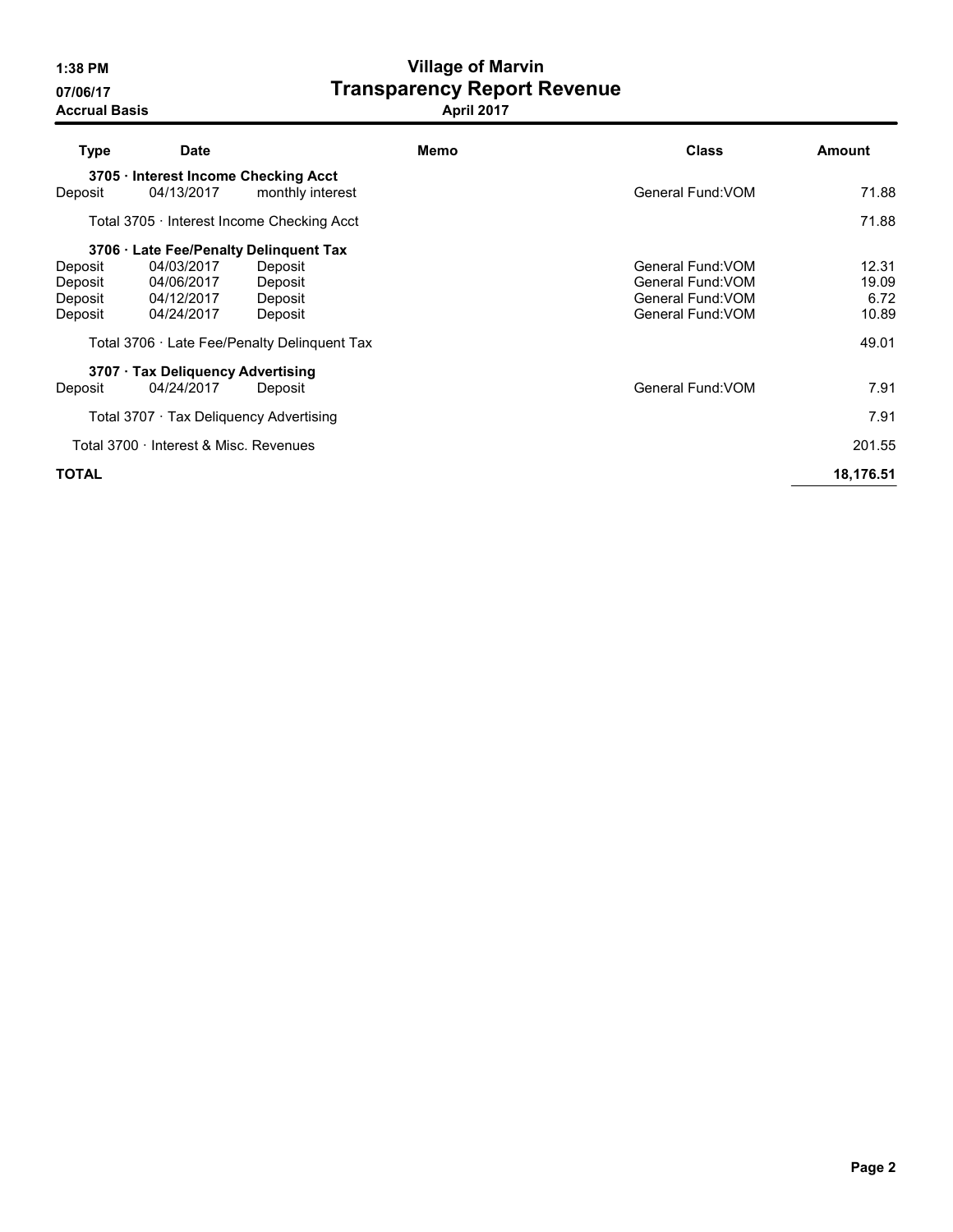# 1:38 PM Village of Marvin 07/06/17 **Transparency Report Revenue**

| <b>Type</b>  | <b>Date</b>                                      |                                              | Memo | <b>Class</b>      | Amount    |  |  |  |  |
|--------------|--------------------------------------------------|----------------------------------------------|------|-------------------|-----------|--|--|--|--|
|              | 3705 · Interest Income Checking Acct             |                                              |      |                   |           |  |  |  |  |
| Deposit      | 04/13/2017                                       | monthly interest                             |      | General Fund: VOM | 71.88     |  |  |  |  |
|              |                                                  | Total 3705 · Interest Income Checking Acct   |      |                   | 71.88     |  |  |  |  |
|              |                                                  | 3706 · Late Fee/Penalty Delinquent Tax       |      |                   |           |  |  |  |  |
| Deposit      | 04/03/2017                                       | Deposit                                      |      | General Fund: VOM | 12.31     |  |  |  |  |
| Deposit      | 04/06/2017                                       | Deposit                                      |      | General Fund: VOM | 19.09     |  |  |  |  |
| Deposit      | 04/12/2017                                       | Deposit                                      |      | General Fund: VOM | 6.72      |  |  |  |  |
| Deposit      | 04/24/2017                                       | Deposit                                      |      | General Fund: VOM | 10.89     |  |  |  |  |
|              |                                                  | Total 3706 · Late Fee/Penalty Delinguent Tax |      |                   | 49.01     |  |  |  |  |
|              | 3707 · Tax Deliquency Advertising                |                                              |      |                   |           |  |  |  |  |
| Deposit      | 04/24/2017                                       | Deposit                                      |      | General Fund: VOM | 7.91      |  |  |  |  |
|              | Total 3707 · Tax Deliquency Advertising          |                                              |      |                   | 7.91      |  |  |  |  |
|              | Total 3700 · Interest & Misc. Revenues<br>201.55 |                                              |      |                   |           |  |  |  |  |
| <b>TOTAL</b> |                                                  |                                              |      |                   | 18,176.51 |  |  |  |  |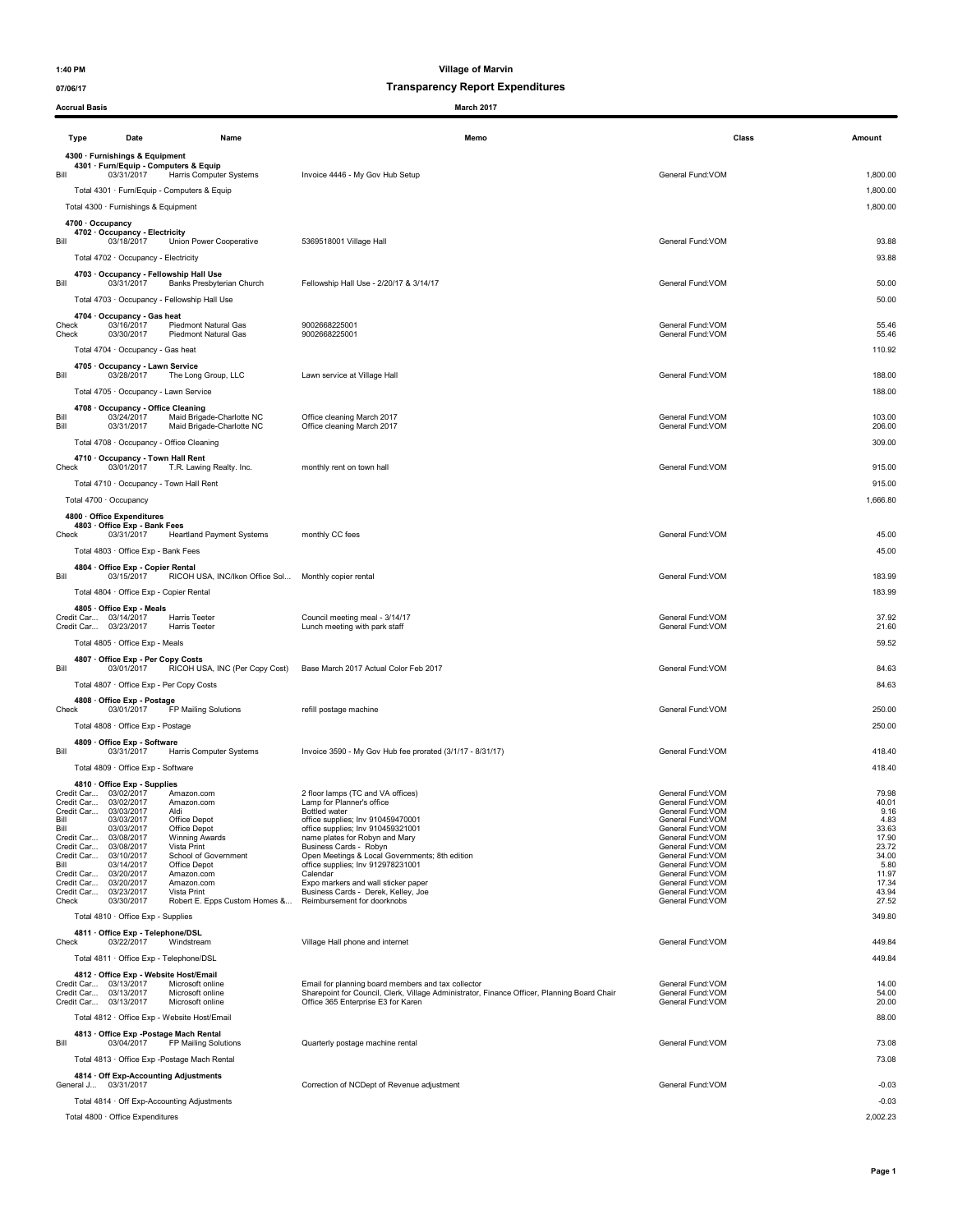### 07/06/17 07/06/17

| <b>Accrual Basis</b>                                                                                                                                                                                               |                                                                                                                                                                                                                                                                                                                                                                              | March 2017                                                                                                                                                                                                                                                                                                                                                                                                                                   |                                                                                                                                                                                                                                                                           |                                                                                                                |
|--------------------------------------------------------------------------------------------------------------------------------------------------------------------------------------------------------------------|------------------------------------------------------------------------------------------------------------------------------------------------------------------------------------------------------------------------------------------------------------------------------------------------------------------------------------------------------------------------------|----------------------------------------------------------------------------------------------------------------------------------------------------------------------------------------------------------------------------------------------------------------------------------------------------------------------------------------------------------------------------------------------------------------------------------------------|---------------------------------------------------------------------------------------------------------------------------------------------------------------------------------------------------------------------------------------------------------------------------|----------------------------------------------------------------------------------------------------------------|
| Type                                                                                                                                                                                                               | Date<br>Name                                                                                                                                                                                                                                                                                                                                                                 | Memo                                                                                                                                                                                                                                                                                                                                                                                                                                         | Class                                                                                                                                                                                                                                                                     | Amount                                                                                                         |
| Bill                                                                                                                                                                                                               | 4300 · Furnishings & Equipment<br>4301 · Furn/Equip - Computers & Equip<br>03/31/2017<br>Harris Computer Systems<br>Total 4301 · Furn/Equip - Computers & Equip<br>Total 4300 · Furnishings & Equipment                                                                                                                                                                      | Invoice 4446 - My Gov Hub Setup                                                                                                                                                                                                                                                                                                                                                                                                              | General Fund: VOM                                                                                                                                                                                                                                                         | 1,800.00<br>1,800.00<br>1,800.00                                                                               |
| 4700 · Occupancy<br>Bill                                                                                                                                                                                           | 4702 · Occupancy - Electricity<br>03/18/2017<br>Union Power Cooperative<br>Total 4702 · Occupancy - Electricity                                                                                                                                                                                                                                                              | 5369518001 Village Hall                                                                                                                                                                                                                                                                                                                                                                                                                      | General Fund: VOM                                                                                                                                                                                                                                                         | 93.88<br>93.88                                                                                                 |
| Bill                                                                                                                                                                                                               | 4703 · Occupancy - Fellowship Hall Use<br>03/31/2017<br>Banks Presbyterian Church                                                                                                                                                                                                                                                                                            | Fellowship Hall Use - 2/20/17 & 3/14/17                                                                                                                                                                                                                                                                                                                                                                                                      | General Fund: VOM                                                                                                                                                                                                                                                         | 50.00                                                                                                          |
| Check<br>Check                                                                                                                                                                                                     | Total 4703 · Occupancy - Fellowship Hall Use<br>4704 · Occupancy - Gas heat<br>03/16/2017<br><b>Piedmont Natural Gas</b><br>03/30/2017<br>Piedmont Natural Gas                                                                                                                                                                                                               | 9002668225001<br>9002668225001                                                                                                                                                                                                                                                                                                                                                                                                               | General Fund:VOM<br>General Fund:VOM                                                                                                                                                                                                                                      | 50.00<br>55.46<br>55.46                                                                                        |
| Bill                                                                                                                                                                                                               | Total 4704 · Occupancy - Gas heat<br>4705 · Occupancy - Lawn Service<br>03/28/2017<br>The Long Group, LLC                                                                                                                                                                                                                                                                    | Lawn service at Village Hall                                                                                                                                                                                                                                                                                                                                                                                                                 | General Fund:VOM                                                                                                                                                                                                                                                          | 110.92<br>188.00                                                                                               |
| Bill<br>Bill                                                                                                                                                                                                       | Total 4705 · Occupancy - Lawn Service<br>4708 · Occupancy - Office Cleaning<br>Maid Brigade-Charlotte NC<br>03/24/2017<br>03/31/2017<br>Maid Brigade-Charlotte NC                                                                                                                                                                                                            | Office cleaning March 2017<br>Office cleaning March 2017                                                                                                                                                                                                                                                                                                                                                                                     | General Fund: VOM<br>General Fund: VOM                                                                                                                                                                                                                                    | 188.00<br>103.00<br>206.00                                                                                     |
| Check                                                                                                                                                                                                              | Total 4708 · Occupancy - Office Cleaning<br>4710 · Occupancy - Town Hall Rent<br>03/01/2017<br>T.R. Lawing Realty. Inc.<br>Total 4710 · Occupancy - Town Hall Rent                                                                                                                                                                                                           | monthly rent on town hall                                                                                                                                                                                                                                                                                                                                                                                                                    | General Fund: VOM                                                                                                                                                                                                                                                         | 309.00<br>915.00<br>915.00                                                                                     |
| Total 4700 · Occupancy                                                                                                                                                                                             | 4800 · Office Expenditures<br>4803 · Office Exp - Bank Fees                                                                                                                                                                                                                                                                                                                  |                                                                                                                                                                                                                                                                                                                                                                                                                                              |                                                                                                                                                                                                                                                                           | 1,666.80                                                                                                       |
| Check                                                                                                                                                                                                              | 03/31/2017<br><b>Heartland Payment Systems</b><br>Total 4803 · Office Exp - Bank Fees<br>4804 · Office Exp - Copier Rental                                                                                                                                                                                                                                                   | monthly CC fees                                                                                                                                                                                                                                                                                                                                                                                                                              | General Fund: VOM                                                                                                                                                                                                                                                         | 45.00<br>45.00                                                                                                 |
| Bill                                                                                                                                                                                                               | RICOH USA, INC/Ikon Office Sol Monthly copier rental<br>03/15/2017<br>Total 4804 · Office Exp - Copier Rental<br>4805 Office Exp - Meals                                                                                                                                                                                                                                     |                                                                                                                                                                                                                                                                                                                                                                                                                                              | General Fund:VOM                                                                                                                                                                                                                                                          | 183.99<br>183.99                                                                                               |
| Credit Car 03/14/2017<br>Credit Car 03/23/2017                                                                                                                                                                     | <b>Harris Teeter</b><br><b>Harris Teeter</b><br>Total 4805 · Office Exp - Meals                                                                                                                                                                                                                                                                                              | Council meeting meal - 3/14/17<br>Lunch meeting with park staff                                                                                                                                                                                                                                                                                                                                                                              | General Fund: VOM<br>General Fund: VOM                                                                                                                                                                                                                                    | 37.92<br>21.60<br>59.52                                                                                        |
| Bill                                                                                                                                                                                                               | 4807 Office Exp - Per Copy Costs<br>03/01/2017<br>RICOH USA, INC (Per Copy Cost)<br>Total 4807 · Office Exp - Per Copy Costs                                                                                                                                                                                                                                                 | Base March 2017 Actual Color Feb 2017                                                                                                                                                                                                                                                                                                                                                                                                        | General Fund: VOM                                                                                                                                                                                                                                                         | 84.63<br>84.63                                                                                                 |
| Check                                                                                                                                                                                                              | 4808 · Office Exp - Postage<br>03/01/2017<br>FP Mailing Solutions<br>Total 4808 · Office Exp - Postage                                                                                                                                                                                                                                                                       | refill postage machine                                                                                                                                                                                                                                                                                                                                                                                                                       | General Fund: VOM                                                                                                                                                                                                                                                         | 250.00<br>250.00                                                                                               |
| Bill                                                                                                                                                                                                               | 4809 · Office Exp - Software<br>03/31/2017<br>Harris Computer Systems<br>Total 4809 · Office Exp - Software                                                                                                                                                                                                                                                                  | Invoice 3590 - My Gov Hub fee prorated (3/1/17 - 8/31/17)                                                                                                                                                                                                                                                                                                                                                                                    | General Fund:VOM                                                                                                                                                                                                                                                          | 418.40<br>418.40                                                                                               |
| Credit Car 03/02/2017<br>Credit Car<br>Credit Car<br>Bill<br>Bill<br>Credit Car<br>Credit Car<br>Credit Car 03/10/2017<br>Bill<br>Credit Car 03/20/2017<br>Credit Car 03/20/2017<br>Credit Car 03/23/2017<br>Check | 4810 · Office Exp - Supplies<br>Amazon.com<br>03/02/2017<br>Amazon.com<br>03/03/2017<br>Aldi<br>03/03/2017<br>Office Depot<br>Office Depot<br>03/03/2017<br>03/08/2017<br><b>Winning Awards</b><br>03/08/2017<br>Vista Print<br>School of Government<br>03/14/2017<br>Office Depot<br>Amazon.com<br>Amazon.com<br>Vista Print<br>03/30/2017<br>Robert E. Epps Custom Homes & | 2 floor lamps (TC and VA offices)<br>Lamp for Planner's office<br><b>Bottled water</b><br>office supplies; Inv 910459470001<br>office supplies; Inv 910459321001<br>name plates for Robyn and Mary<br>Business Cards - Robyn<br>Open Meetings & Local Governments; 8th edition<br>office supplies; Inv 912978231001<br>Calendar<br>Expo markers and wall sticker paper<br>Business Cards - Derek, Kelley, Joe<br>Reimbursement for doorknobs | General Fund: VOM<br>General Fund: VOM<br>General Fund: VOM<br>General Fund: VOM<br>General Fund: VOM<br>General Fund: VOM<br>General Fund: VOM<br>General Fund: VOM<br>General Fund: VOM<br>General Fund:VOM<br>General Fund:VOM<br>General Fund:VOM<br>General Fund:VOM | 79.98<br>40.01<br>9.16<br>4.83<br>33.63<br>17.90<br>23.72<br>34.00<br>5.80<br>11.97<br>17.34<br>43.94<br>27.52 |
| Check                                                                                                                                                                                                              | Total 4810 · Office Exp - Supplies<br>4811 Office Exp - Telephone/DSL<br>03/22/2017<br>Windstream                                                                                                                                                                                                                                                                            | Village Hall phone and internet                                                                                                                                                                                                                                                                                                                                                                                                              | General Fund:VOM                                                                                                                                                                                                                                                          | 349.80<br>449.84                                                                                               |
| Credit Car 03/13/2017<br>Credit Car 03/13/2017                                                                                                                                                                     | Total 4811 · Office Exp - Telephone/DSL<br>4812 · Office Exp - Website Host/Email<br>Microsoft online<br>Microsoft online                                                                                                                                                                                                                                                    | Email for planning board members and tax collector<br>Sharepoint for Council, Clerk, Village Administrator, Finance Officer, Planning Board Chair                                                                                                                                                                                                                                                                                            | General Fund:VOM<br>General Fund: VOM                                                                                                                                                                                                                                     | 449.84<br>14.00<br>54.00                                                                                       |
| Credit Car 03/13/2017                                                                                                                                                                                              | Microsoft online<br>Total 4812 · Office Exp - Website Host/Email<br>4813 Office Exp - Postage Mach Rental                                                                                                                                                                                                                                                                    | Office 365 Enterprise E3 for Karen                                                                                                                                                                                                                                                                                                                                                                                                           | General Fund: VOM                                                                                                                                                                                                                                                         | 20.00<br>88.00                                                                                                 |
| Bill                                                                                                                                                                                                               | 03/04/2017<br>FP Mailing Solutions<br>Total 4813 · Office Exp -Postage Mach Rental<br>4814 · Off Exp-Accounting Adjustments                                                                                                                                                                                                                                                  | Quarterly postage machine rental                                                                                                                                                                                                                                                                                                                                                                                                             | General Fund: VOM                                                                                                                                                                                                                                                         | 73.08<br>73.08                                                                                                 |
| General J 03/31/2017                                                                                                                                                                                               | Total 4814 · Off Exp-Accounting Adjustments                                                                                                                                                                                                                                                                                                                                  | Correction of NCDept of Revenue adjustment                                                                                                                                                                                                                                                                                                                                                                                                   | General Fund: VOM                                                                                                                                                                                                                                                         | $-0.03$<br>$-0.03$                                                                                             |

Total 4800 · Office Expenditures 2,002.23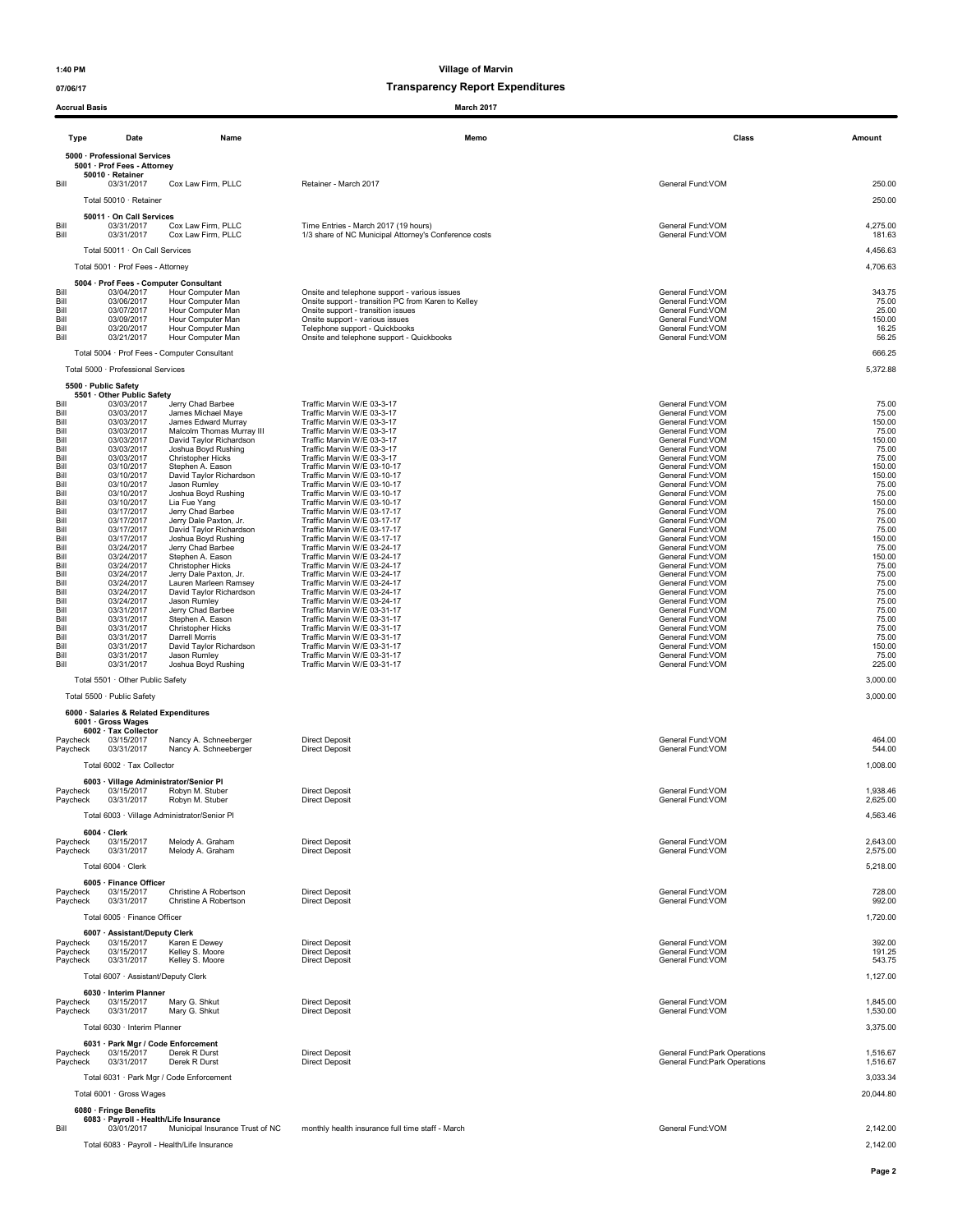### 07/06/17 07/06/17

| <b>Accrual Basis</b> |                                                      |                                                  | March 2017                                                                                |                                                                |                      |
|----------------------|------------------------------------------------------|--------------------------------------------------|-------------------------------------------------------------------------------------------|----------------------------------------------------------------|----------------------|
| Type                 | Date                                                 | Name                                             | Memo                                                                                      |                                                                | Class<br>Amount      |
|                      | 5000 · Professional Services                         |                                                  |                                                                                           |                                                                |                      |
|                      | 5001 · Prof Fees - Attorney<br>50010 · Retainer      |                                                  |                                                                                           |                                                                |                      |
| Bill                 | 03/31/2017                                           | Cox Law Firm, PLLC                               | Retainer - March 2017                                                                     | General Fund:VOM                                               | 250.00               |
|                      | Total 50010 · Retainer                               |                                                  |                                                                                           |                                                                | 250.00               |
| Bill                 | 50011 · On Call Services<br>03/31/2017               | Cox Law Firm, PLLC                               | Time Entries - March 2017 (19 hours)                                                      | General Fund: VOM                                              | 4,275.00             |
| Bill                 | 03/31/2017                                           | Cox Law Firm, PLLC                               | 1/3 share of NC Municipal Attorney's Conference costs                                     | General Fund: VOM                                              | 181.63               |
|                      | Total 50011 · On Call Services                       |                                                  |                                                                                           |                                                                | 4,456.63             |
|                      | Total 5001 · Prof Fees - Attorney                    |                                                  |                                                                                           |                                                                | 4,706.63             |
| Bill                 | 5004 · Prof Fees - Computer Consultant<br>03/04/2017 | Hour Computer Man                                | Onsite and telephone support - various issues                                             | General Fund: VOM                                              | 343.75               |
| Bill<br>Bill         | 03/06/2017<br>03/07/2017                             | Hour Computer Man<br>Hour Computer Man           | Onsite support - transition PC from Karen to Kelley<br>Onsite support - transition issues | General Fund:VOM<br>General Fund:VOM                           | 75.00<br>25.00       |
| Bill<br>Bill         | 03/09/2017<br>03/20/2017                             | Hour Computer Man<br>Hour Computer Man           | Onsite support - various issues<br>Telephone support - Quickbooks                         | General Fund: VOM<br>General Fund: VOM                         | 150.00<br>16.25      |
| Bill                 | 03/21/2017                                           | Hour Computer Man                                | Onsite and telephone support - Quickbooks                                                 | General Fund: VOM                                              | 56.25                |
|                      |                                                      | Total 5004 · Prof Fees - Computer Consultant     |                                                                                           |                                                                | 666.25               |
|                      | Total 5000 · Professional Services                   |                                                  |                                                                                           |                                                                | 5,372.88             |
|                      | 5500 · Public Safety<br>5501 Other Public Safety     |                                                  |                                                                                           |                                                                |                      |
| Bill<br>Bill         | 03/03/2017<br>03/03/2017                             | Jerry Chad Barbee<br>James Michael Maye          | Traffic Marvin W/E 03-3-17<br>Traffic Marvin W/E 03-3-17                                  | General Fund: VOM<br>General Fund: VOM                         | 75.00<br>75.00       |
| Bill<br>Bill         | 03/03/2017<br>03/03/2017                             | James Edward Murray<br>Malcolm Thomas Murray III | Traffic Marvin W/E 03-3-17<br>Traffic Marvin W/E 03-3-17                                  | General Fund: VOM<br>General Fund: VOM                         | 150.00<br>75.00      |
| Bill                 | 03/03/2017                                           | David Taylor Richardson                          | Traffic Marvin W/E 03-3-17                                                                | General Fund: VOM                                              | 150.00               |
| Bill<br>Bill         | 03/03/2017<br>03/03/2017                             | Joshua Boyd Rushing<br>Christopher Hicks         | Traffic Marvin W/E 03-3-17<br>Traffic Marvin W/E 03-3-17                                  | General Fund: VOM<br>General Fund: VOM                         | 75.00<br>75.00       |
| Bill<br>Bill         | 03/10/2017<br>03/10/2017                             | Stephen A. Eason<br>David Taylor Richardson      | Traffic Marvin W/E 03-10-17<br>Traffic Marvin W/E 03-10-17                                | General Fund:VOM<br>General Fund: VOM                          | 150.00<br>150.00     |
| Bill<br>Bill         | 03/10/2017<br>03/10/2017                             | Jason Rumley<br>Joshua Boyd Rushing              | Traffic Marvin W/E 03-10-17<br>Traffic Marvin W/E 03-10-17                                | General Fund: VOM<br>General Fund: VOM                         | 75.00<br>75.00       |
| Bill                 | 03/10/2017                                           | Lia Fue Yang                                     | Traffic Marvin W/E 03-10-17                                                               | General Fund: VOM                                              | 150.00               |
| Bill<br>Bill         | 03/17/2017<br>03/17/2017                             | Jerry Chad Barbee<br>Jerry Dale Paxton, Jr.      | Traffic Marvin W/E 03-17-17<br>Traffic Marvin W/E 03-17-17                                | General Fund: VOM<br>General Fund:VOM                          | 75.00<br>75.00       |
| Bill<br>Bill         | 03/17/2017<br>03/17/2017                             | David Taylor Richardson<br>Joshua Boyd Rushing   | Traffic Marvin W/E 03-17-17<br>Traffic Marvin W/E 03-17-17                                | General Fund: VOM<br>General Fund: VOM                         | 75.00<br>150.00      |
| Bill<br>Bill         | 03/24/2017<br>03/24/2017                             | Jerry Chad Barbee<br>Stephen A. Eason            | Traffic Marvin W/E 03-24-17<br>Traffic Marvin W/E 03-24-17                                | General Fund: VOM<br>General Fund: VOM                         | 75.00<br>150.00      |
| Bill<br>Bill         | 03/24/2017                                           | Christopher Hicks<br>Jerry Dale Paxton, Jr.      | Traffic Marvin W/E 03-24-17<br>Traffic Marvin W/E 03-24-17                                | General Fund: VOM<br>General Fund:VOM                          | 75.00<br>75.00       |
| Bill                 | 03/24/2017<br>03/24/2017                             | Lauren Marleen Ramsey                            | Traffic Marvin W/E 03-24-17                                                               | General Fund:VOM                                               | 75.00                |
| Bill<br>Bill         | 03/24/2017<br>03/24/2017                             | David Taylor Richardson<br>Jason Rumley          | Traffic Marvin W/E 03-24-17<br>Traffic Marvin W/E 03-24-17                                | General Fund: VOM<br>General Fund: VOM                         | 75.00<br>75.00       |
| Bill<br>Bill         | 03/31/2017<br>03/31/2017                             | Jerry Chad Barbee<br>Stephen A. Eason            | Traffic Marvin W/E 03-31-17<br>Traffic Marvin W/E 03-31-17                                | General Fund: VOM<br>General Fund:VOM                          | 75.00<br>75.00       |
| Bill<br>Bill         | 03/31/2017<br>03/31/2017                             | <b>Christopher Hicks</b><br>Darrell Morris       | Traffic Marvin W/E 03-31-17<br>Traffic Marvin W/E 03-31-17                                | General Fund: VOM<br>General Fund:VOM                          | 75.00<br>75.00       |
| Bill<br>Bill         | 03/31/2017                                           | David Taylor Richardson                          | Traffic Marvin W/E 03-31-17                                                               | General Fund: VOM                                              | 150.00               |
| Bill                 | 03/31/2017<br>03/31/2017                             | Jason Rumley<br>Joshua Boyd Rushing              | Traffic Marvin W/E 03-31-17<br>Traffic Marvin W/E 03-31-17                                | General Fund:VOM<br>General Fund: VOM                          | 75.00<br>225.00      |
|                      | Total 5501 · Other Public Safety                     |                                                  |                                                                                           |                                                                | 3,000.00             |
|                      | Total 5500 · Public Safety                           |                                                  |                                                                                           |                                                                | 3,000.00             |
|                      | 6000 · Salaries & Related Expenditures               |                                                  |                                                                                           |                                                                |                      |
|                      | 6001 · Gross Wages<br>6002 · Tax Collector           |                                                  |                                                                                           |                                                                |                      |
| Paycheck<br>Paycheck | 03/15/2017<br>03/31/2017                             | Nancy A. Schneeberger<br>Nancy A. Schneeberger   | <b>Direct Deposit</b><br><b>Direct Deposit</b>                                            | General Fund: VOM<br>General Fund: VOM                         | 464.00<br>544.00     |
|                      | Total 6002 · Tax Collector                           |                                                  |                                                                                           |                                                                | 1,008.00             |
|                      |                                                      | 6003 · Village Administrator/Senior Pl           |                                                                                           |                                                                |                      |
| Paycheck<br>Paycheck | 03/15/2017<br>03/31/2017                             | Robyn M. Stuber<br>Robyn M. Stuber               | <b>Direct Deposit</b><br><b>Direct Deposit</b>                                            | General Fund: VOM<br>General Fund: VOM                         | 1,938.46<br>2,625.00 |
|                      |                                                      | Total 6003 · Village Administrator/Senior Pl     |                                                                                           |                                                                | 4,563.46             |
|                      | 6004 Clerk                                           |                                                  |                                                                                           |                                                                |                      |
| Paycheck<br>Paycheck | 03/15/2017<br>03/31/2017                             | Melody A. Graham<br>Melody A. Graham             | <b>Direct Deposit</b><br><b>Direct Deposit</b>                                            | General Fund: VOM<br>General Fund:VOM                          | 2,643.00<br>2,575.00 |
|                      | Total 6004 · Clerk                                   |                                                  |                                                                                           |                                                                | 5,218.00             |
|                      | 6005 · Finance Officer                               |                                                  |                                                                                           |                                                                |                      |
| Paycheck<br>Paycheck | 03/15/2017<br>03/31/2017                             | Christine A Robertson<br>Christine A Robertson   | <b>Direct Deposit</b><br><b>Direct Deposit</b>                                            | General Fund:VOM<br>General Fund:VOM                           | 728.00<br>992.00     |
|                      | Total 6005 · Finance Officer                         |                                                  |                                                                                           |                                                                | 1,720.00             |
|                      | 6007 · Assistant/Deputy Clerk                        |                                                  |                                                                                           |                                                                |                      |
| Paycheck             | 03/15/2017                                           | Karen E Dewey                                    | <b>Direct Deposit</b><br>Direct Deposit                                                   | General Fund: VOM                                              | 392.00               |
| Paycheck<br>Paycheck | 03/15/2017<br>03/31/2017                             | Kelley S. Moore<br>Kelley S. Moore               | <b>Direct Deposit</b>                                                                     | General Fund: VOM<br>General Fund: VOM                         | 191.25<br>543.75     |
|                      | Total 6007 · Assistant/Deputy Clerk                  |                                                  |                                                                                           |                                                                | 1,127.00             |
|                      | 6030 · Interim Planner                               |                                                  |                                                                                           |                                                                |                      |
| Paycheck<br>Paycheck | 03/15/2017<br>03/31/2017                             | Mary G. Shkut<br>Mary G. Shkut                   | <b>Direct Deposit</b><br><b>Direct Deposit</b>                                            | General Fund:VOM<br>General Fund: VOM                          | 1,845.00<br>1,530.00 |
|                      | Total 6030 · Interim Planner                         |                                                  |                                                                                           |                                                                | 3,375.00             |
|                      | 6031 · Park Mgr / Code Enforcement                   |                                                  |                                                                                           |                                                                |                      |
| Paycheck<br>Paycheck | 03/15/2017<br>03/31/2017                             | Derek R Durst<br>Derek R Durst                   | <b>Direct Deposit</b><br><b>Direct Deposit</b>                                            | General Fund: Park Operations<br>General Fund: Park Operations | 1,516.67<br>1,516.67 |
|                      |                                                      | Total 6031 · Park Mgr / Code Enforcement         |                                                                                           |                                                                | 3,033.34             |
|                      | Total 6001 · Gross Wages                             |                                                  |                                                                                           |                                                                | 20,044.80            |
|                      | 6080 · Fringe Benefits                               |                                                  |                                                                                           |                                                                |                      |
| Bill                 | 6083 · Payroll - Health/Life Insurance<br>03/01/2017 | Municipal Insurance Trust of NC                  | monthly health insurance full time staff - March                                          | General Fund:VOM                                               | 2,142.00             |

Total 6083 · Payroll - Health/Life Insurance 2,142.00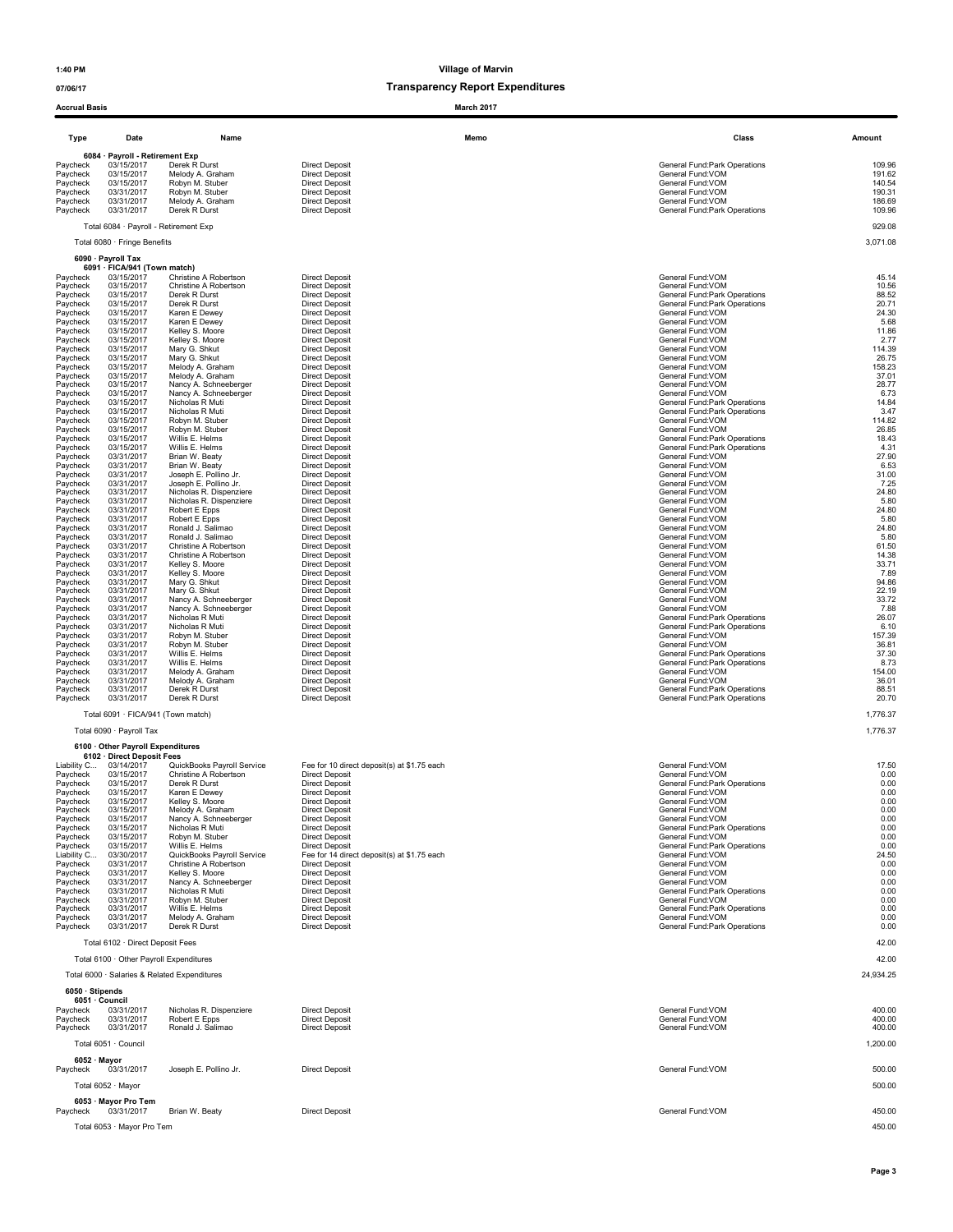| <b>Accrual Basis</b>    |                                                                 |                                                     | March 2017                                                           |                                                                |                  |
|-------------------------|-----------------------------------------------------------------|-----------------------------------------------------|----------------------------------------------------------------------|----------------------------------------------------------------|------------------|
| Type                    | Date                                                            | Name                                                | Memo                                                                 | Class                                                          | Amount           |
| Paycheck                | 6084 · Payroll - Retirement Exp<br>03/15/2017                   | Derek R Durst                                       | <b>Direct Deposit</b>                                                | General Fund: Park Operations                                  | 109.96           |
| Paycheck<br>Paycheck    | 03/15/2017<br>03/15/2017                                        | Melody A. Graham<br>Robyn M. Stuber                 | <b>Direct Deposit</b><br><b>Direct Deposit</b>                       | General Fund: VOM<br>General Fund: VOM                         | 191.62<br>140.54 |
| Paycheck                | 03/31/2017                                                      | Robyn M. Stuber                                     | <b>Direct Deposit</b>                                                | General Fund:VOM                                               | 190.31           |
| Paycheck<br>Paycheck    | 03/31/2017<br>03/31/2017                                        | Melody A. Graham<br>Derek R Durst                   | <b>Direct Deposit</b><br><b>Direct Deposit</b>                       | General Fund:VOM<br>General Fund: Park Operations              | 186.69<br>109.96 |
|                         | Total 6084 · Payroll - Retirement Exp                           |                                                     |                                                                      |                                                                | 929.08           |
|                         | Total 6080 · Fringe Benefits                                    |                                                     |                                                                      |                                                                | 3,071.08         |
|                         | 6090 · Payroll Tax                                              |                                                     |                                                                      |                                                                |                  |
| Paycheck                | 6091 · FICA/941 (Town match)<br>03/15/2017                      | Christine A Robertson                               | <b>Direct Deposit</b>                                                | General Fund: VOM                                              | 45.14            |
| Paycheck<br>Paycheck    | 03/15/2017<br>03/15/2017                                        | Christine A Robertson<br>Derek R Durst              | <b>Direct Deposit</b><br><b>Direct Deposit</b>                       | General Fund: VOM<br>General Fund: Park Operations             | 10.56<br>88.52   |
| Paycheck                | 03/15/2017                                                      | Derek R Durst                                       | <b>Direct Deposit</b>                                                | General Fund: Park Operations                                  | 20.71            |
| Paycheck<br>Paycheck    | 03/15/2017<br>03/15/2017                                        | Karen E Dewey<br>Karen E Dewey                      | <b>Direct Deposit</b><br><b>Direct Deposit</b>                       | General Fund: VOM<br>General Fund:VOM                          | 24.30<br>5.68    |
| Paycheck<br>Paycheck    | 03/15/2017<br>03/15/2017                                        | Kelley S. Moore<br>Kelley S. Moore                  | <b>Direct Deposit</b><br><b>Direct Deposit</b>                       | General Fund: VOM<br>General Fund:VOM                          | 11.86<br>2.77    |
| Paycheck<br>Paycheck    | 03/15/2017<br>03/15/2017                                        | Mary G. Shkut<br>Mary G. Shkut                      | <b>Direct Deposit</b><br><b>Direct Deposit</b>                       | General Fund:VOM<br>General Fund:VOM                           | 114.39<br>26.75  |
| Paycheck                | 03/15/2017                                                      | Melody A. Graham                                    | <b>Direct Deposit</b>                                                | General Fund: VOM                                              | 158.23           |
| Paycheck<br>Paycheck    | 03/15/2017<br>03/15/2017                                        | Melody A. Graham<br>Nancy A. Schneeberger           | <b>Direct Deposit</b><br><b>Direct Deposit</b>                       | General Fund: VOM<br>General Fund: VOM                         | 37.01<br>28.77   |
| Paycheck<br>Paycheck    | 03/15/2017<br>03/15/2017                                        | Nancy A. Schneeberger<br>Nicholas R Muti            | <b>Direct Deposit</b><br><b>Direct Deposit</b>                       | General Fund: VOM<br>General Fund: Park Operations             | 6.73<br>14.84    |
| Paycheck<br>Paycheck    | 03/15/2017<br>03/15/2017                                        | Nicholas R Muti<br>Robyn M. Stuber                  | <b>Direct Deposit</b><br><b>Direct Deposit</b>                       | General Fund: Park Operations<br>General Fund:VOM              | 3.47<br>114.82   |
| Paycheck                | 03/15/2017                                                      | Robyn M. Stuber                                     | <b>Direct Deposit</b>                                                | General Fund: VOM                                              | 26.85            |
| Paycheck<br>Paycheck    | 03/15/2017<br>03/15/2017                                        | Willis E. Helms<br>Willis E. Helms                  | <b>Direct Deposit</b><br><b>Direct Deposit</b>                       | General Fund: Park Operations<br>General Fund: Park Operations | 18.43<br>4.31    |
| Paycheck<br>Paycheck    | 03/31/2017<br>03/31/2017                                        | Brian W. Beaty<br>Brian W. Beaty                    | <b>Direct Deposit</b><br><b>Direct Deposit</b>                       | General Fund:VOM<br>General Fund: VOM                          | 27.90<br>6.53    |
| Paycheck<br>Paycheck    | 03/31/2017<br>03/31/2017                                        | Joseph E. Pollino Jr.<br>Joseph E. Pollino Jr.      | <b>Direct Deposit</b><br><b>Direct Deposit</b>                       | General Fund:VOM<br>General Fund: VOM                          | 31.00<br>7.25    |
| Paycheck                | 03/31/2017                                                      | Nicholas R. Dispenziere                             | <b>Direct Deposit</b>                                                | General Fund: VOM                                              | 24.80            |
| Paycheck<br>Paycheck    | 03/31/2017<br>03/31/2017                                        | Nicholas R. Dispenziere<br>Robert E Epps            | <b>Direct Deposit</b><br><b>Direct Deposit</b>                       | General Fund: VOM<br>General Fund: VOM                         | 5.80<br>24.80    |
| Paycheck<br>Paycheck    | 03/31/2017<br>03/31/2017                                        | Robert E Epps<br>Ronald J. Salimao                  | <b>Direct Deposit</b><br><b>Direct Deposit</b>                       | General Fund:VOM<br>General Fund:VOM                           | 5.80<br>24.80    |
| Paycheck<br>Paycheck    | 03/31/2017<br>03/31/2017                                        | Ronald J. Salimao<br>Christine A Robertson          | <b>Direct Deposit</b><br><b>Direct Deposit</b>                       | General Fund:VOM<br>General Fund: VOM                          | 5.80<br>61.50    |
| Paycheck                | 03/31/2017                                                      | Christine A Robertson                               | <b>Direct Deposit</b>                                                | General Fund: VOM                                              | 14.38            |
| Paycheck<br>Paycheck    | 03/31/2017<br>03/31/2017                                        | Kelley S. Moore<br>Kelley S. Moore                  | <b>Direct Deposit</b><br><b>Direct Deposit</b>                       | General Fund: VOM<br>General Fund:VOM                          | 33.71<br>7.89    |
| Paycheck<br>Paycheck    | 03/31/2017<br>03/31/2017                                        | Mary G. Shkut<br>Mary G. Shkut                      | <b>Direct Deposit</b><br><b>Direct Deposit</b>                       | General Fund:VOM<br>General Fund:VOM                           | 94.86<br>22.19   |
| Paycheck<br>Paycheck    | 03/31/2017<br>03/31/2017                                        | Nancy A. Schneeberger<br>Nancy A. Schneeberger      | <b>Direct Deposit</b><br><b>Direct Deposit</b>                       | General Fund:VOM<br>General Fund: VOM                          | 33.72<br>7.88    |
| Paycheck                | 03/31/2017                                                      | Nicholas R Muti                                     | <b>Direct Deposit</b>                                                | General Fund: Park Operations                                  | 26.07            |
| Paycheck<br>Paycheck    | 03/31/2017<br>03/31/2017                                        | Nicholas R Muti<br>Robyn M. Stuber                  | <b>Direct Deposit</b><br><b>Direct Deposit</b>                       | General Fund: Park Operations<br>General Fund:VOM              | 6.10<br>157.39   |
| Paycheck<br>Paycheck    | 03/31/2017<br>03/31/2017                                        | Robyn M. Stuber<br>Willis E. Helms                  | <b>Direct Deposit</b><br><b>Direct Deposit</b>                       | General Fund: VOM<br>General Fund: Park Operations             | 36.81<br>37.30   |
| Paycheck<br>Paycheck    | 03/31/2017<br>03/31/2017                                        | Willis E. Helms<br>Melody A. Graham                 | <b>Direct Deposit</b><br><b>Direct Deposit</b>                       | General Fund:Park Operations<br>General Fund: VOM              | 8.73<br>154.00   |
| Paycheck                | 03/31/2017                                                      | Melody A. Graham                                    | <b>Direct Deposit</b>                                                | General Fund:VOM                                               | 36.01            |
| Paycheck<br>Paycheck    | 03/31/2017<br>03/31/2017                                        | Derek R Durst<br>Derek R Durst                      | <b>Direct Deposit</b><br><b>Direct Deposit</b>                       | General Fund: Park Operations<br>General Fund: Park Operations | 88.51<br>20.70   |
|                         | Total 6091 · FICA/941 (Town match)                              |                                                     |                                                                      |                                                                | 1,776.37         |
|                         | Total 6090 · Payroll Tax                                        |                                                     |                                                                      |                                                                | 1,776.37         |
|                         | 6100 · Other Payroll Expenditures<br>6102 · Direct Deposit Fees |                                                     |                                                                      |                                                                |                  |
| Liability C<br>Paycheck | 03/14/2017<br>03/15/2017                                        | QuickBooks Payroll Service<br>Christine A Robertson | Fee for 10 direct deposit(s) at \$1.75 each<br><b>Direct Deposit</b> | General Fund:VOM<br>General Fund: VOM                          | 17.50<br>0.00    |
| Paycheck<br>Paycheck    | 03/15/2017<br>03/15/2017                                        | Derek R Durst<br>Karen E Dewey                      | <b>Direct Deposit</b><br><b>Direct Deposit</b>                       | General Fund: Park Operations<br>General Fund:VOM              | 0.00<br>0.00     |
| Paycheck                | 03/15/2017                                                      | Kelley S. Moore<br>Melody A. Graham                 | <b>Direct Deposit</b>                                                | General Fund: VOM                                              | 0.00<br>0.00     |
| Paycheck<br>Paycheck    | 03/15/2017<br>03/15/2017                                        | Nancy A. Schneeberger                               | <b>Direct Deposit</b><br><b>Direct Deposit</b>                       | General Fund:VOM<br>General Fund:VOM                           | 0.00             |
| Paycheck<br>Paycheck    | 03/15/2017<br>03/15/2017                                        | Nicholas R Muti<br>Robyn M. Stuber                  | <b>Direct Deposit</b><br><b>Direct Deposit</b>                       | General Fund: Park Operations<br>General Fund: VOM             | 0.00<br>0.00     |
| Paycheck<br>Liability C | 03/15/2017<br>03/30/2017                                        | Willis E. Helms<br>QuickBooks Payroll Service       | <b>Direct Deposit</b><br>Fee for 14 direct deposit(s) at \$1.75 each | General Fund: Park Operations<br>General Fund:VOM              | 0.00<br>24.50    |
| Paycheck<br>Paycheck    | 03/31/2017<br>03/31/2017                                        | Christine A Robertson<br>Kelley S. Moore            | <b>Direct Deposit</b><br><b>Direct Deposit</b>                       | General Fund:VOM<br>General Fund:VOM                           | 0.00<br>0.00     |
| Paycheck                | 03/31/2017                                                      | Nancy A. Schneeberger                               | <b>Direct Deposit</b>                                                | General Fund:VOM                                               | 0.00             |
| Paycheck<br>Paycheck    | 03/31/2017<br>03/31/2017                                        | Nicholas R Muti<br>Robyn M. Stuber                  | <b>Direct Deposit</b><br><b>Direct Deposit</b>                       | General Fund: Park Operations<br>General Fund: VOM             | 0.00<br>0.00     |
| Paycheck<br>Paycheck    | 03/31/2017<br>03/31/2017                                        | Willis E. Helms<br>Melody A. Graham                 | <b>Direct Deposit</b><br><b>Direct Deposit</b>                       | General Fund: Park Operations<br>General Fund: VOM             | 0.00<br>0.00     |
| Paycheck                | 03/31/2017                                                      | Derek R Durst                                       | <b>Direct Deposit</b>                                                | General Fund: Park Operations                                  | 0.00             |
|                         | Total 6102 · Direct Deposit Fees                                |                                                     |                                                                      |                                                                | 42.00            |
|                         | Total 6100 · Other Payroll Expenditures                         |                                                     |                                                                      |                                                                | 42.00            |
|                         |                                                                 | Total 6000 · Salaries & Related Expenditures        |                                                                      |                                                                | 24,934.25        |
| $6050 \cdot$ Stipends   | 6051 · Council                                                  |                                                     |                                                                      |                                                                |                  |
| Paycheck<br>Paycheck    | 03/31/2017<br>03/31/2017                                        | Nicholas R. Dispenziere<br>Robert E Epps            | <b>Direct Deposit</b><br><b>Direct Deposit</b>                       | General Fund: VOM<br>General Fund: VOM                         | 400.00<br>400.00 |
| Paycheck                | 03/31/2017                                                      | Ronald J. Salimao                                   | <b>Direct Deposit</b>                                                | General Fund: VOM                                              | 400.00           |
|                         | Total 6051 · Council                                            |                                                     |                                                                      |                                                                | 1,200.00         |
| 6052 · Mayor            | 03/31/2017                                                      | Joseph E. Pollino Jr.                               | <b>Direct Deposit</b>                                                | General Fund: VOM                                              | 500.00           |
| Paycheck                | Total 6052 · Mayor                                              |                                                     |                                                                      |                                                                | 500.00           |
|                         | 6053 · Mayor Pro Tem                                            |                                                     |                                                                      |                                                                |                  |
| Paycheck                | 03/31/2017                                                      | Brian W. Beaty                                      | <b>Direct Deposit</b>                                                | General Fund:VOM                                               | 450.00           |
|                         | Total 6053 · Mayor Pro Tem                                      |                                                     |                                                                      |                                                                | 450.00           |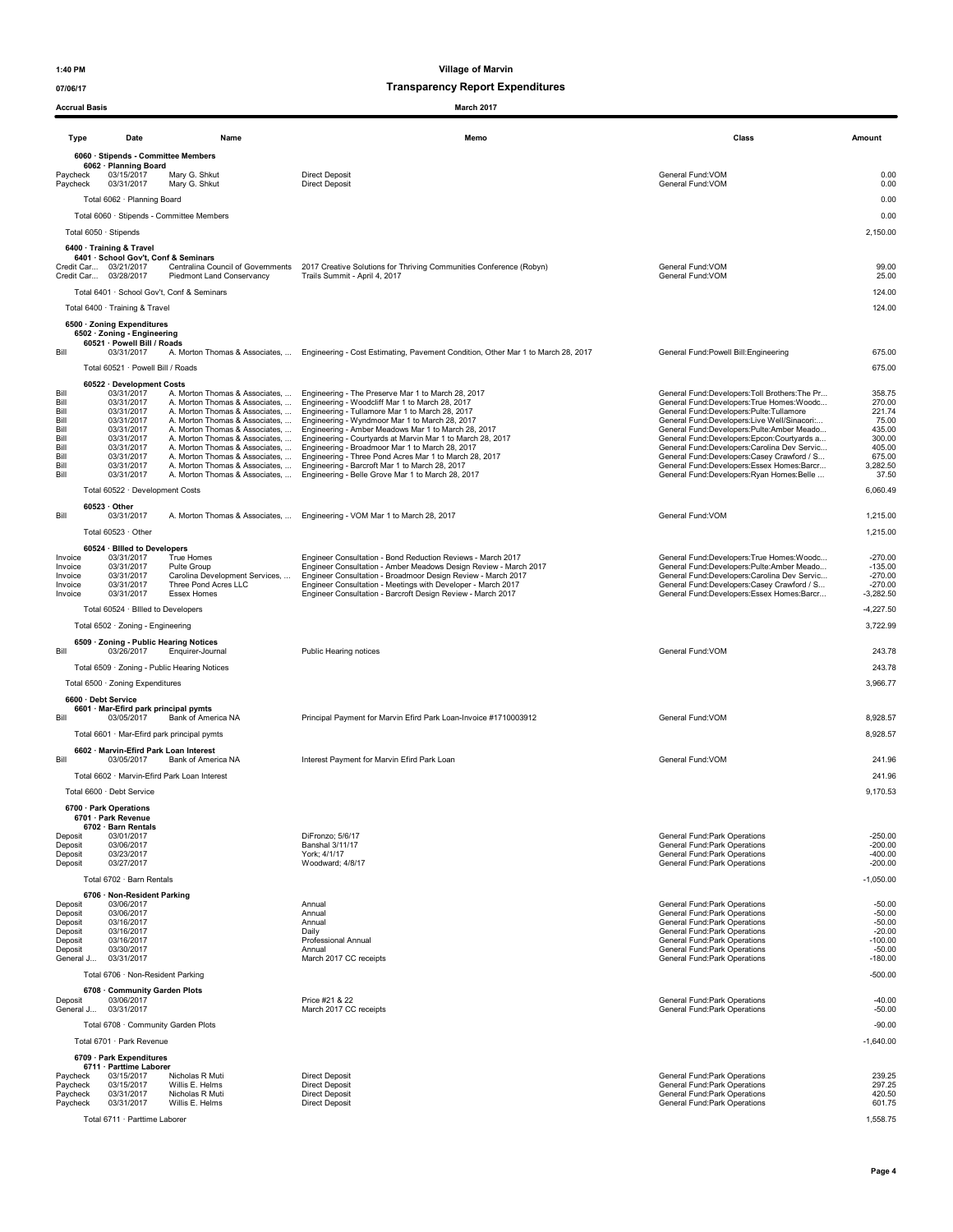| Accrual Basis        |                                                                                        |                                                                       | March 2017                                                                                                                                                                    |                                                                                           |                        |
|----------------------|----------------------------------------------------------------------------------------|-----------------------------------------------------------------------|-------------------------------------------------------------------------------------------------------------------------------------------------------------------------------|-------------------------------------------------------------------------------------------|------------------------|
| <b>Type</b>          | Date                                                                                   | Name                                                                  | Memo                                                                                                                                                                          | Class                                                                                     | Amount                 |
|                      | 6060 · Stipends - Committee Members                                                    |                                                                       |                                                                                                                                                                               |                                                                                           |                        |
| Paycheck<br>Paycheck | 6062 · Planning Board<br>03/15/2017<br>03/31/2017                                      | Mary G. Shkut<br>Mary G. Shkut                                        | <b>Direct Deposit</b><br><b>Direct Deposit</b>                                                                                                                                | General Fund:VOM<br>General Fund:VOM                                                      | 0.00<br>0.00           |
|                      | Total 6062 · Planning Board                                                            |                                                                       |                                                                                                                                                                               |                                                                                           | 0.00                   |
|                      |                                                                                        | Total 6060 · Stipends - Committee Members                             |                                                                                                                                                                               |                                                                                           | 0.00                   |
|                      | Total 6050 · Stipends                                                                  |                                                                       |                                                                                                                                                                               |                                                                                           | 2,150.00               |
|                      | 6400 · Training & Travel                                                               |                                                                       |                                                                                                                                                                               |                                                                                           |                        |
|                      | 6401 · School Gov't, Conf & Seminars<br>Credit Car 03/21/2017<br>Credit Car 03/28/2017 | Centralina Council of Governments<br><b>Piedmont Land Conservancy</b> | 2017 Creative Solutions for Thriving Communities Conference (Robyn)<br>Trails Summit - April 4, 2017                                                                          | General Fund:VOM<br>General Fund: VOM                                                     | 99.00<br>25.00         |
|                      |                                                                                        | Total 6401 · School Gov't, Conf & Seminars                            |                                                                                                                                                                               |                                                                                           | 124.00                 |
|                      | Total 6400 · Training & Travel                                                         |                                                                       |                                                                                                                                                                               |                                                                                           | 124.00                 |
|                      | 6500 · Zoning Expenditures<br>6502 · Zoning - Engineering                              |                                                                       |                                                                                                                                                                               |                                                                                           |                        |
| Bill                 | 60521 · Powell Bill / Roads<br>03/31/2017                                              |                                                                       | A. Morton Thomas & Associates,  Engineering - Cost Estimating, Pavement Condition, Other Mar 1 to March 28, 2017                                                              | General Fund: Powell Bill: Engineering                                                    | 675.00                 |
|                      | Total 60521 · Powell Bill / Roads                                                      |                                                                       |                                                                                                                                                                               |                                                                                           | 675.00                 |
|                      | 60522 · Development Costs                                                              |                                                                       |                                                                                                                                                                               |                                                                                           |                        |
| Bill                 | 03/31/2017                                                                             |                                                                       | A. Morton Thomas & Associates,  Engineering - The Preserve Mar 1 to March 28, 2017                                                                                            | General Fund:Developers:Toll Brothers:The Pr                                              | 358.75                 |
| Bill<br>Bill         | 03/31/2017<br>03/31/2017                                                               |                                                                       | A. Morton Thomas & Associates,  Engineering - Woodcliff Mar 1 to March 28, 2017<br>A. Morton Thomas & Associates,  Engineering - Tullamore Mar 1 to March 28, 2017            | General Fund:Developers:True Homes:Woodc<br>General Fund:Developers:Pulte:Tullamore       | 270.00<br>221.74       |
| Bill<br>Bill         | 03/31/2017<br>03/31/2017                                                               |                                                                       | A. Morton Thomas & Associates,  Engineering - Wyndmoor Mar 1 to March 28, 2017<br>A. Morton Thomas & Associates,  Engineering - Amber Meadows Mar 1 to March 28, 2017         | General Fund:Developers:Live Well/Sinacori<br>General Fund:Developers:Pulte:Amber Meado   | 75.00<br>435.00        |
| Bill<br>Bill         | 03/31/2017<br>03/31/2017                                                               |                                                                       | A. Morton Thomas & Associates,  Engineering - Courtyards at Marvin Mar 1 to March 28, 2017<br>A. Morton Thomas & Associates,  Engineering - Broadmoor Mar 1 to March 28, 2017 | General Fund:Developers:Epcon:Courtyards a<br>General Fund:Developers:Carolina Dev Servic | 300.00<br>405.00       |
| Bill                 | 03/31/2017                                                                             |                                                                       | A. Morton Thomas & Associates,  Engineering - Three Pond Acres Mar 1 to March 28, 2017                                                                                        | General Fund:Developers:Casey Crawford / S                                                | 675.00                 |
| Bill<br>Bill         | 03/31/2017<br>03/31/2017                                                               | A. Morton Thomas & Associates,                                        | A. Morton Thomas & Associates.  Engineering - Barcroft Mar 1 to March 28, 2017<br>Engineering - Belle Grove Mar 1 to March 28, 2017                                           | General Fund:Developers:Essex Homes:Barcr<br>General Fund:Developers:Ryan Homes:Belle     | 3,282.50<br>37.50      |
|                      | Total 60522 · Development Costs                                                        |                                                                       |                                                                                                                                                                               |                                                                                           | 6,060.49               |
|                      | $60523 \cdot$ Other                                                                    |                                                                       |                                                                                                                                                                               |                                                                                           |                        |
| Bill                 | 03/31/2017                                                                             | A. Morton Thomas & Associates,                                        | Engineering - VOM Mar 1 to March 28, 2017                                                                                                                                     | General Fund: VOM                                                                         | 1,215.00               |
|                      | Total 60523 · Other                                                                    |                                                                       |                                                                                                                                                                               |                                                                                           | 1,215.00               |
| Invoice              | 60524 · Billed to Developers<br>03/31/2017                                             | True Homes                                                            | Engineer Consultation - Bond Reduction Reviews - March 2017                                                                                                                   | General Fund:Developers:True Homes:Woodc                                                  | $-270.00$              |
| Invoice              | 03/31/2017                                                                             | Pulte Group                                                           | Engineer Consultation - Amber Meadows Design Review - March 2017                                                                                                              | General Fund:Developers:Pulte:Amber Meado                                                 | $-135.00$              |
| Invoice<br>Invoice   | 03/31/2017<br>03/31/2017                                                               | Carolina Development Services,<br>Three Pond Acres LLC                | Engineer Consultation - Broadmoor Design Review - March 2017<br>Engineer Consultation - Meetings with Developer - March 2017                                                  | General Fund:Developers:Carolina Dev Servic<br>General Fund:Developers:Casey Crawford / S | $-270.00$<br>$-270.00$ |
| Invoice              | 03/31/2017                                                                             | Essex Homes                                                           | Engineer Consultation - Barcroft Design Review - March 2017                                                                                                                   | General Fund:Developers:Essex Homes:Barcr                                                 | $-3,282.50$            |
|                      | Total 60524 · Billed to Developers                                                     |                                                                       |                                                                                                                                                                               |                                                                                           | $-4,227.50$            |
|                      | Total 6502 · Zoning - Engineering                                                      |                                                                       |                                                                                                                                                                               |                                                                                           | 3,722.99               |
| Bill                 | 6509 · Zoning - Public Hearing Notices<br>03/26/2017                                   | Enquirer-Journal                                                      | Public Hearing notices                                                                                                                                                        | General Fund: VOM                                                                         | 243.78                 |
|                      |                                                                                        | Total 6509 · Zoning - Public Hearing Notices                          |                                                                                                                                                                               |                                                                                           | 243.78                 |
|                      | Total 6500 · Zoning Expenditures                                                       |                                                                       |                                                                                                                                                                               |                                                                                           | 3,966.77               |
|                      | 6600 · Debt Service                                                                    |                                                                       |                                                                                                                                                                               |                                                                                           |                        |
|                      | 6601 · Mar-Efird park principal pymts                                                  |                                                                       |                                                                                                                                                                               |                                                                                           |                        |
| Bill                 | 03/05/2017                                                                             | Bank of America NA                                                    | Principal Payment for Marvin Efird Park Loan-Invoice #1710003912                                                                                                              | General Fund: VOM                                                                         | 8,928.57               |
|                      | Total 6601 · Mar-Efird park principal pymts                                            |                                                                       |                                                                                                                                                                               |                                                                                           | 8,928.57               |
| Bill                 | 6602 · Marvin-Efird Park Loan Interest<br>03/05/2017                                   | Bank of America NA                                                    | Interest Payment for Marvin Efird Park Loan                                                                                                                                   | General Fund:VOM                                                                          | 241.96                 |
|                      | Total 6602 · Marvin-Efird Park Loan Interest                                           |                                                                       |                                                                                                                                                                               |                                                                                           | 241.96                 |
|                      | Total 6600 · Debt Service                                                              |                                                                       |                                                                                                                                                                               |                                                                                           | 9,170.53               |
|                      | 6700 · Park Operations                                                                 |                                                                       |                                                                                                                                                                               |                                                                                           |                        |
|                      | 6701 · Park Revenue<br>6702 · Barn Rentals                                             |                                                                       |                                                                                                                                                                               |                                                                                           |                        |
| Deposit              | 03/01/2017<br>03/06/2017                                                               |                                                                       | DiFronzo; 5/6/17                                                                                                                                                              | General Fund: Park Operations                                                             | $-250.00$              |
| Deposit<br>Deposit   | 03/23/2017                                                                             |                                                                       | Banshal 3/11/17<br>York; 4/1/17                                                                                                                                               | General Fund: Park Operations<br>General Fund: Park Operations                            | $-200.00$<br>$-400.00$ |
| Deposit              | 03/27/2017                                                                             |                                                                       | Woodward: 4/8/17                                                                                                                                                              | General Fund: Park Operations                                                             | $-200.00$              |
|                      | Total 6702 · Barn Rentals                                                              |                                                                       |                                                                                                                                                                               |                                                                                           | $-1,050.00$            |
| Deposit              | 6706 · Non-Resident Parking<br>03/06/2017                                              |                                                                       | Annual                                                                                                                                                                        | General Fund: Park Operations                                                             | $-50.00$               |
| Deposit<br>Deposit   | 03/06/2017<br>03/16/2017                                                               |                                                                       | Annual<br>Annual                                                                                                                                                              | General Fund: Park Operations<br>General Fund: Park Operations                            | $-50.00$<br>$-50.00$   |
| Deposit              | 03/16/2017                                                                             |                                                                       | Daily                                                                                                                                                                         | General Fund: Park Operations                                                             | $-20.00$               |
| Deposit<br>Deposit   | 03/16/2017<br>03/30/2017                                                               |                                                                       | Professional Annual<br>Annual                                                                                                                                                 | General Fund: Park Operations<br>General Fund: Park Operations                            | $-100.00$<br>$-50.00$  |
| General J            | 03/31/2017                                                                             |                                                                       | March 2017 CC receipts                                                                                                                                                        | General Fund: Park Operations                                                             | $-180.00$              |
|                      | Total 6706 · Non-Resident Parking                                                      |                                                                       |                                                                                                                                                                               |                                                                                           | $-500.00$              |
| Deposit              | 6708 Community Garden Plots<br>03/06/2017                                              |                                                                       | Price #21 & 22                                                                                                                                                                | General Fund: Park Operations                                                             | $-40.00$               |
| General J            | 03/31/2017                                                                             |                                                                       | March 2017 CC receipts                                                                                                                                                        | General Fund: Park Operations                                                             | $-50.00$               |
|                      | Total 6708 · Community Garden Plots                                                    |                                                                       |                                                                                                                                                                               |                                                                                           | $-90.00$               |
|                      | Total 6701 · Park Revenue                                                              |                                                                       |                                                                                                                                                                               |                                                                                           | $-1,640.00$            |
|                      | 6709 · Park Expenditures                                                               |                                                                       |                                                                                                                                                                               |                                                                                           |                        |
| Paycheck             | 6711 · Parttime Laborer<br>03/15/2017                                                  | Nicholas R Muti                                                       | <b>Direct Deposit</b>                                                                                                                                                         | General Fund: Park Operations                                                             | 239.25                 |
| Paycheck<br>Paycheck | 03/15/2017<br>03/31/2017                                                               | Willis E. Helms<br>Nicholas R Muti                                    | <b>Direct Deposit</b><br><b>Direct Deposit</b>                                                                                                                                | General Fund: Park Operations<br>General Fund: Park Operations                            | 297.25<br>420.50       |
| Paycheck             | 03/31/2017                                                                             | Willis E. Helms                                                       | <b>Direct Deposit</b>                                                                                                                                                         | General Fund: Park Operations                                                             | 601.75                 |
|                      | Total 6711 · Parttime Laborer                                                          |                                                                       |                                                                                                                                                                               |                                                                                           | 1,558.75               |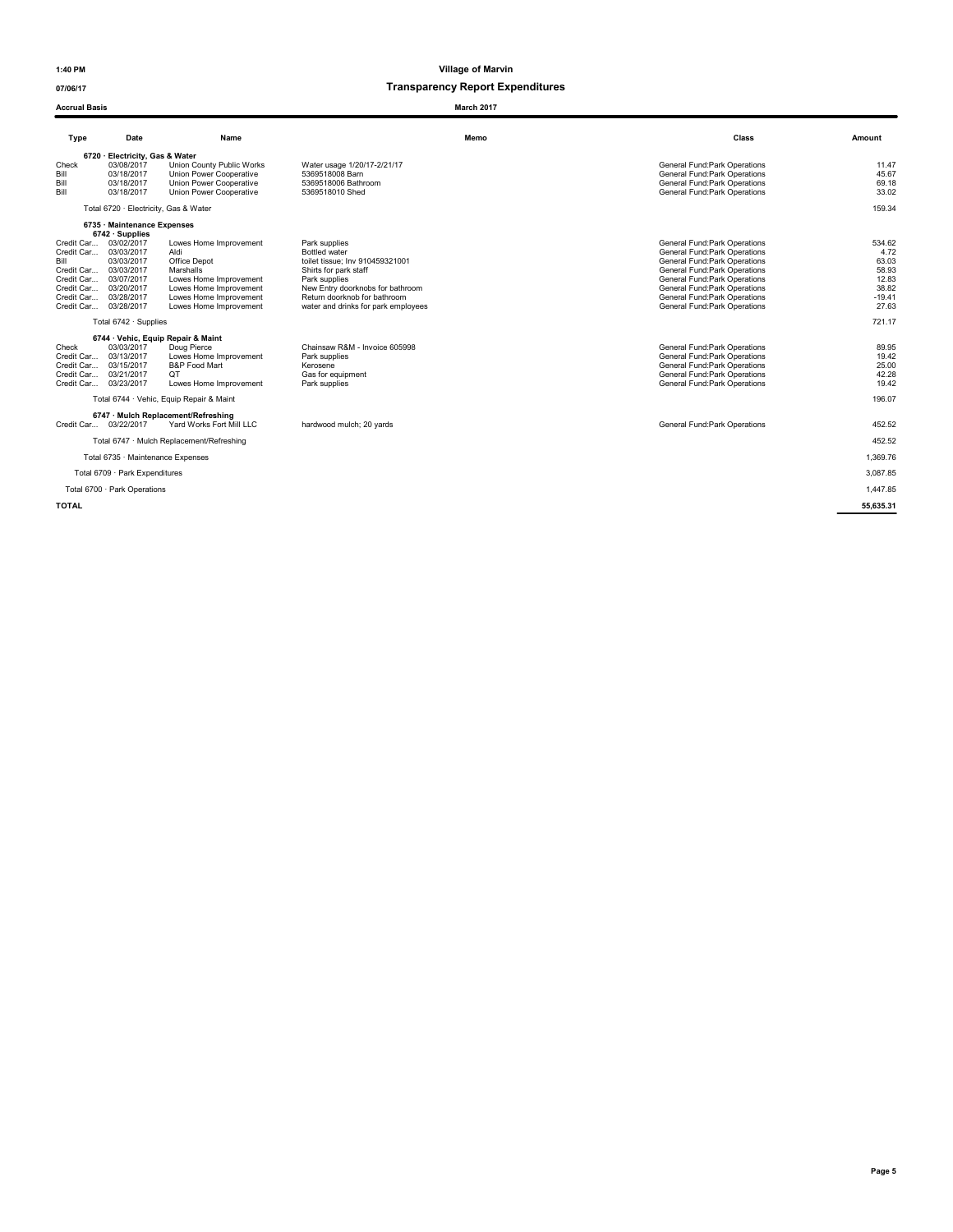07/06/17 Transparency Report Expenditures

### **Accrual Basis** March 2017

Type Date Name Memo Class Amount 6720 · Electricity, Gas & Water<br>Check 03/08/2017 Union County Public Works Water usage 1/20/17-2/21/17 Check 03/08/2017 General Fund:Park Operations erical distribution of the control of the control of the control of the control of the control of the control of the control of the control of the control of the control of the control of the control of the control of the Bill 03/18/2017 Union Power Cooperative 5369518006 Bathroom General Fund:Park Operations General Fund:Park Operations 69.18<br>Bill 03/18/2017 Union Power Cooperative 5369518010 Shed General Fund:Park Operations General Fund: Total 6720 · Electricity, Gas & Water 159.34 6735 · Maintenance Expenses **6742 · Supplies<br>
6742 · Supplies<br>
Credit Car... 03/02/2017<br>
Credit Car... 03/03/2017<br>
Bill<br>
67** Lowes Home Improvement Park supplies<br>Credit Care of Bottled water<br>Credit Care of General Fund:Park Operations of the the total Fund:Park Operations of Sanchark Operations<br>Ceneral Fund:Park Operations 63.03 (33.03 ) Credit Car... 03/03/2017 Aldi Aldi Aldi Bottled water Bottled water Bottled water Bottled water Secure 2010 to the State of the State of the State of the State of the State of the State of the State of the State of the Sta Credit Car... 03/03/2017 Marshalls Marshalls Shirts for park staff<br>Credit Car... 03/07/2017 Lowes Home Improvement Park supplies Present Park of the State of Greenal Fund:Park Operations 12.83<br>Credit Car... 03/20/2017 Lowe Credit Car... 03/03/2017 Marshalls (19.42) Marshalls (19.42) Marshalls (19.42) Marshalls (19.42) Marshalls (19.42) Marshalls (19.42) Marshalls (19.42) Marshalls (19.42) Marshalls (19.42) Marshalls (19.42) Marshalls (19.42) water and drinks for park employees Total 6742 · Supplies 721.17 6744 · Vehic, Equip Repair & Maint<br>
03/03/2017 Doug Pierce Check 03/03/2017 Doug Pierce Chainsaw R&M - Invoice 605998<br>Credit Car... 03/13/2017 Doug Pierce Pierce Park aupplies<br>Credit Car... 03/13/2017 Deves Home Improvement Park Operations<br>Credit Car... 03/15/2017 QT ... (2012)<br>Cr Credit Car... 03/13/2017 Lowes Home Improvement Park supplies General Fund:Park Operations 19.42 Credit Car... 03/15/2017 B&P Food Mart Kerosene General Fund:Park Operations 25.00 Credit Car... 03/21/2017 QT Gas for equipment General Fund:Park Operations 42.28 Credit Car... 03/21/2011 - Unit Care Designed Designed Designed Designed Designed Designed Designed Designed De<br>Credit Car... 03/23/2017 Lowes Home Improvement Park supplies - Park supplies - General Fund:Park Operations Total 6744 · Vehic, Equip Repair & Maint 196.07 6747 · Mulch Replacement/Refreshing Credit Car... 03/22/2017 Yard Works Fort Mill LLC hardwood mulch; 20 yards General Fund:Park Operations 452.52 Total 6747 · Mulch Replacement/Refreshing 452.52 Total 6735 · Maintenance Expenses 1,369.76 Total 6709 · Park Expenditures 3,087.85 Total 6700 · Park Operations **1,447.85 1,447.85** TOTAL 55,635.31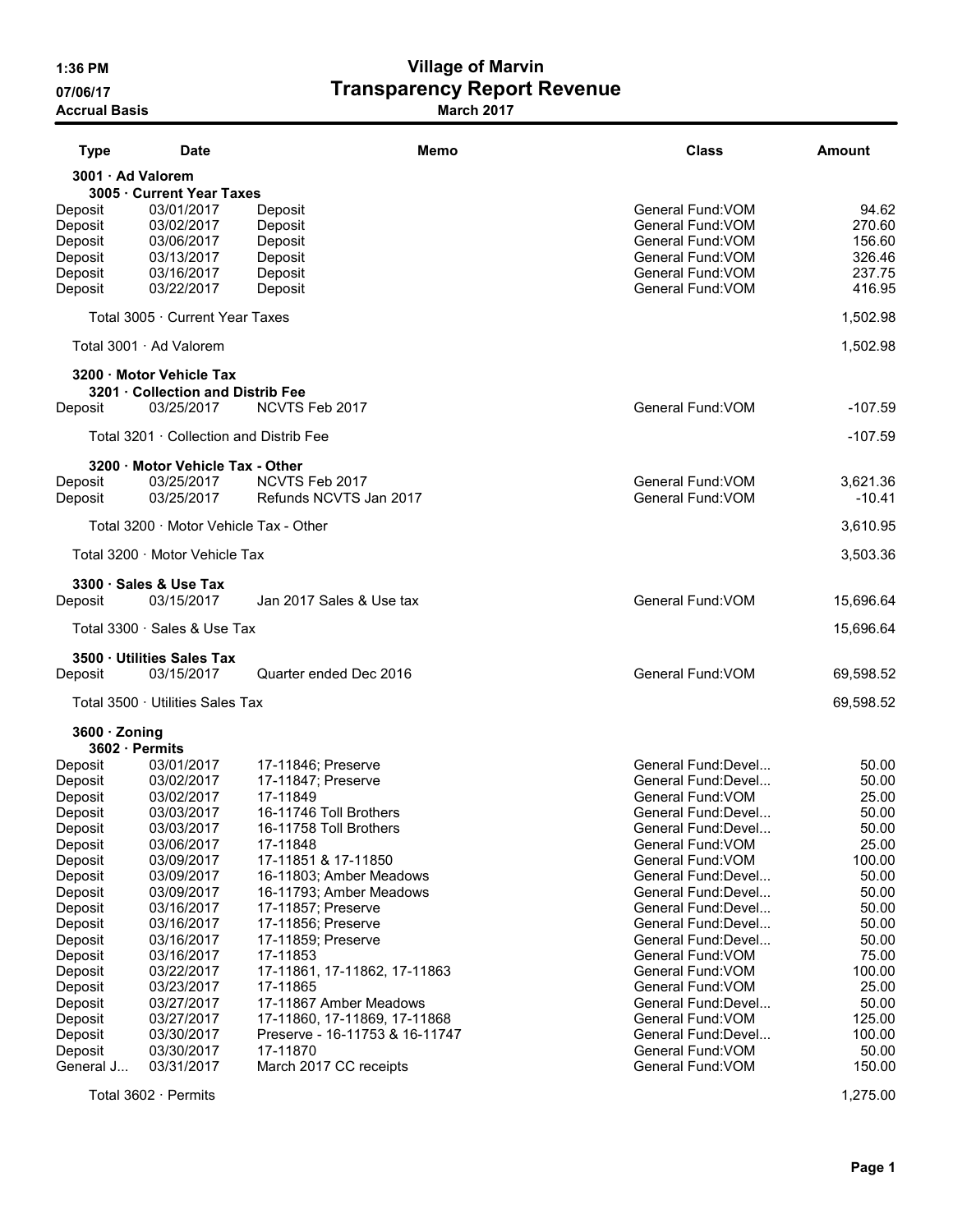# 1:36 PM Village of Marvin 07/06/17 **Transparency Report Revenue**

Accrual Basis **March 2017** Narch 2017

| <b>Type</b>         | <b>Date</b>                             | Memo                            | <b>Class</b>                            | Amount          |
|---------------------|-----------------------------------------|---------------------------------|-----------------------------------------|-----------------|
| 3001 · Ad Valorem   |                                         |                                 |                                         |                 |
|                     | 3005 · Current Year Taxes               |                                 |                                         |                 |
| Deposit             | 03/01/2017                              | Deposit                         | General Fund: VOM                       | 94.62           |
| Deposit             | 03/02/2017                              | Deposit                         | General Fund: VOM                       | 270.60          |
| Deposit             | 03/06/2017                              | Deposit                         | General Fund: VOM                       | 156.60          |
| Deposit             | 03/13/2017                              | Deposit                         | General Fund: VOM                       | 326.46          |
| Deposit             | 03/16/2017                              | Deposit                         | General Fund: VOM                       | 237.75          |
| Deposit             | 03/22/2017                              | Deposit                         | General Fund: VOM                       | 416.95          |
|                     | Total 3005 · Current Year Taxes         |                                 |                                         | 1,502.98        |
|                     | Total 3001 · Ad Valorem                 |                                 |                                         | 1,502.98        |
|                     | 3200 · Motor Vehicle Tax                |                                 |                                         |                 |
|                     | 3201 · Collection and Distrib Fee       |                                 |                                         |                 |
| Deposit             | 03/25/2017                              | NCVTS Feb 2017                  | General Fund: VOM                       | $-107.59$       |
|                     | Total 3201 · Collection and Distrib Fee |                                 |                                         | $-107.59$       |
|                     | 3200 · Motor Vehicle Tax - Other        |                                 |                                         |                 |
| Deposit             | 03/25/2017                              | NCVTS Feb 2017                  | General Fund: VOM                       | 3,621.36        |
| Deposit             | 03/25/2017                              | Refunds NCVTS Jan 2017          | General Fund: VOM                       | -10.41          |
|                     | Total 3200 · Motor Vehicle Tax - Other  |                                 |                                         | 3,610.95        |
|                     | Total 3200 · Motor Vehicle Tax          |                                 |                                         | 3,503.36        |
|                     | 3300 · Sales & Use Tax                  |                                 |                                         |                 |
| Deposit             | 03/15/2017                              | Jan 2017 Sales & Use tax        | General Fund: VOM                       | 15,696.64       |
|                     |                                         |                                 |                                         |                 |
|                     | Total 3300 · Sales & Use Tax            |                                 |                                         | 15,696.64       |
|                     | 3500 · Utilities Sales Tax              |                                 |                                         |                 |
| Deposit             | 03/15/2017                              | Quarter ended Dec 2016          | General Fund: VOM                       | 69,598.52       |
|                     | Total 3500 · Utilities Sales Tax        |                                 |                                         | 69,598.52       |
| $3600 \cdot$ Zoning |                                         |                                 |                                         |                 |
| 3602 · Permits      |                                         |                                 |                                         |                 |
| Deposit             | 03/01/2017                              | 17-11846; Preserve              | General Fund:Devel                      | 50.00           |
| Deposit             | 03/02/2017                              | 17-11847; Preserve              | General Fund:Devel                      | 50.00           |
| Deposit             | 03/02/2017                              | 17-11849                        | General Fund: VOM                       | 25.00           |
| Deposit             | 03/03/2017                              | 16-11746 Toll Brothers          | General Fund:Devel                      | 50.00           |
| Deposit             | 03/03/2017                              | 16-11758 Toll Brothers          | General Fund:Devel<br>General Fund: VOM | 50.00           |
| Deposit<br>Deposit  | 03/06/2017<br>03/09/2017                | 17-11848<br>17-11851 & 17-11850 | General Fund: VOM                       | 25.00<br>100.00 |
| Deposit             | 03/09/2017                              | 16-11803; Amber Meadows         | General Fund: Devel                     | 50.00           |
| Deposit             | 03/09/2017                              | 16-11793; Amber Meadows         | General Fund: Devel                     | 50.00           |
| Deposit             | 03/16/2017                              | 17-11857; Preserve              | General Fund: Devel                     | 50.00           |
| Deposit             | 03/16/2017                              | 17-11856; Preserve              | General Fund: Devel                     | 50.00           |
| Deposit             | 03/16/2017                              | 17-11859; Preserve              | General Fund: Devel                     | 50.00           |
| Deposit             | 03/16/2017                              | 17-11853                        | General Fund: VOM                       | 75.00           |
| Deposit             | 03/22/2017                              | 17-11861, 17-11862, 17-11863    | General Fund: VOM                       | 100.00          |
| Deposit             | 03/23/2017                              | 17-11865                        | General Fund: VOM                       | 25.00           |
| Deposit             | 03/27/2017                              | 17-11867 Amber Meadows          | General Fund: Devel                     | 50.00           |
| Deposit             | 03/27/2017                              | 17-11860, 17-11869, 17-11868    | General Fund: VOM                       | 125.00          |
| Deposit             | 03/30/2017                              | Preserve - 16-11753 & 16-11747  | General Fund: Devel                     | 100.00          |
| Deposit             | 03/30/2017                              | 17-11870                        | General Fund: VOM                       | 50.00           |
| General J           | 03/31/2017                              | March 2017 CC receipts          | General Fund: VOM                       | 150.00          |
|                     | Total 3602 · Permits                    |                                 |                                         | 1,275.00        |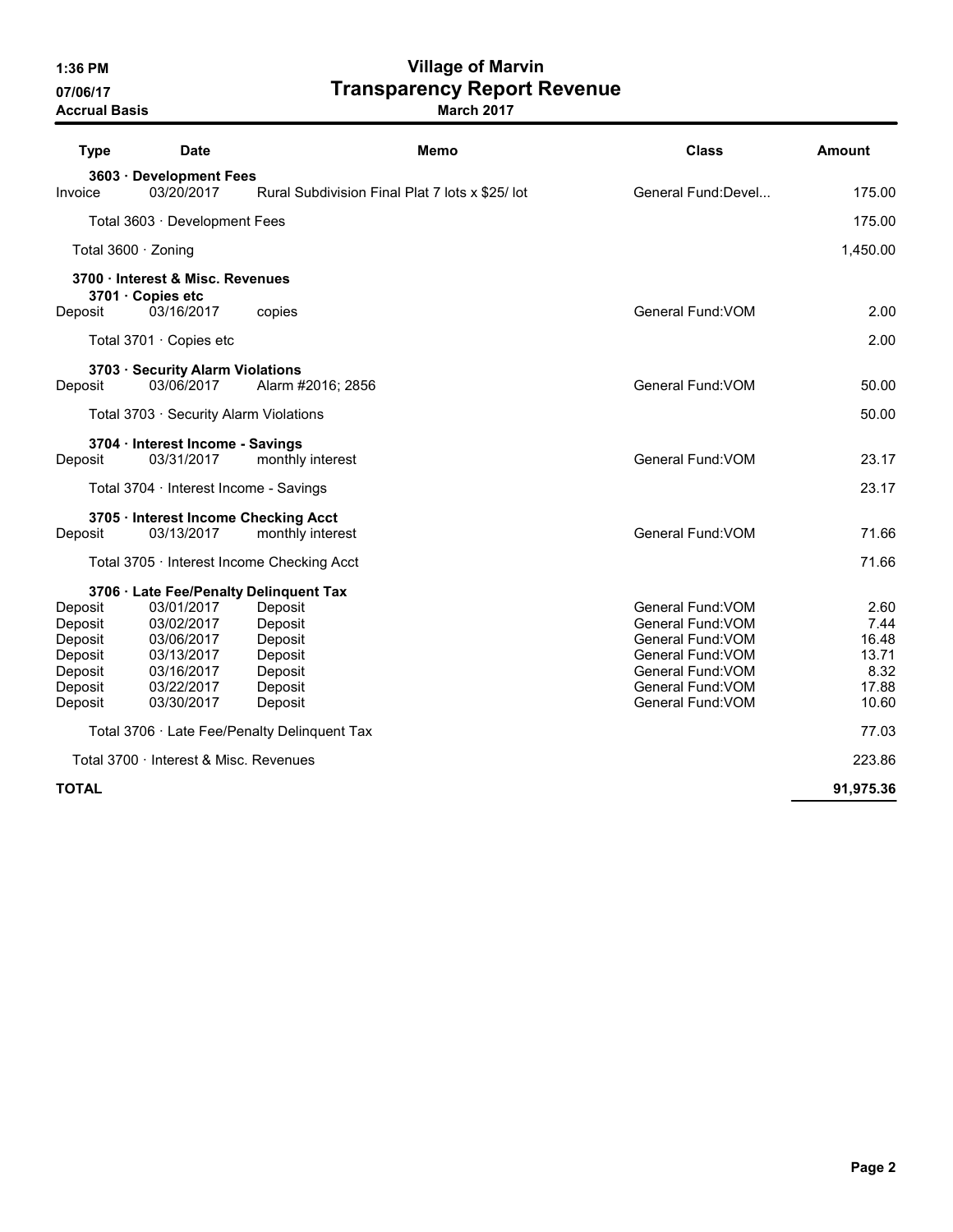# 1:36 PM Village of Marvin 07/06/17 **Transparency Report Revenue**

| <b>Type</b>  | <b>Date</b>                                    | Memo                                           | <b>Class</b>             | <b>Amount</b> |
|--------------|------------------------------------------------|------------------------------------------------|--------------------------|---------------|
| Invoice      | 3603 · Development Fees<br>03/20/2017          | Rural Subdivision Final Plat 7 lots x \$25/lot | General Fund: Devel      | 175.00        |
|              | Total 3603 · Development Fees                  |                                                |                          | 175.00        |
|              | Total $3600 \cdot$ Zoning                      |                                                |                          | 1,450.00      |
|              | 3700 · Interest & Misc. Revenues               |                                                |                          |               |
| Deposit      | 3701 · Copies etc<br>03/16/2017                | copies                                         | General Fund: VOM        | 2.00          |
|              | Total 3701 · Copies etc                        |                                                |                          | 2.00          |
| Deposit      | 3703 · Security Alarm Violations<br>03/06/2017 | Alarm #2016; 2856                              | General Fund: VOM        | 50.00         |
|              | Total 3703 · Security Alarm Violations         |                                                |                          | 50.00         |
| Deposit      | 3704 · Interest Income - Savings<br>03/31/2017 | monthly interest                               | General Fund: VOM        | 23.17         |
|              | Total 3704 · Interest Income - Savings         |                                                |                          | 23.17         |
|              | 3705 · Interest Income Checking Acct           |                                                |                          |               |
| Deposit      | 03/13/2017                                     | monthly interest                               | General Fund: VOM        | 71.66         |
|              |                                                | Total 3705 · Interest Income Checking Acct     |                          | 71.66         |
|              | 3706 · Late Fee/Penalty Delinquent Tax         |                                                |                          |               |
| Deposit      | 03/01/2017                                     | Deposit                                        | General Fund: VOM        | 2.60          |
| Deposit      | 03/02/2017                                     | Deposit                                        | General Fund: VOM        | 7.44          |
| Deposit      | 03/06/2017                                     | Deposit                                        | General Fund: VOM        | 16.48         |
| Deposit      | 03/13/2017                                     | Deposit                                        | <b>General Fund: VOM</b> | 13.71         |
| Deposit      | 03/16/2017                                     | Deposit                                        | <b>General Fund: VOM</b> | 8.32          |
| Deposit      | 03/22/2017                                     | Deposit                                        | General Fund: VOM        | 17.88         |
| Deposit      | 03/30/2017                                     | Deposit                                        | General Fund: VOM        | 10.60         |
|              |                                                | Total 3706 · Late Fee/Penalty Delinquent Tax   |                          | 77.03         |
|              | Total 3700 · Interest & Misc. Revenues         |                                                |                          | 223.86        |
| <b>TOTAL</b> |                                                |                                                |                          | 91,975.36     |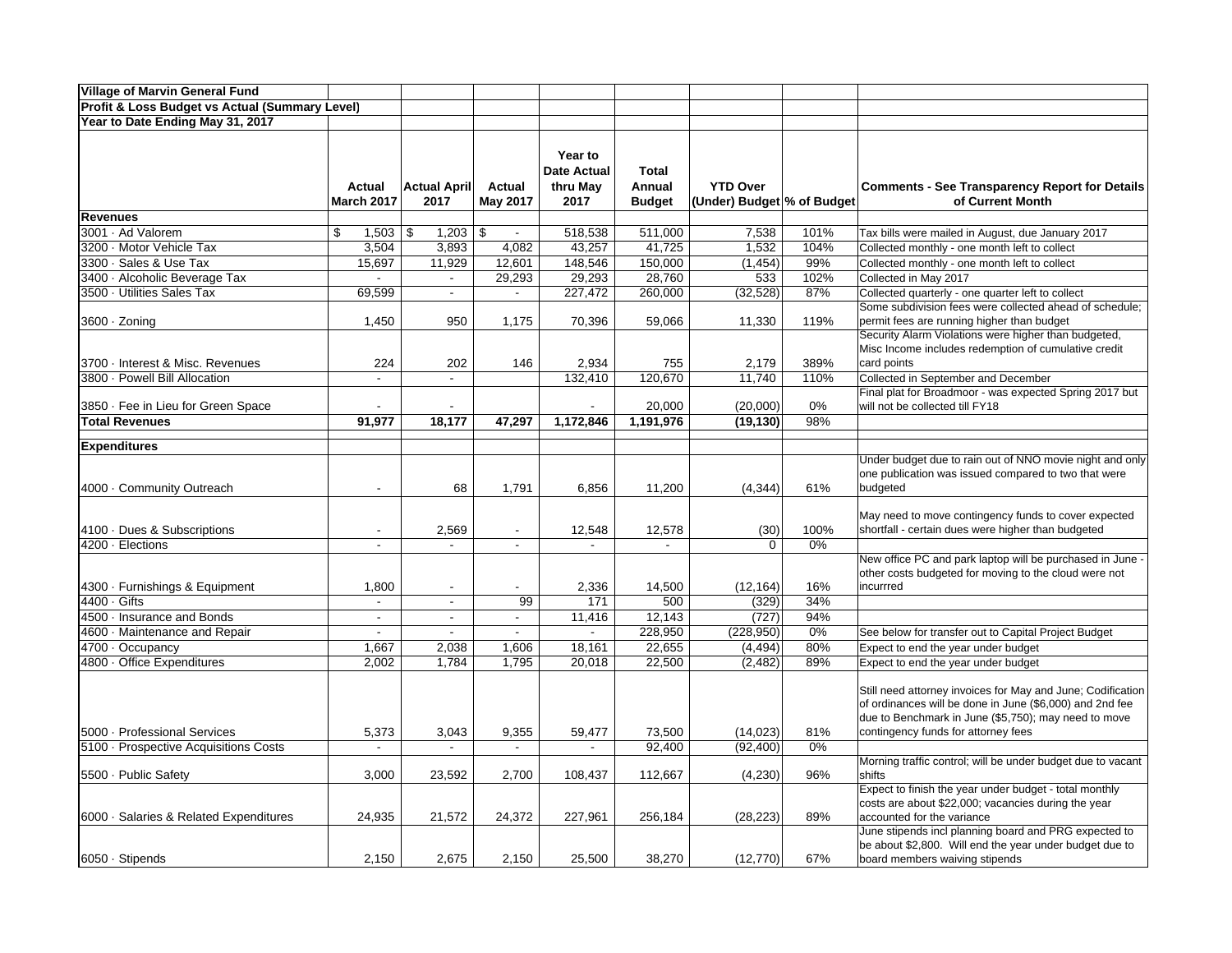| <b>Village of Marvin General Fund</b>          |                                  |                                            |                                            |                          |               |                            |            |                                                                                                                  |
|------------------------------------------------|----------------------------------|--------------------------------------------|--------------------------------------------|--------------------------|---------------|----------------------------|------------|------------------------------------------------------------------------------------------------------------------|
| Profit & Loss Budget vs Actual (Summary Level) |                                  |                                            |                                            |                          |               |                            |            |                                                                                                                  |
| Year to Date Ending May 31, 2017               |                                  |                                            |                                            |                          |               |                            |            |                                                                                                                  |
|                                                |                                  |                                            |                                            |                          |               |                            |            |                                                                                                                  |
|                                                |                                  |                                            |                                            | Year to                  |               |                            |            |                                                                                                                  |
|                                                |                                  |                                            |                                            | <b>Date Actual</b>       | <b>Total</b>  |                            |            |                                                                                                                  |
|                                                | Actual                           | <b>Actual April</b>                        | Actual                                     | thru May                 | Annual        | <b>YTD Over</b>            |            | <b>Comments - See Transparency Report for Details</b>                                                            |
|                                                | <b>March 2017</b>                | 2017                                       | May 2017                                   | 2017                     | <b>Budget</b> | (Under) Budget % of Budget |            | of Current Month                                                                                                 |
| <b>Revenues</b>                                |                                  |                                            |                                            |                          |               |                            |            |                                                                                                                  |
| 3001 · Ad Valorem                              | \$<br>1,503                      | \$<br>1,203                                | \$<br>$\blacksquare$                       | 518,538                  | 511,000       | 7,538                      | 101%       | Tax bills were mailed in August, due January 2017                                                                |
| 3200 · Motor Vehicle Tax                       | 3,504                            | 3,893                                      | 4,082                                      | 43,257                   | 41,725        | 1,532                      | 104%       | Collected monthly - one month left to collect                                                                    |
| 3300 · Sales & Use Tax                         | 15,697                           | 11,929                                     | 12,601                                     | 148,546                  | 150,000       | (1, 454)                   | 99%        | Collected monthly - one month left to collect                                                                    |
| 3400 · Alcoholic Beverage Tax                  | $\Delta$                         | $\sim$                                     | 29,293                                     | 29,293                   | 28,760        | 533                        | 102%       | Collected in May 2017                                                                                            |
| 3500 · Utilities Sales Tax                     | 69,599                           | $\sim$                                     | $\sim$                                     | 227,472                  | 260,000       | (32, 528)                  | 87%        | Collected quarterly - one quarter left to collect                                                                |
|                                                |                                  |                                            |                                            |                          |               |                            |            | Some subdivision fees were collected ahead of schedule;                                                          |
| 3600 · Zoning                                  | 1,450                            | 950                                        | 1,175                                      | 70,396                   | 59,066        | 11,330                     | 119%       | permit fees are running higher than budget                                                                       |
|                                                |                                  |                                            |                                            |                          |               |                            |            | Security Alarm Violations were higher than budgeted,                                                             |
|                                                |                                  |                                            |                                            |                          |               |                            |            | Misc Income includes redemption of cumulative credit                                                             |
| 3700 Interest & Misc. Revenues                 | 224                              | 202                                        | 146                                        | 2,934                    | 755           | 2,179                      | 389%       | card points                                                                                                      |
| 3800 · Powell Bill Allocation                  | $\Delta$                         | $\sim$                                     |                                            | 132,410                  | 120,670       | 11,740                     | 110%       | Collected in September and December                                                                              |
|                                                |                                  |                                            |                                            |                          |               |                            |            | Final plat for Broadmoor - was expected Spring 2017 but                                                          |
| 3850 · Fee in Lieu for Green Space             |                                  |                                            |                                            |                          | 20,000        | (20,000)                   | 0%         | will not be collected till FY18                                                                                  |
| <b>Total Revenues</b>                          | 91,977                           | 18,177                                     | 47,297                                     | 1,172,846                | 1,191,976     | (19, 130)                  | 98%        |                                                                                                                  |
| <b>Expenditures</b>                            |                                  |                                            |                                            |                          |               |                            |            |                                                                                                                  |
|                                                |                                  |                                            |                                            |                          |               |                            |            | Under budget due to rain out of NNO movie night and only                                                         |
|                                                |                                  |                                            |                                            |                          |               |                            |            | one publication was issued compared to two that were                                                             |
| 4000 Community Outreach                        |                                  | 68                                         | 1,791                                      | 6,856                    | 11,200        | (4, 344)                   | 61%        | budgeted                                                                                                         |
|                                                |                                  |                                            |                                            |                          |               |                            |            |                                                                                                                  |
|                                                |                                  |                                            |                                            |                          |               |                            |            | May need to move contingency funds to cover expected                                                             |
| 4100 Dues & Subscriptions                      |                                  | 2,569                                      | $\overline{a}$                             | 12,548                   | 12,578        | (30)                       | 100%       | shortfall - certain dues were higher than budgeted                                                               |
| 4200 Elections                                 | $\blacksquare$                   | $\blacksquare$                             | $\overline{a}$                             | $\sim$                   | $\sim$        | $\Omega$                   | 0%         |                                                                                                                  |
|                                                |                                  |                                            |                                            |                          |               |                            |            | New office PC and park laptop will be purchased in June -                                                        |
|                                                |                                  |                                            |                                            |                          |               |                            |            | other costs budgeted for moving to the cloud were not                                                            |
| 4300 · Furnishings & Equipment<br>4400 Gifts   | 1,800                            | $\blacksquare$                             | $\overline{a}$<br>99                       | 2,336                    | 14,500        | (12, 164)                  | 16%<br>34% | incurrred                                                                                                        |
| 4500 · Insurance and Bonds                     | $\blacksquare$                   | $\overline{\phantom{a}}$                   |                                            | 171                      | 500<br>12,143 | (329)<br>(727)             | 94%        |                                                                                                                  |
| 4600 Maintenance and Repair                    | $\blacksquare$<br>$\blacksquare$ | $\overline{\phantom{a}}$<br>$\blacksquare$ | $\overline{\phantom{a}}$<br>$\blacksquare$ | 11,416<br>$\blacksquare$ | 228,950       | (228, 950)                 | 0%         |                                                                                                                  |
| 4700 · Occupancy                               | 1,667                            | 2,038                                      | 1,606                                      | 18,161                   | 22,655        | (4, 494)                   | 80%        | See below for transfer out to Capital Project Budget<br>Expect to end the year under budget                      |
| 4800 Office Expenditures                       | 2,002                            | 1,784                                      | 1,795                                      | 20,018                   | 22,500        | (2, 482)                   | 89%        | Expect to end the year under budget                                                                              |
|                                                |                                  |                                            |                                            |                          |               |                            |            |                                                                                                                  |
|                                                |                                  |                                            |                                            |                          |               |                            |            | Still need attorney invoices for May and June; Codification                                                      |
|                                                |                                  |                                            |                                            |                          |               |                            |            | of ordinances will be done in June (\$6,000) and 2nd fee                                                         |
|                                                |                                  |                                            |                                            |                          |               |                            |            | due to Benchmark in June (\$5,750); may need to move                                                             |
| 5000 - Professional Services                   | 5,373                            | 3,043                                      | 9,355                                      | 59,477                   | 73,500        | (14, 023)                  | 81%        | contingency funds for attorney fees                                                                              |
| 5100 Prospective Acquisitions Costs            | $\blacksquare$                   |                                            | $\blacksquare$                             |                          | 92,400        | (92, 400)                  | 0%         |                                                                                                                  |
|                                                |                                  |                                            |                                            |                          |               |                            |            | Morning traffic control; will be under budget due to vacant                                                      |
| 5500 - Public Safety                           | 3,000                            | 23,592                                     | 2,700                                      | 108,437                  | 112,667       | (4,230)                    | 96%        | shifts                                                                                                           |
|                                                |                                  |                                            |                                            |                          |               |                            |            | Expect to finish the year under budget - total monthly                                                           |
|                                                |                                  |                                            |                                            |                          |               |                            |            | costs are about \$22,000; vacancies during the year                                                              |
| 6000 Salaries & Related Expenditures           | 24,935                           | 21,572                                     | 24,372                                     | 227,961                  | 256,184       | (28, 223)                  | 89%        | accounted for the variance                                                                                       |
|                                                |                                  |                                            |                                            |                          |               |                            |            | June stipends incl planning board and PRG expected to<br>be about \$2,800. Will end the year under budget due to |
| 6050 · Stipends                                | 2,150                            | 2,675                                      | 2,150                                      | 25,500                   | 38,270        | (12, 770)                  | 67%        | board members waiving stipends                                                                                   |
|                                                |                                  |                                            |                                            |                          |               |                            |            |                                                                                                                  |